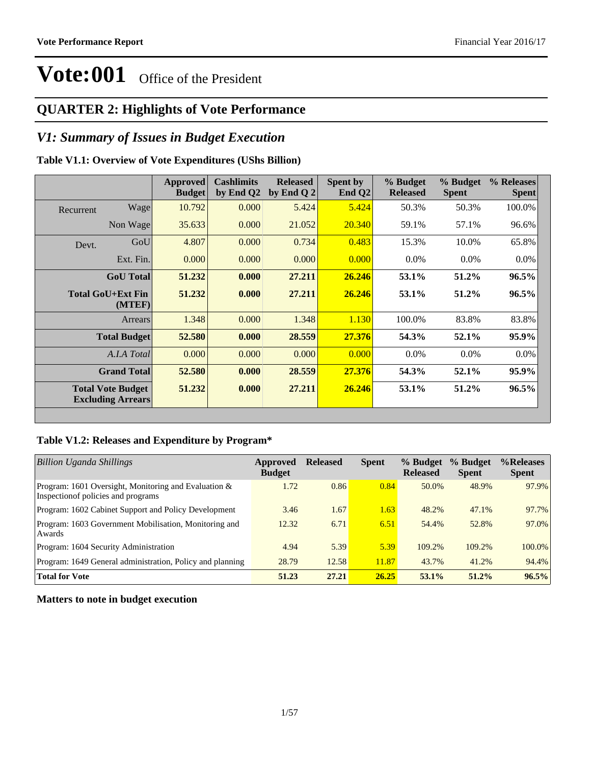### **QUARTER 2: Highlights of Vote Performance**

### *V1: Summary of Issues in Budget Execution*

### **Table V1.1: Overview of Vote Expenditures (UShs Billion)**

|           |                                                      | <b>Approved</b><br><b>Budget</b> | <b>Cashlimits</b><br>by End Q2 | <b>Released</b><br>by End Q $2$ | Spent by<br>End $Q2$ | % Budget<br><b>Released</b> | % Budget<br><b>Spent</b> | % Releases<br><b>Spent</b> |
|-----------|------------------------------------------------------|----------------------------------|--------------------------------|---------------------------------|----------------------|-----------------------------|--------------------------|----------------------------|
| Recurrent | Wage                                                 | 10.792                           | 0.000                          | 5.424                           | 5.424                | 50.3%                       | 50.3%                    | 100.0%                     |
|           | Non Wage                                             | 35.633                           | 0.000                          | 21.052                          | 20.340               | 59.1%                       | 57.1%                    | 96.6%                      |
| Devt.     | GoU                                                  | 4.807                            | 0.000                          | 0.734                           | 0.483                | 15.3%                       | 10.0%                    | 65.8%                      |
|           | Ext. Fin.                                            | 0.000                            | 0.000                          | 0.000                           | 0.000                | $0.0\%$                     | $0.0\%$                  | $0.0\%$                    |
|           | <b>GoU</b> Total                                     | 51.232                           | 0.000                          | 27.211                          | 26.246               | 53.1%                       | 51.2%                    | 96.5%                      |
|           | Total GoU+Ext Fin<br>(MTEF)                          | 51.232                           | 0.000                          | 27.211                          | 26.246               | 53.1%                       | 51.2%                    | $96.5\%$                   |
|           | Arrears                                              | 1.348                            | 0.000                          | 1.348                           | 1.130                | 100.0%                      | 83.8%                    | 83.8%                      |
|           | <b>Total Budget</b>                                  | 52.580                           | 0.000                          | 28.559                          | 27.376               | 54.3%                       | 52.1%                    | 95.9%                      |
|           | A.I.A Total                                          | 0.000                            | 0.000                          | 0.000                           | 0.000                | $0.0\%$                     | $0.0\%$                  | $0.0\%$                    |
|           | <b>Grand Total</b>                                   | 52.580                           | 0.000                          | 28.559                          | 27.376               | 54.3%                       | 52.1%                    | 95.9%                      |
|           | <b>Total Vote Budget</b><br><b>Excluding Arrears</b> | 51.232                           | 0.000                          | 27.211                          | 26.246               | 53.1%                       | 51.2%                    | 96.5%                      |

### **Table V1.2: Releases and Expenditure by Program\***

| <b>Billion Uganda Shillings</b>                                                                | Approved<br><b>Budget</b> | <b>Released</b> | <b>Spent</b> | % Budget<br><b>Released</b> | % Budget<br><b>Spent</b> | %Releases<br><b>Spent</b> |
|------------------------------------------------------------------------------------------------|---------------------------|-----------------|--------------|-----------------------------|--------------------------|---------------------------|
| Program: 1601 Oversight, Monitoring and Evaluation $\&$<br>Inspection of policies and programs | 1.72                      | 0.86            | 0.84         | 50.0%                       | 48.9%                    | 97.9%                     |
| Program: 1602 Cabinet Support and Policy Development                                           | 3.46                      | 1.67            | 1.63         | 48.2%                       | 47.1%                    | 97.7%                     |
| Program: 1603 Government Mobilisation, Monitoring and<br>Awards                                | 12.32                     | 6.71            | 6.51         | 54.4%                       | 52.8%                    | 97.0%                     |
| Program: 1604 Security Administration                                                          | 4.94                      | 5.39            | 5.39         | 109.2%                      | 109.2%                   | $100.0\%$                 |
| Program: 1649 General administration, Policy and planning                                      | 28.79                     | 12.58           | 11.87        | 43.7%                       | 41.2%                    | 94.4%                     |
| <b>Total for Vote</b>                                                                          | 51.23                     | 27.21           | 26.25        | $53.1\%$                    | $51.2\%$                 | 96.5%                     |

**Matters to note in budget execution**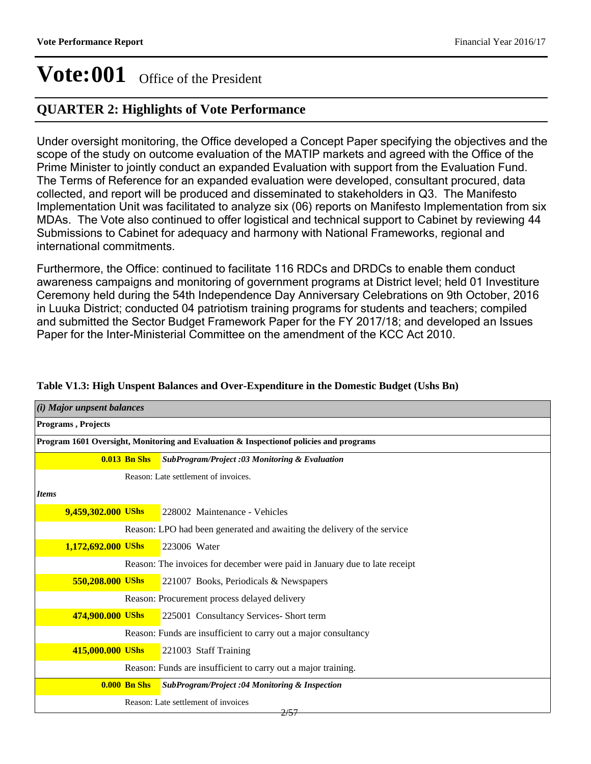### **QUARTER 2: Highlights of Vote Performance**

Under oversight monitoring, the Office developed a Concept Paper specifying the objectives and the scope of the study on outcome evaluation of the MATIP markets and agreed with the Office of the Prime Minister to jointly conduct an expanded Evaluation with support from the Evaluation Fund. The Terms of Reference for an expanded evaluation were developed, consultant procured, data collected, and report will be produced and disseminated to stakeholders in Q3. The Manifesto Implementation Unit was facilitated to analyze six (06) reports on Manifesto Implementation from six MDAs. The Vote also continued to offer logistical and technical support to Cabinet by reviewing 44 Submissions to Cabinet for adequacy and harmony with National Frameworks, regional and international commitments.

Furthermore, the Office: continued to facilitate 116 RDCs and DRDCs to enable them conduct awareness campaigns and monitoring of government programs at District level; held 01 Investiture Ceremony held during the 54th Independence Day Anniversary Celebrations on 9th October, 2016 in Luuka District; conducted 04 patriotism training programs for students and teachers; compiled and submitted the Sector Budget Framework Paper for the FY 2017/18; and developed an Issues Paper for the Inter-Ministerial Committee on the amendment of the KCC Act 2010.

| (i) Major unpsent balances |                                                                                         |                                                                            |  |  |  |  |  |
|----------------------------|-----------------------------------------------------------------------------------------|----------------------------------------------------------------------------|--|--|--|--|--|
| Programs, Projects         |                                                                                         |                                                                            |  |  |  |  |  |
|                            | Program 1601 Oversight, Monitoring and Evaluation & Inspection of policies and programs |                                                                            |  |  |  |  |  |
|                            | $0.013$ Bn Shs                                                                          | SubProgram/Project :03 Monitoring & Evaluation                             |  |  |  |  |  |
|                            |                                                                                         | Reason: Late settlement of invoices.                                       |  |  |  |  |  |
| <b>Items</b>               |                                                                                         |                                                                            |  |  |  |  |  |
| 9,459,302.000 UShs         |                                                                                         | 228002 Maintenance - Vehicles                                              |  |  |  |  |  |
|                            |                                                                                         | Reason: LPO had been generated and awaiting the delivery of the service    |  |  |  |  |  |
| 1,172,692.000 UShs         |                                                                                         | 223006 Water                                                               |  |  |  |  |  |
|                            |                                                                                         | Reason: The invoices for december were paid in January due to late receipt |  |  |  |  |  |
| 550,208.000 UShs           |                                                                                         | 221007 Books, Periodicals & Newspapers                                     |  |  |  |  |  |
|                            |                                                                                         | Reason: Procurement process delayed delivery                               |  |  |  |  |  |
| 474,900.000 UShs           |                                                                                         | 225001 Consultancy Services- Short term                                    |  |  |  |  |  |
|                            |                                                                                         | Reason: Funds are insufficient to carry out a major consultancy            |  |  |  |  |  |
| 415,000.000 UShs           |                                                                                         | 221003 Staff Training                                                      |  |  |  |  |  |
|                            |                                                                                         | Reason: Funds are insufficient to carry out a major training.              |  |  |  |  |  |
|                            | <b>0.000 Bn Shs</b>                                                                     | SubProgram/Project :04 Monitoring & Inspection                             |  |  |  |  |  |
|                            |                                                                                         | Reason: Late settlement of invoices<br>2/57                                |  |  |  |  |  |

### **Table V1.3: High Unspent Balances and Over-Expenditure in the Domestic Budget (Ushs Bn)**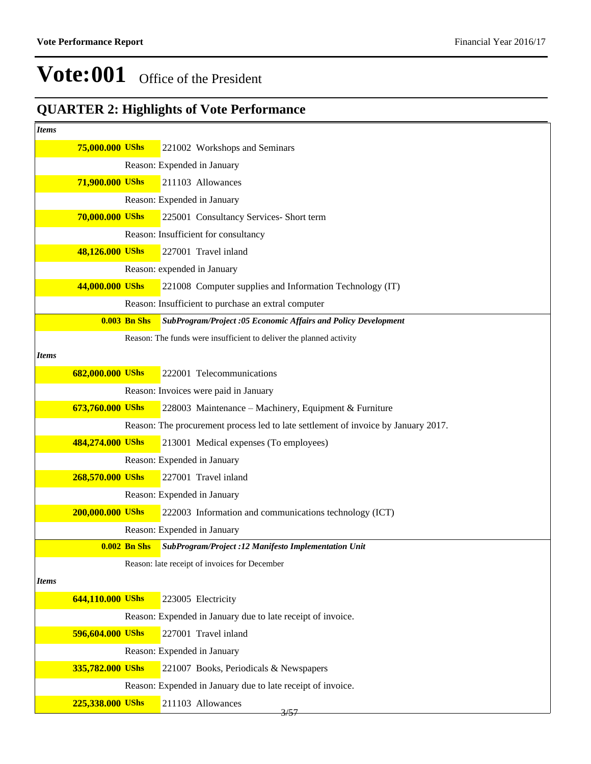## **QUARTER 2: Highlights of Vote Performance**

| <b>Items</b> |                  |                     |                                                                                    |
|--------------|------------------|---------------------|------------------------------------------------------------------------------------|
|              | 75,000.000 UShs  |                     | 221002 Workshops and Seminars                                                      |
|              |                  |                     | Reason: Expended in January                                                        |
|              | 71,900.000 UShs  |                     | 211103 Allowances                                                                  |
|              |                  |                     | Reason: Expended in January                                                        |
|              | 70,000.000 UShs  |                     | 225001 Consultancy Services- Short term                                            |
|              |                  |                     | Reason: Insufficient for consultancy                                               |
|              | 48,126.000 UShs  |                     | 227001 Travel inland                                                               |
|              |                  |                     | Reason: expended in January                                                        |
|              | 44,000.000 UShs  |                     | 221008 Computer supplies and Information Technology (IT)                           |
|              |                  |                     | Reason: Insufficient to purchase an extral computer                                |
|              |                  | <b>0.003 Bn Shs</b> | SubProgram/Project :05 Economic Affairs and Policy Development                     |
|              |                  |                     | Reason: The funds were insufficient to deliver the planned activity                |
| Items        |                  |                     |                                                                                    |
|              | 682,000.000 UShs |                     | 222001 Telecommunications                                                          |
|              |                  |                     | Reason: Invoices were paid in January                                              |
|              | 673,760.000 UShs |                     | 228003 Maintenance - Machinery, Equipment & Furniture                              |
|              |                  |                     | Reason: The procurement process led to late settlement of invoice by January 2017. |
|              | 484,274.000 UShs |                     | 213001 Medical expenses (To employees)                                             |
|              |                  |                     | Reason: Expended in January                                                        |
|              | 268,570.000 UShs |                     | 227001 Travel inland                                                               |
|              |                  |                     | Reason: Expended in January                                                        |
|              | 200,000.000 UShs |                     | 222003 Information and communications technology (ICT)                             |
|              |                  |                     | Reason: Expended in January                                                        |
|              |                  | <b>0.002 Bn Shs</b> | SubProgram/Project :12 Manifesto Implementation Unit                               |
|              |                  |                     | Reason: late receipt of invoices for December                                      |
| Items        |                  |                     |                                                                                    |
|              | 644,110.000 UShs |                     | 223005 Electricity                                                                 |
|              |                  |                     | Reason: Expended in January due to late receipt of invoice.                        |
|              | 596,604.000 UShs |                     | 227001 Travel inland                                                               |
|              |                  |                     | Reason: Expended in January                                                        |
|              | 335,782.000 UShs |                     | 221007 Books, Periodicals & Newspapers                                             |
|              |                  |                     | Reason: Expended in January due to late receipt of invoice.                        |
|              | 225,338.000 UShs |                     | 211103 Allowances<br>3/57                                                          |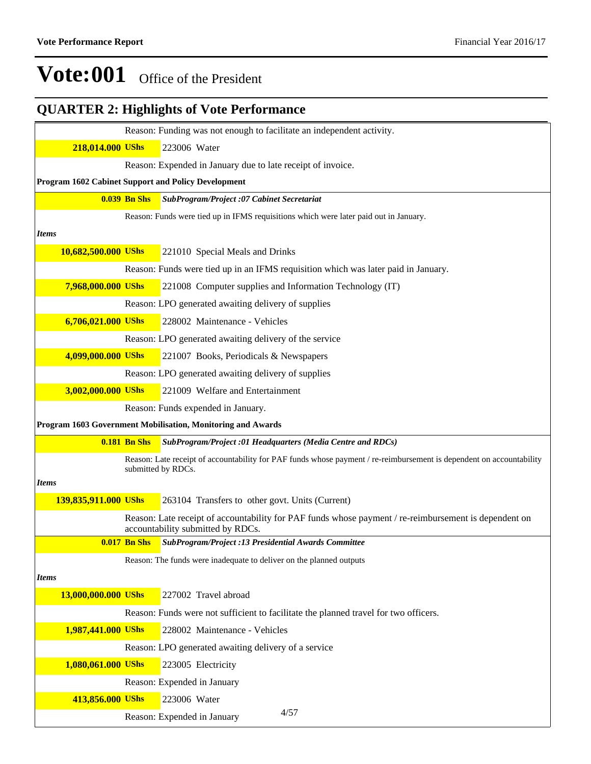|                      |                     | <b>QUARTER 2: Highlights of Vote Performance</b>                                                                                           |
|----------------------|---------------------|--------------------------------------------------------------------------------------------------------------------------------------------|
|                      |                     | Reason: Funding was not enough to facilitate an independent activity.                                                                      |
| 218,014.000 UShs     |                     | 223006 Water                                                                                                                               |
|                      |                     | Reason: Expended in January due to late receipt of invoice.                                                                                |
|                      |                     | Program 1602 Cabinet Support and Policy Development                                                                                        |
|                      | <b>0.039 Bn Shs</b> | SubProgram/Project :07 Cabinet Secretariat                                                                                                 |
|                      |                     | Reason: Funds were tied up in IFMS requisitions which were later paid out in January.                                                      |
| <b>Items</b>         |                     |                                                                                                                                            |
| 10,682,500.000 UShs  |                     | 221010 Special Meals and Drinks                                                                                                            |
|                      |                     | Reason: Funds were tied up in an IFMS requisition which was later paid in January.                                                         |
| 7,968,000.000 UShs   |                     | 221008 Computer supplies and Information Technology (IT)                                                                                   |
|                      |                     | Reason: LPO generated awaiting delivery of supplies                                                                                        |
| 6,706,021.000 UShs   |                     | 228002 Maintenance - Vehicles                                                                                                              |
|                      |                     | Reason: LPO generated awaiting delivery of the service                                                                                     |
| 4,099,000.000 UShs   |                     | 221007 Books, Periodicals & Newspapers                                                                                                     |
|                      |                     | Reason: LPO generated awaiting delivery of supplies                                                                                        |
| 3,002,000.000 UShs   |                     | 221009 Welfare and Entertainment                                                                                                           |
|                      |                     | Reason: Funds expended in January.                                                                                                         |
|                      |                     | Program 1603 Government Mobilisation, Monitoring and Awards                                                                                |
|                      | <b>0.181 Bn Shs</b> | SubProgram/Project :01 Headquarters (Media Centre and RDCs)                                                                                |
|                      |                     | Reason: Late receipt of accountability for PAF funds whose payment / re-reimbursement is dependent on accountability<br>submitted by RDCs. |
| <b>Items</b>         |                     |                                                                                                                                            |
|                      |                     |                                                                                                                                            |
| 139,835,911.000 UShs |                     | 263104 Transfers to other govt. Units (Current)                                                                                            |
|                      |                     | Reason: Late receipt of accountability for PAF funds whose payment / re-reimbursement is dependent on<br>accountability submitted by RDCs. |
|                      | <b>0.017 Bn Shs</b> | SubProgram/Project :13 Presidential Awards Committee                                                                                       |
|                      |                     | Reason: The funds were inadequate to deliver on the planned outputs                                                                        |
| <b>Items</b>         |                     |                                                                                                                                            |
| 13,000,000.000 UShs  |                     | 227002 Travel abroad                                                                                                                       |
|                      |                     | Reason: Funds were not sufficient to facilitate the planned travel for two officers.                                                       |
| 1,987,441.000 UShs   |                     | 228002 Maintenance - Vehicles                                                                                                              |
|                      |                     | Reason: LPO generated awaiting delivery of a service                                                                                       |
| 1,080,061.000 UShs   |                     | 223005 Electricity                                                                                                                         |
|                      |                     | Reason: Expended in January                                                                                                                |
| 413,856.000 UShs     |                     | 223006 Water<br>4/57                                                                                                                       |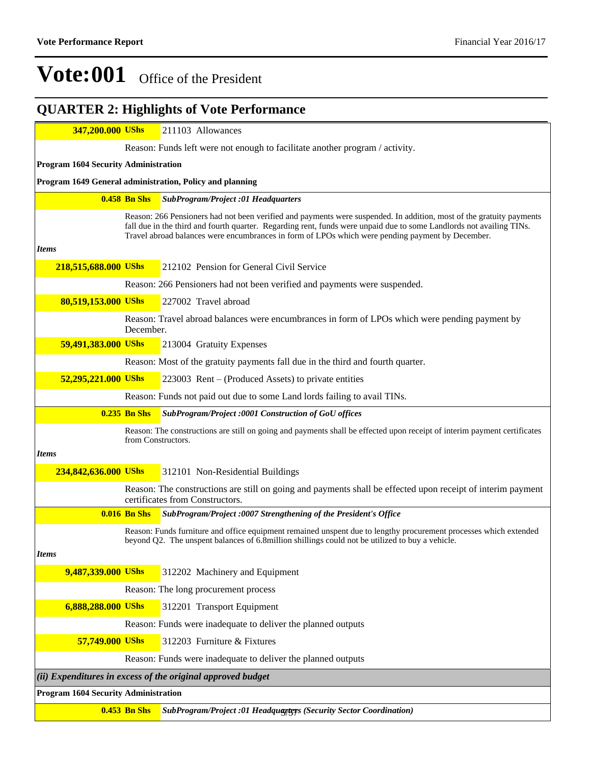### **347,200.000 UShs** 211103 Allowances Reason: Funds left were not enough to facilitate another program / activity. **Program 1604 Security Administration Program 1649 General administration, Policy and planning 0.458 Bn Shs** *SubProgram/Project :01 Headquarters* Reason: 266 Pensioners had not been verified and payments were suspended. In addition, most of the gratuity payments fall due in the third and fourth quarter. Regarding rent, funds were unpaid due to some Landlords not availing TINs. Travel abroad balances were encumbrances in form of LPOs which were pending payment by December. *Items* **218,515,688.000 UShs** 212102 Pension for General Civil Service Reason: 266 Pensioners had not been verified and payments were suspended. **80,519,153.000 UShs** 227002 Travel abroad Reason: Travel abroad balances were encumbrances in form of LPOs which were pending payment by December. **59,491,383.000 UShs** 213004 Gratuity Expenses Reason: Most of the gratuity payments fall due in the third and fourth quarter. **52,295,221.000 UShs** 223003 Rent – (Produced Assets) to private entities Reason: Funds not paid out due to some Land lords failing to avail TINs. **0.235 Bn Shs** *SubProgram/Project :0001 Construction of GoU offices* Reason: The constructions are still on going and payments shall be effected upon receipt of interim payment certificates from Constructors. *Items* **234,842,636.000 UShs** 312101 Non-Residential Buildings Reason: The constructions are still on going and payments shall be effected upon receipt of interim payment certificates from Constructors. **0.016 Bn Shs** *SubProgram/Project :0007 Strengthening of the President's Office* Reason: Funds furniture and office equipment remained unspent due to lengthy procurement processes which extended beyond Q2. The unspent balances of 6.8million shillings could not be utilized to buy a vehicle. *Items* **9,487,339.000 UShs** 312202 Machinery and Equipment Reason: The long procurement process **6,888,288.000 UShs** 312201 Transport Equipment Reason: Funds were inadequate to deliver the planned outputs **57,749.000 UShs** 312203 Furniture & Fixtures Reason: Funds were inadequate to deliver the planned outputs *(ii) Expenditures in excess of the original approved budget* **Program 1604 Security Administration 0.453 Bn Shs** *SubProgram/Project :01 Headquarters (Security Sector Coordination)* 5/57**QUARTER 2: Highlights of Vote Performance**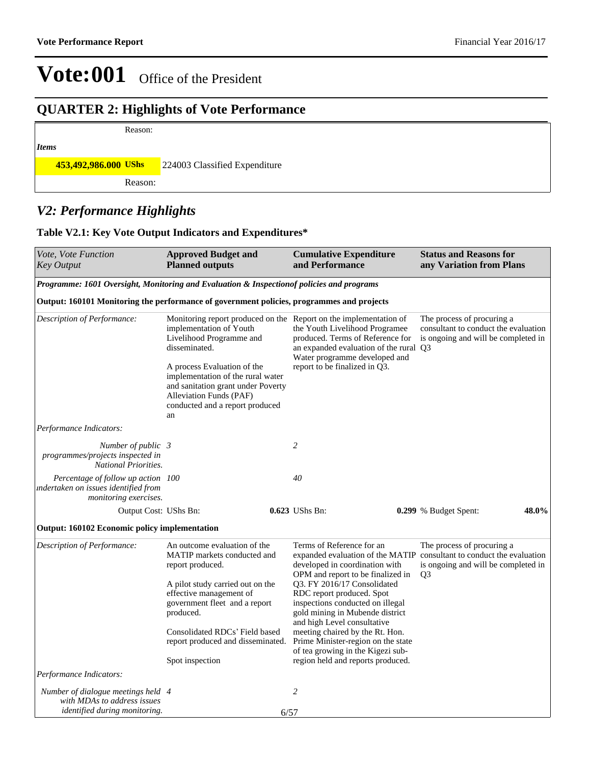## **QUARTER 2: Highlights of Vote Performance**

## *Items*

**453,492,986.000 UShs** 224003 Classified Expenditure

Reason:

Reason:

### *V2: Performance Highlights*

### **Table V2.1: Key Vote Output Indicators and Expenditures\***

| Vote, Vote Function<br><b>Key Output</b>                                                                  | <b>Approved Budget and</b><br><b>Planned outputs</b>                                                                                                                       | <b>Cumulative Expenditure</b><br>and Performance                                                                                                                                                                   | <b>Status and Reasons for</b><br>any Variation from Plans                                                                   |  |  |
|-----------------------------------------------------------------------------------------------------------|----------------------------------------------------------------------------------------------------------------------------------------------------------------------------|--------------------------------------------------------------------------------------------------------------------------------------------------------------------------------------------------------------------|-----------------------------------------------------------------------------------------------------------------------------|--|--|
| Programme: 1601 Oversight, Monitoring and Evaluation & Inspection of policies and programs                |                                                                                                                                                                            |                                                                                                                                                                                                                    |                                                                                                                             |  |  |
| Output: 160101 Monitoring the performance of government policies, programmes and projects                 |                                                                                                                                                                            |                                                                                                                                                                                                                    |                                                                                                                             |  |  |
| Description of Performance:                                                                               | implementation of Youth<br>Livelihood Programme and<br>disseminated.                                                                                                       | Monitoring report produced on the Report on the implementation of<br>the Youth Livelihood Programee<br>produced. Terms of Reference for<br>an expanded evaluation of the rural Q3<br>Water programme developed and | The process of procuring a<br>consultant to conduct the evaluation<br>is ongoing and will be completed in                   |  |  |
|                                                                                                           | A process Evaluation of the<br>implementation of the rural water<br>and sanitation grant under Poverty<br>Alleviation Funds (PAF)<br>conducted and a report produced<br>an | report to be finalized in Q3.                                                                                                                                                                                      |                                                                                                                             |  |  |
| Performance Indicators:                                                                                   |                                                                                                                                                                            |                                                                                                                                                                                                                    |                                                                                                                             |  |  |
| Number of public 3<br>programmes/projects inspected in<br><b>National Priorities.</b>                     |                                                                                                                                                                            | $\overline{c}$                                                                                                                                                                                                     |                                                                                                                             |  |  |
| Percentage of follow up action 100<br>indertaken on issues identified from<br>monitoring exercises.       |                                                                                                                                                                            | 40                                                                                                                                                                                                                 |                                                                                                                             |  |  |
| Output Cost: UShs Bn:                                                                                     |                                                                                                                                                                            | 0.623 UShs Bn:                                                                                                                                                                                                     | 48.0%<br>0.299 % Budget Spent:                                                                                              |  |  |
| <b>Output: 160102 Economic policy implementation</b>                                                      |                                                                                                                                                                            |                                                                                                                                                                                                                    |                                                                                                                             |  |  |
| Description of Performance:                                                                               | An outcome evaluation of the<br>MATIP markets conducted and<br>report produced.                                                                                            | Terms of Reference for an<br>expanded evaluation of the MATIP<br>developed in coordination with<br>OPM and report to be finalized in                                                                               | The process of procuring a<br>consultant to conduct the evaluation<br>is ongoing and will be completed in<br>Q <sub>3</sub> |  |  |
|                                                                                                           | A pilot study carried out on the<br>effective management of<br>government fleet and a report                                                                               | Q3. FY 2016/17 Consolidated<br>RDC report produced. Spot<br>inspections conducted on illegal                                                                                                                       |                                                                                                                             |  |  |
|                                                                                                           | produced.                                                                                                                                                                  | gold mining in Mubende district<br>and high Level consultative                                                                                                                                                     |                                                                                                                             |  |  |
|                                                                                                           | Consolidated RDCs' Field based<br>report produced and disseminated.                                                                                                        | meeting chaired by the Rt. Hon.<br>Prime Minister-region on the state<br>of tea growing in the Kigezi sub-                                                                                                         |                                                                                                                             |  |  |
|                                                                                                           | Spot inspection                                                                                                                                                            | region held and reports produced.                                                                                                                                                                                  |                                                                                                                             |  |  |
| Performance Indicators:                                                                                   |                                                                                                                                                                            |                                                                                                                                                                                                                    |                                                                                                                             |  |  |
| Number of dialogue meetings held 4<br>with MDAs to address issues<br><i>identified during monitoring.</i> |                                                                                                                                                                            | $\overline{c}$<br>6/57                                                                                                                                                                                             |                                                                                                                             |  |  |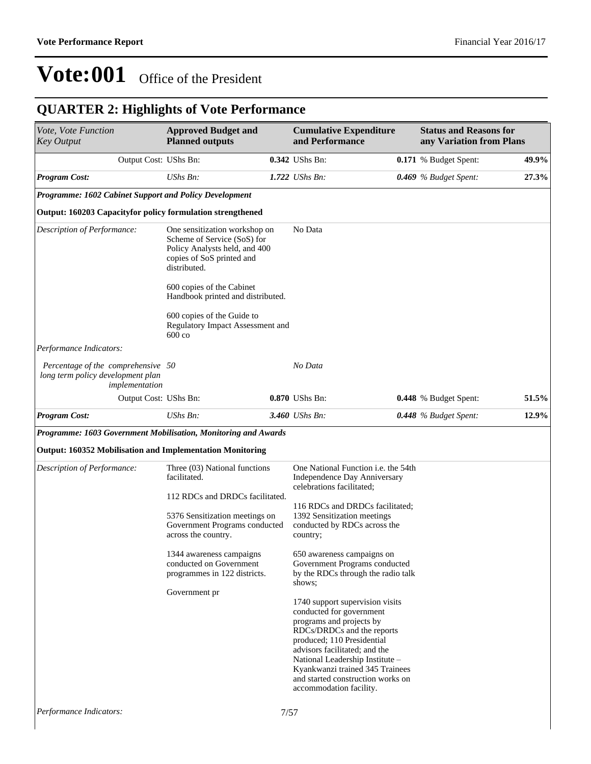## **QUARTER 2: Highlights of Vote Performance**

| Vote, Vote Function<br><b>Key Output</b>                                                  | <b>Approved Budget and</b><br><b>Planned outputs</b>                                                                                       | <b>Cumulative Expenditure</b><br>and Performance                                                                                                                                                                                                                                                                           | <b>Status and Reasons for</b><br>any Variation from Plans |       |
|-------------------------------------------------------------------------------------------|--------------------------------------------------------------------------------------------------------------------------------------------|----------------------------------------------------------------------------------------------------------------------------------------------------------------------------------------------------------------------------------------------------------------------------------------------------------------------------|-----------------------------------------------------------|-------|
| Output Cost: UShs Bn:                                                                     |                                                                                                                                            | 0.342 UShs Bn:                                                                                                                                                                                                                                                                                                             | 0.171 % Budget Spent:                                     | 49.9% |
| <b>Program Cost:</b>                                                                      | UShs Bn:                                                                                                                                   | $1.722$ UShs Bn:                                                                                                                                                                                                                                                                                                           | 0.469 % Budget Spent:                                     | 27.3% |
| Programme: 1602 Cabinet Support and Policy Development                                    |                                                                                                                                            |                                                                                                                                                                                                                                                                                                                            |                                                           |       |
| Output: 160203 Capacityfor policy formulation strengthened                                |                                                                                                                                            |                                                                                                                                                                                                                                                                                                                            |                                                           |       |
| Description of Performance:                                                               | One sensitization workshop on<br>Scheme of Service (SoS) for<br>Policy Analysts held, and 400<br>copies of SoS printed and<br>distributed. | No Data                                                                                                                                                                                                                                                                                                                    |                                                           |       |
|                                                                                           | 600 copies of the Cabinet<br>Handbook printed and distributed.                                                                             |                                                                                                                                                                                                                                                                                                                            |                                                           |       |
|                                                                                           | 600 copies of the Guide to<br>Regulatory Impact Assessment and<br>$600 \text{ co}$                                                         |                                                                                                                                                                                                                                                                                                                            |                                                           |       |
| Performance Indicators:                                                                   |                                                                                                                                            |                                                                                                                                                                                                                                                                                                                            |                                                           |       |
| Percentage of the comprehensive 50<br>long term policy development plan<br>implementation |                                                                                                                                            | No Data                                                                                                                                                                                                                                                                                                                    |                                                           |       |
| Output Cost: UShs Bn:                                                                     |                                                                                                                                            | 0.870 UShs Bn:                                                                                                                                                                                                                                                                                                             | <b>0.448</b> % Budget Spent:                              | 51.5% |
| <b>Program Cost:</b>                                                                      | UShs Bn:                                                                                                                                   | 3.460 UShs Bn:                                                                                                                                                                                                                                                                                                             | 0.448 % Budget Spent:                                     | 12.9% |
| Programme: 1603 Government Mobilisation, Monitoring and Awards                            |                                                                                                                                            |                                                                                                                                                                                                                                                                                                                            |                                                           |       |
| <b>Output: 160352 Mobilisation and Implementation Monitoring</b>                          |                                                                                                                                            |                                                                                                                                                                                                                                                                                                                            |                                                           |       |
| Description of Performance:                                                               | Three (03) National functions<br>facilitated.                                                                                              | One National Function i.e. the 54th<br>Independence Day Anniversary<br>celebrations facilitated;                                                                                                                                                                                                                           |                                                           |       |
|                                                                                           | 112 RDCs and DRDCs facilitated.                                                                                                            |                                                                                                                                                                                                                                                                                                                            |                                                           |       |
|                                                                                           | 5376 Sensitization meetings on<br>Government Programs conducted<br>across the country.                                                     | 116 RDCs and DRDCs facilitated;<br>1392 Sensitization meetings<br>conducted by RDCs across the<br>country;                                                                                                                                                                                                                 |                                                           |       |
|                                                                                           | 1344 awareness campaigns<br>conducted on Government<br>programmes in 122 districts.                                                        | 650 awareness campaigns on<br>Government Programs conducted<br>by the RDCs through the radio talk<br>shows;                                                                                                                                                                                                                |                                                           |       |
|                                                                                           | Government pr                                                                                                                              | 1740 support supervision visits<br>conducted for government<br>programs and projects by<br>RDCs/DRDCs and the reports<br>produced; 110 Presidential<br>advisors facilitated; and the<br>National Leadership Institute -<br>Kyankwanzi trained 345 Trainees<br>and started construction works on<br>accommodation facility. |                                                           |       |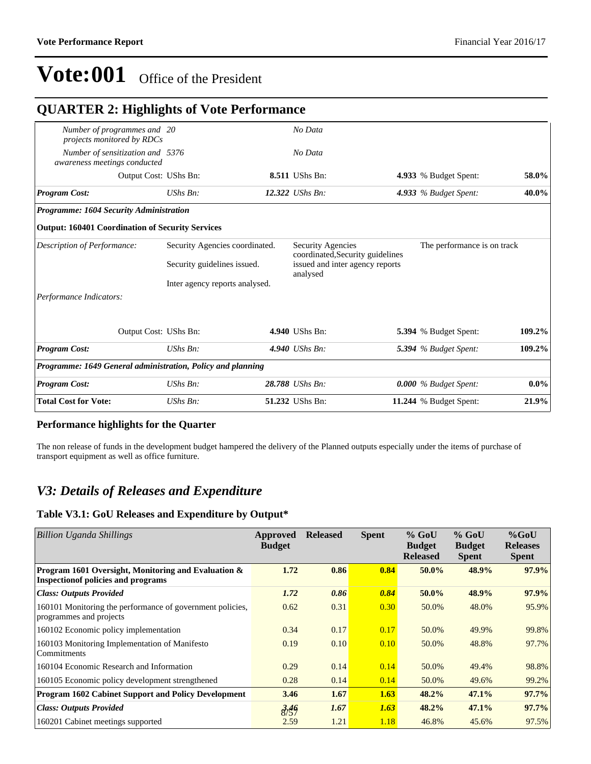| <b>QUARTER 2: Highlights of Vote Performance</b>                 |                                                               |  |                                                                                                                                     |  |                         |         |  |
|------------------------------------------------------------------|---------------------------------------------------------------|--|-------------------------------------------------------------------------------------------------------------------------------------|--|-------------------------|---------|--|
| Number of programmes and 20<br>projects monitored by RDCs        |                                                               |  | No Data                                                                                                                             |  |                         |         |  |
| Number of sensitization and 5376<br>awareness meetings conducted |                                                               |  | No Data                                                                                                                             |  |                         |         |  |
| Output Cost: UShs Bn:                                            |                                                               |  | 8.511 UShs Bn:                                                                                                                      |  | 4.933 % Budget Spent:   | 58.0%   |  |
| <b>Program Cost:</b>                                             | $UShs Bn$ :                                                   |  | 12.322 <i>UShs Bn:</i>                                                                                                              |  | 4.933 $%$ Budget Spent: | 40.0%   |  |
| <b>Programme: 1604 Security Administration</b>                   |                                                               |  |                                                                                                                                     |  |                         |         |  |
| <b>Output: 160401 Coordination of Security Services</b>          |                                                               |  |                                                                                                                                     |  |                         |         |  |
| Description of Performance:                                      | Security Agencies coordinated.<br>Security guidelines issued. |  | Security Agencies<br>The performance is on track<br>coordinated, Security guidelines<br>issued and inter agency reports<br>analysed |  |                         |         |  |
|                                                                  |                                                               |  |                                                                                                                                     |  |                         |         |  |
|                                                                  | Inter agency reports analysed.                                |  |                                                                                                                                     |  |                         |         |  |
| Performance Indicators:                                          |                                                               |  |                                                                                                                                     |  |                         |         |  |
| Output Cost: UShs Bn:                                            |                                                               |  | 4.940 UShs Bn:                                                                                                                      |  | 5.394 % Budget Spent:   | 109.2%  |  |
| <b>Program Cost:</b>                                             | UShs Bn:                                                      |  | 4.940 UShs Bn:                                                                                                                      |  | 5.394 % Budget Spent:   | 109.2%  |  |
| Programme: 1649 General administration, Policy and planning      |                                                               |  |                                                                                                                                     |  |                         |         |  |
| <b>Program Cost:</b>                                             | $UShs Bn$ :                                                   |  | 28.788 UShs Bn:                                                                                                                     |  | $0.000\%$ Budget Spent: | $0.0\%$ |  |
| <b>Total Cost for Vote:</b>                                      | UShs Bn:                                                      |  | 51.232 UShs Bn:                                                                                                                     |  | 11.244 % Budget Spent:  | 21.9%   |  |
|                                                                  |                                                               |  |                                                                                                                                     |  |                         |         |  |

### **Performance highlights for the Quarter**

The non release of funds in the development budget hampered the delivery of the Planned outputs especially under the items of purchase of transport equipment as well as office furniture.

### *V3: Details of Releases and Expenditure*

### **Table V3.1: GoU Releases and Expenditure by Output\***

| <b>Billion Uganda Shillings</b>                                                                   | Approved<br><b>Budget</b> | <b>Released</b> | <b>Spent</b> | $%$ GoU<br><b>Budget</b><br><b>Released</b> | $%$ GoU<br><b>Budget</b><br><b>Spent</b> | $%$ GoU<br><b>Releases</b><br><b>Spent</b> |
|---------------------------------------------------------------------------------------------------|---------------------------|-----------------|--------------|---------------------------------------------|------------------------------------------|--------------------------------------------|
| Program 1601 Oversight, Monitoring and Evaluation &<br><b>Inspection of policies and programs</b> | 1.72                      | 0.86            | 0.84         | $50.0\%$                                    | 48.9%                                    | 97.9%                                      |
| <b>Class: Outputs Provided</b>                                                                    | 1.72                      | 0.86            | 0.84         | $50.0\%$                                    | 48.9%                                    | 97.9%                                      |
| 160101 Monitoring the performance of government policies,<br>programmes and projects              | 0.62                      | 0.31            | 0.30         | 50.0%                                       | 48.0%                                    | 95.9%                                      |
| 160102 Economic policy implementation                                                             | 0.34                      | 0.17            | 0.17         | 50.0%                                       | 49.9%                                    | 99.8%                                      |
| 160103 Monitoring Implementation of Manifesto<br>Commitments                                      | 0.19                      | 0.10            | 0.10         | 50.0%                                       | 48.8%                                    | 97.7%                                      |
| 160104 Economic Research and Information                                                          | 0.29                      | 0.14            | 0.14         | 50.0%                                       | 49.4%                                    | 98.8%                                      |
| 160105 Economic policy development strengthened                                                   | 0.28                      | 0.14            | 0.14         | 50.0%                                       | 49.6%                                    | 99.2%                                      |
| <b>Program 1602 Cabinet Support and Policy Development</b>                                        | 3.46                      | 1.67            | 1.63         | 48.2%                                       | 47.1%                                    | 97.7%                                      |
| <b>Class: Outputs Provided</b>                                                                    | 3,46                      | 1.67            | 1.63         | 48.2%                                       | 47.1%                                    | 97.7%                                      |
| 160201 Cabinet meetings supported                                                                 | 2.59                      | 1.21            | 1.18         | 46.8%                                       | 45.6%                                    | 97.5%                                      |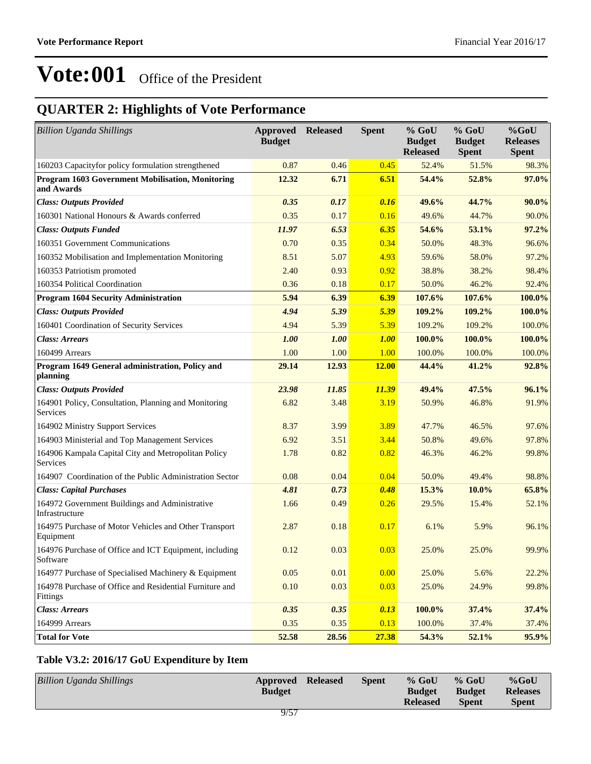## **QUARTER 2: Highlights of Vote Performance**

| <b>Billion Uganda Shillings</b>                                     | <b>Approved Released</b><br><b>Budget</b> |       | <b>Spent</b> | % GoU<br><b>Budget</b><br><b>Released</b> | $%$ GoU<br><b>Budget</b><br><b>Spent</b> | %GoU<br><b>Releases</b><br><b>Spent</b> |
|---------------------------------------------------------------------|-------------------------------------------|-------|--------------|-------------------------------------------|------------------------------------------|-----------------------------------------|
| 160203 Capacityfor policy formulation strengthened                  | 0.87                                      | 0.46  | 0.45         | 52.4%                                     | 51.5%                                    | 98.3%                                   |
| Program 1603 Government Mobilisation, Monitoring<br>and Awards      | 12.32                                     | 6.71  | 6.51         | 54.4%                                     | 52.8%                                    | 97.0%                                   |
| <b>Class: Outputs Provided</b>                                      | 0.35                                      | 0.17  | 0.16         | 49.6%                                     | 44.7%                                    | 90.0%                                   |
| 160301 National Honours & Awards conferred                          | 0.35                                      | 0.17  | 0.16         | 49.6%                                     | 44.7%                                    | 90.0%                                   |
| <b>Class: Outputs Funded</b>                                        | 11.97                                     | 6.53  | 6.35         | 54.6%                                     | 53.1%                                    | 97.2%                                   |
| 160351 Government Communications                                    | 0.70                                      | 0.35  | 0.34         | 50.0%                                     | 48.3%                                    | 96.6%                                   |
| 160352 Mobilisation and Implementation Monitoring                   | 8.51                                      | 5.07  | 4.93         | 59.6%                                     | 58.0%                                    | 97.2%                                   |
| 160353 Patriotism promoted                                          | 2.40                                      | 0.93  | 0.92         | 38.8%                                     | 38.2%                                    | 98.4%                                   |
| 160354 Political Coordination                                       | 0.36                                      | 0.18  | 0.17         | 50.0%                                     | 46.2%                                    | 92.4%                                   |
| <b>Program 1604 Security Administration</b>                         | 5.94                                      | 6.39  | 6.39         | 107.6%                                    | 107.6%                                   | 100.0%                                  |
| <b>Class: Outputs Provided</b>                                      | 4.94                                      | 5.39  | 5.39         | 109.2%                                    | 109.2%                                   | 100.0%                                  |
| 160401 Coordination of Security Services                            | 4.94                                      | 5.39  | 5.39         | 109.2%                                    | 109.2%                                   | 100.0%                                  |
| <b>Class: Arrears</b>                                               | 1.00                                      | 1.00  | 1.00         | 100.0%                                    | 100.0%                                   | 100.0%                                  |
| 160499 Arrears                                                      | 1.00                                      | 1.00  | 1.00         | 100.0%                                    | 100.0%                                   | 100.0%                                  |
| Program 1649 General administration, Policy and<br>planning         | 29.14                                     | 12.93 | <b>12.00</b> | 44.4%                                     | 41.2%                                    | 92.8%                                   |
| <b>Class: Outputs Provided</b>                                      | 23.98                                     | 11.85 | 11.39        | 49.4%                                     | 47.5%                                    | 96.1%                                   |
| 164901 Policy, Consultation, Planning and Monitoring<br>Services    | 6.82                                      | 3.48  | 3.19         | 50.9%                                     | 46.8%                                    | 91.9%                                   |
| 164902 Ministry Support Services                                    | 8.37                                      | 3.99  | 3.89         | 47.7%                                     | 46.5%                                    | 97.6%                                   |
| 164903 Ministerial and Top Management Services                      | 6.92                                      | 3.51  | 3.44         | 50.8%                                     | 49.6%                                    | 97.8%                                   |
| 164906 Kampala Capital City and Metropolitan Policy<br>Services     | 1.78                                      | 0.82  | 0.82         | 46.3%                                     | 46.2%                                    | 99.8%                                   |
| 164907 Coordination of the Public Administration Sector             | 0.08                                      | 0.04  | 0.04         | 50.0%                                     | 49.4%                                    | 98.8%                                   |
| <b>Class: Capital Purchases</b>                                     | 4.81                                      | 0.73  | 0.48         | 15.3%                                     | 10.0%                                    | 65.8%                                   |
| 164972 Government Buildings and Administrative<br>Infrastructure    | 1.66                                      | 0.49  | 0.26         | 29.5%                                     | 15.4%                                    | 52.1%                                   |
| 164975 Purchase of Motor Vehicles and Other Transport<br>Equipment  | 2.87                                      | 0.18  | 0.17         | 6.1%                                      | 5.9%                                     | 96.1%                                   |
| 164976 Purchase of Office and ICT Equipment, including<br>Software  | 0.12                                      | 0.03  | 0.03         | 25.0%                                     | 25.0%                                    | 99.9%                                   |
| 164977 Purchase of Specialised Machinery & Equipment                | 0.05                                      | 0.01  | 0.00         | 25.0%                                     | 5.6%                                     | 22.2%                                   |
| 164978 Purchase of Office and Residential Furniture and<br>Fittings | 0.10                                      | 0.03  | 0.03         | 25.0%                                     | 24.9%                                    | 99.8%                                   |
| <b>Class: Arrears</b>                                               | 0.35                                      | 0.35  | 0.13         | 100.0%                                    | 37.4%                                    | 37.4%                                   |
| 164999 Arrears                                                      | 0.35                                      | 0.35  | 0.13         | 100.0%                                    | 37.4%                                    | 37.4%                                   |
| <b>Total for Vote</b>                                               | 52.58                                     | 28.56 | 27.38        | 54.3%                                     | 52.1%                                    | 95.9%                                   |

### **Table V3.2: 2016/17 GoU Expenditure by Item**

| <b>Billion Uganda Shillings</b> | Approved<br><b>Budget</b> | <b>Released</b> | <b>Spent</b> | $%$ GoU<br><b>Budget</b> | $%$ GoU<br><b>Budget</b> | $%$ GoU<br><b>Releases</b> |
|---------------------------------|---------------------------|-----------------|--------------|--------------------------|--------------------------|----------------------------|
|                                 |                           |                 |              | <b>Released</b>          | <b>Spent</b>             | <b>Spent</b>               |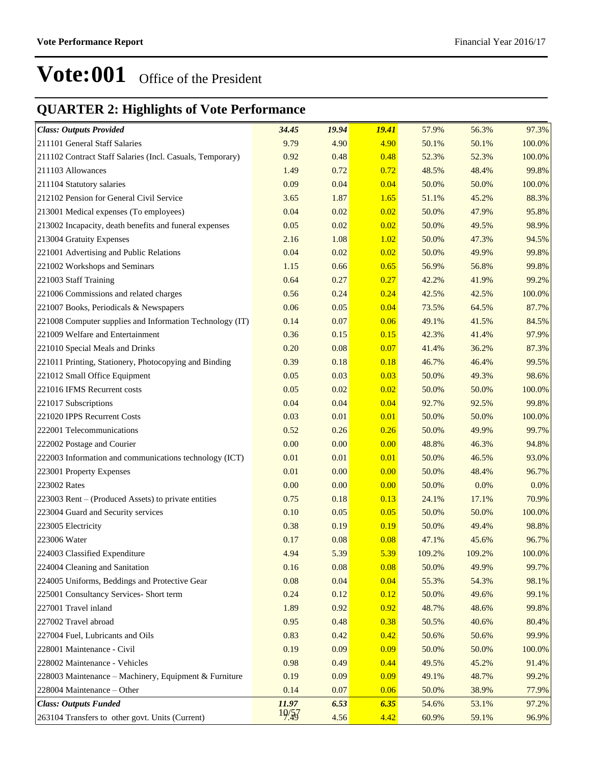## **QUARTER 2: Highlights of Vote Performance**

| <b>Class: Outputs Provided</b>                            | 34.45 | 19.94 | <b>19.41</b> | 57.9%  | 56.3%  | 97.3%  |
|-----------------------------------------------------------|-------|-------|--------------|--------|--------|--------|
| 211101 General Staff Salaries                             | 9.79  | 4.90  | 4.90         | 50.1%  | 50.1%  | 100.0% |
| 211102 Contract Staff Salaries (Incl. Casuals, Temporary) | 0.92  | 0.48  | 0.48         | 52.3%  | 52.3%  | 100.0% |
| 211103 Allowances                                         | 1.49  | 0.72  | 0.72         | 48.5%  | 48.4%  | 99.8%  |
| 211104 Statutory salaries                                 | 0.09  | 0.04  | 0.04         | 50.0%  | 50.0%  | 100.0% |
| 212102 Pension for General Civil Service                  | 3.65  | 1.87  | 1.65         | 51.1%  | 45.2%  | 88.3%  |
| 213001 Medical expenses (To employees)                    | 0.04  | 0.02  | 0.02         | 50.0%  | 47.9%  | 95.8%  |
| 213002 Incapacity, death benefits and funeral expenses    | 0.05  | 0.02  | 0.02         | 50.0%  | 49.5%  | 98.9%  |
| 213004 Gratuity Expenses                                  | 2.16  | 1.08  | 1.02         | 50.0%  | 47.3%  | 94.5%  |
| 221001 Advertising and Public Relations                   | 0.04  | 0.02  | 0.02         | 50.0%  | 49.9%  | 99.8%  |
| 221002 Workshops and Seminars                             | 1.15  | 0.66  | 0.65         | 56.9%  | 56.8%  | 99.8%  |
| 221003 Staff Training                                     | 0.64  | 0.27  | 0.27         | 42.2%  | 41.9%  | 99.2%  |
| 221006 Commissions and related charges                    | 0.56  | 0.24  | 0.24         | 42.5%  | 42.5%  | 100.0% |
| 221007 Books, Periodicals & Newspapers                    | 0.06  | 0.05  | 0.04         | 73.5%  | 64.5%  | 87.7%  |
| 221008 Computer supplies and Information Technology (IT)  | 0.14  | 0.07  | 0.06         | 49.1%  | 41.5%  | 84.5%  |
| 221009 Welfare and Entertainment                          | 0.36  | 0.15  | 0.15         | 42.3%  | 41.4%  | 97.9%  |
| 221010 Special Meals and Drinks                           | 0.20  | 0.08  | 0.07         | 41.4%  | 36.2%  | 87.3%  |
| 221011 Printing, Stationery, Photocopying and Binding     | 0.39  | 0.18  | 0.18         | 46.7%  | 46.4%  | 99.5%  |
| 221012 Small Office Equipment                             | 0.05  | 0.03  | 0.03         | 50.0%  | 49.3%  | 98.6%  |
| 221016 IFMS Recurrent costs                               | 0.05  | 0.02  | 0.02         | 50.0%  | 50.0%  | 100.0% |
| 221017 Subscriptions                                      | 0.04  | 0.04  | 0.04         | 92.7%  | 92.5%  | 99.8%  |
| 221020 IPPS Recurrent Costs                               | 0.03  | 0.01  | 0.01         | 50.0%  | 50.0%  | 100.0% |
| 222001 Telecommunications                                 | 0.52  | 0.26  | 0.26         | 50.0%  | 49.9%  | 99.7%  |
| 222002 Postage and Courier                                | 0.00  | 0.00  | 0.00         | 48.8%  | 46.3%  | 94.8%  |
| 222003 Information and communications technology (ICT)    | 0.01  | 0.01  | 0.01         | 50.0%  | 46.5%  | 93.0%  |
| 223001 Property Expenses                                  | 0.01  | 0.00  | 0.00         | 50.0%  | 48.4%  | 96.7%  |
| 223002 Rates                                              | 0.00  | 0.00  | 0.00         | 50.0%  | 0.0%   | 0.0%   |
| 223003 Rent – (Produced Assets) to private entities       | 0.75  | 0.18  | 0.13         | 24.1%  | 17.1%  | 70.9%  |
| 223004 Guard and Security services                        | 0.10  | 0.05  | 0.05         | 50.0%  | 50.0%  | 100.0% |
| 223005 Electricity                                        | 0.38  | 0.19  | 0.19         | 50.0%  | 49.4%  | 98.8%  |
| 223006 Water                                              | 0.17  | 0.08  | 0.08         | 47.1%  | 45.6%  | 96.7%  |
| 224003 Classified Expenditure                             | 4.94  | 5.39  | 5.39         | 109.2% | 109.2% | 100.0% |
| 224004 Cleaning and Sanitation                            | 0.16  | 0.08  | 0.08         | 50.0%  | 49.9%  | 99.7%  |
| 224005 Uniforms, Beddings and Protective Gear             | 0.08  | 0.04  | 0.04         | 55.3%  | 54.3%  | 98.1%  |
| 225001 Consultancy Services- Short term                   | 0.24  | 0.12  | 0.12         | 50.0%  | 49.6%  | 99.1%  |
| 227001 Travel inland                                      | 1.89  | 0.92  | 0.92         | 48.7%  | 48.6%  | 99.8%  |
| 227002 Travel abroad                                      | 0.95  | 0.48  | 0.38         | 50.5%  | 40.6%  | 80.4%  |
| 227004 Fuel, Lubricants and Oils                          | 0.83  | 0.42  | 0.42         | 50.6%  | 50.6%  | 99.9%  |
| 228001 Maintenance - Civil                                | 0.19  | 0.09  | 0.09         | 50.0%  | 50.0%  | 100.0% |
| 228002 Maintenance - Vehicles                             | 0.98  | 0.49  | 0.44         | 49.5%  | 45.2%  | 91.4%  |
| 228003 Maintenance - Machinery, Equipment & Furniture     | 0.19  | 0.09  | 0.09         | 49.1%  | 48.7%  | 99.2%  |
| 228004 Maintenance - Other                                | 0.14  | 0.07  | 0.06         | 50.0%  | 38.9%  | 77.9%  |
| <b>Class: Outputs Funded</b>                              | 11.97 | 6.53  | 6.35         | 54.6%  | 53.1%  | 97.2%  |
| 263104 Transfers to other govt. Units (Current)           | 19/57 | 4.56  | 4.42         | 60.9%  | 59.1%  | 96.9%  |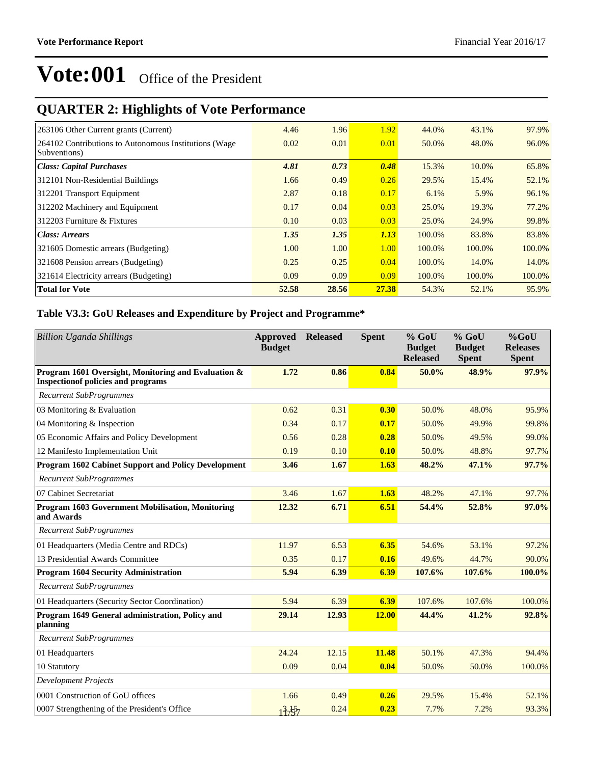## **QUARTER 2: Highlights of Vote Performance**

| 263106 Other Current grants (Current)                  | 4.46  | 1.96  | 1.92  | 44.0%  | 43.1%  | 97.9%  |
|--------------------------------------------------------|-------|-------|-------|--------|--------|--------|
| 264102 Contributions to Autonomous Institutions (Wage) | 0.02  | 0.01  | 0.01  | 50.0%  | 48.0%  | 96.0%  |
| Subventions)                                           |       |       |       |        |        |        |
| Class: Capital Purchases                               | 4.81  | 0.73  | 0.48  | 15.3%  | 10.0%  | 65.8%  |
| 312101 Non-Residential Buildings                       | 1.66  | 0.49  | 0.26  | 29.5%  | 15.4%  | 52.1%  |
| 312201 Transport Equipment                             | 2.87  | 0.18  | 0.17  | 6.1%   | 5.9%   | 96.1%  |
| 312202 Machinery and Equipment                         | 0.17  | 0.04  | 0.03  | 25.0%  | 19.3%  | 77.2%  |
| 312203 Furniture & Fixtures                            | 0.10  | 0.03  | 0.03  | 25.0%  | 24.9%  | 99.8%  |
| Class: Arrears                                         | 1.35  | 1.35  | 1.13  | 100.0% | 83.8%  | 83.8%  |
| 321605 Domestic arrears (Budgeting)                    | 1.00  | 1.00  | 1.00  | 100.0% | 100.0% | 100.0% |
| 321608 Pension arrears (Budgeting)                     | 0.25  | 0.25  | 0.04  | 100.0% | 14.0%  | 14.0%  |
| 321614 Electricity arrears (Budgeting)                 | 0.09  | 0.09  | 0.09  | 100.0% | 100.0% | 100.0% |
| <b>Total for Vote</b>                                  | 52.58 | 28.56 | 27.38 | 54.3%  | 52.1%  | 95.9%  |

### **Table V3.3: GoU Releases and Expenditure by Project and Programme\***

| <b>Billion Uganda Shillings</b>                                                                   | Approved<br><b>Budget</b> | <b>Released</b> | <b>Spent</b> | % GoU<br><b>Budget</b><br><b>Released</b> | % GoU<br><b>Budget</b><br><b>Spent</b> | $%$ GoU<br><b>Releases</b><br><b>Spent</b> |
|---------------------------------------------------------------------------------------------------|---------------------------|-----------------|--------------|-------------------------------------------|----------------------------------------|--------------------------------------------|
| Program 1601 Oversight, Monitoring and Evaluation &<br><b>Inspection of policies and programs</b> | 1.72                      | 0.86            | 0.84         | 50.0%                                     | 48.9%                                  | 97.9%                                      |
| <b>Recurrent SubProgrammes</b>                                                                    |                           |                 |              |                                           |                                        |                                            |
| 03 Monitoring & Evaluation                                                                        | 0.62                      | 0.31            | 0.30         | 50.0%                                     | 48.0%                                  | 95.9%                                      |
| 04 Monitoring & Inspection                                                                        | 0.34                      | 0.17            | 0.17         | 50.0%                                     | 49.9%                                  | 99.8%                                      |
| 05 Economic Affairs and Policy Development                                                        | 0.56                      | 0.28            | 0.28         | 50.0%                                     | 49.5%                                  | 99.0%                                      |
| 12 Manifesto Implementation Unit                                                                  | 0.19                      | 0.10            | 0.10         | 50.0%                                     | 48.8%                                  | 97.7%                                      |
| <b>Program 1602 Cabinet Support and Policy Development</b>                                        | 3.46                      | 1.67            | 1.63         | 48.2%                                     | 47.1%                                  | 97.7%                                      |
| <b>Recurrent SubProgrammes</b>                                                                    |                           |                 |              |                                           |                                        |                                            |
| 07 Cabinet Secretariat                                                                            | 3.46                      | 1.67            | 1.63         | 48.2%                                     | 47.1%                                  | 97.7%                                      |
| Program 1603 Government Mobilisation, Monitoring<br>and Awards                                    | 12.32                     | 6.71            | 6.51         | 54.4%                                     | 52.8%                                  | 97.0%                                      |
| <b>Recurrent SubProgrammes</b>                                                                    |                           |                 |              |                                           |                                        |                                            |
| 01 Headquarters (Media Centre and RDCs)                                                           | 11.97                     | 6.53            | 6.35         | 54.6%                                     | 53.1%                                  | 97.2%                                      |
| 13 Presidential Awards Committee                                                                  | 0.35                      | 0.17            | 0.16         | 49.6%                                     | 44.7%                                  | 90.0%                                      |
| <b>Program 1604 Security Administration</b>                                                       | 5.94                      | 6.39            | 6.39         | 107.6%                                    | 107.6%                                 | 100.0%                                     |
| <b>Recurrent SubProgrammes</b>                                                                    |                           |                 |              |                                           |                                        |                                            |
| 01 Headquarters (Security Sector Coordination)                                                    | 5.94                      | 6.39            | 6.39         | 107.6%                                    | 107.6%                                 | 100.0%                                     |
| Program 1649 General administration, Policy and<br>planning                                       | 29.14                     | 12.93           | <b>12.00</b> | 44.4%                                     | 41.2%                                  | 92.8%                                      |
| <b>Recurrent SubProgrammes</b>                                                                    |                           |                 |              |                                           |                                        |                                            |
| 01 Headquarters                                                                                   | 24.24                     | 12.15           | 11.48        | 50.1%                                     | 47.3%                                  | 94.4%                                      |
| 10 Statutory                                                                                      | 0.09                      | 0.04            | 0.04         | 50.0%                                     | 50.0%                                  | 100.0%                                     |
| <b>Development Projects</b>                                                                       |                           |                 |              |                                           |                                        |                                            |
| 0001 Construction of GoU offices                                                                  | 1.66                      | 0.49            | 0.26         | 29.5%                                     | 15.4%                                  | 52.1%                                      |
| 0007 Strengthening of the President's Office                                                      | 13.57                     | 0.24            | 0.23         | 7.7%                                      | 7.2%                                   | 93.3%                                      |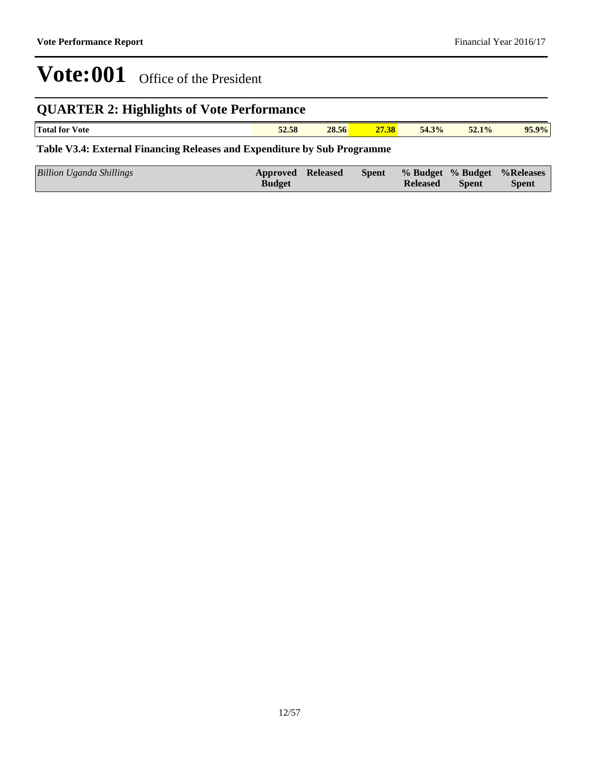## **QUARTER 2: Highlights of Vote Performance**

|  | <b>Total for</b><br>√ote | $\overline{a}$<br>$F_{\Omega}$<br>52.58 | 28.56 | 28<br>21.30 | 54.3% | 52.1% | $95.9\%$ |
|--|--------------------------|-----------------------------------------|-------|-------------|-------|-------|----------|
|--|--------------------------|-----------------------------------------|-------|-------------|-------|-------|----------|

### **Table V3.4: External Financing Releases and Expenditure by Sub Programme**

| Billion Uganda Shillings<br><b>Budget</b> | Approved Released |  | <b>Released</b> | <b>Spent</b> | Spent % Budget % Budget % Releases<br><b>Spent</b> |
|-------------------------------------------|-------------------|--|-----------------|--------------|----------------------------------------------------|
|-------------------------------------------|-------------------|--|-----------------|--------------|----------------------------------------------------|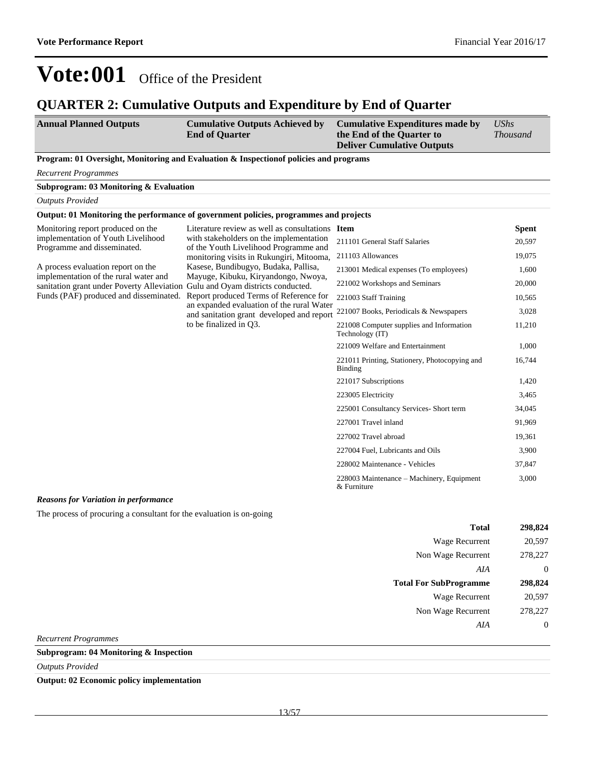### **QUARTER 2: Cumulative Outputs and Expenditure by End of Quarter**

| <b>Annual Planned Outputs</b> | <b>Cumulative Outputs Achieved by</b> | <b>Cumulative Expenditures made by</b> | UShs            |
|-------------------------------|---------------------------------------|----------------------------------------|-----------------|
|                               | <b>End of Quarter</b>                 | the End of the Quarter to              | <i>Thousand</i> |
|                               |                                       | <b>Deliver Cumulative Outputs</b>      |                 |

#### **Program: 01 Oversight, Monitoring and Evaluation & Inspectionof policies and programs**

*Recurrent Programmes*

**Subprogram: 03 Monitoring & Evaluation**

*Outputs Provided*

#### **Output: 01 Monitoring the performance of government policies, programmes and projects**

| Monitoring report produced on the                                           | Literature review as well as consultations Item                                                                         |                                                             | <b>Spent</b>                           |                   |        |
|-----------------------------------------------------------------------------|-------------------------------------------------------------------------------------------------------------------------|-------------------------------------------------------------|----------------------------------------|-------------------|--------|
| implementation of Youth Livelihood<br>Programme and disseminated.           | with stakeholders on the implementation<br>of the Youth Livelihood Programme and                                        | 211101 General Staff Salaries                               | 20,597                                 |                   |        |
|                                                                             | monitoring visits in Rukungiri, Mitooma,<br>Kasese, Bundibugyo, Budaka, Pallisa,<br>Mayuge, Kibuku, Kiryandongo, Nwoya, |                                                             |                                        | 211103 Allowances | 19,075 |
| A process evaluation report on the<br>implementation of the rural water and |                                                                                                                         | 213001 Medical expenses (To employees)                      | 1,600                                  |                   |        |
| sanitation grant under Poverty Alleviation                                  | Gulu and Oyam districts conducted.                                                                                      | 221002 Workshops and Seminars                               | 20,000                                 |                   |        |
| Funds (PAF) produced and disseminated.                                      | Report produced Terms of Reference for                                                                                  | 221003 Staff Training                                       | 10,565                                 |                   |        |
|                                                                             | and sanitation grant developed and report<br>to be finalized in Q3.                                                     | an expanded evaluation of the rural Water                   | 221007 Books, Periodicals & Newspapers | 3,028             |        |
|                                                                             |                                                                                                                         | 221008 Computer supplies and Information<br>Technology (IT) | 11,210                                 |                   |        |
|                                                                             |                                                                                                                         | 221009 Welfare and Entertainment                            | 1,000                                  |                   |        |
|                                                                             |                                                                                                                         | 221011 Printing, Stationery, Photocopying and<br>Binding    | 16,744                                 |                   |        |
|                                                                             |                                                                                                                         | 221017 Subscriptions                                        | 1,420                                  |                   |        |
|                                                                             |                                                                                                                         | 223005 Electricity                                          | 3,465                                  |                   |        |
|                                                                             |                                                                                                                         | 225001 Consultancy Services- Short term                     | 34,045                                 |                   |        |
|                                                                             |                                                                                                                         | 227001 Travel inland                                        | 91,969                                 |                   |        |
|                                                                             |                                                                                                                         | 227002 Travel abroad                                        | 19,361                                 |                   |        |
|                                                                             |                                                                                                                         | 227004 Fuel, Lubricants and Oils                            | 3,900                                  |                   |        |
|                                                                             |                                                                                                                         | 228002 Maintenance - Vehicles                               | 37,847                                 |                   |        |
|                                                                             |                                                                                                                         | 228003 Maintenance – Machinery, Equipment<br>& Furniture    | 3,000                                  |                   |        |

### *Reasons for Variation in performance*

The process of procuring a consultant for the evaluation is on-going

| Total                         | 298,824 |
|-------------------------------|---------|
| Wage Recurrent                | 20,597  |
| Non Wage Recurrent            | 278,227 |
| AIA                           | 0       |
|                               |         |
| <b>Total For SubProgramme</b> | 298,824 |
| Wage Recurrent                | 20,597  |
| Non Wage Recurrent            | 278,227 |
| A I A                         | 0       |

*Recurrent Programmes*

### **Subprogram: 04 Monitoring & Inspection**

*Outputs Provided*

**Output: 02 Economic policy implementation**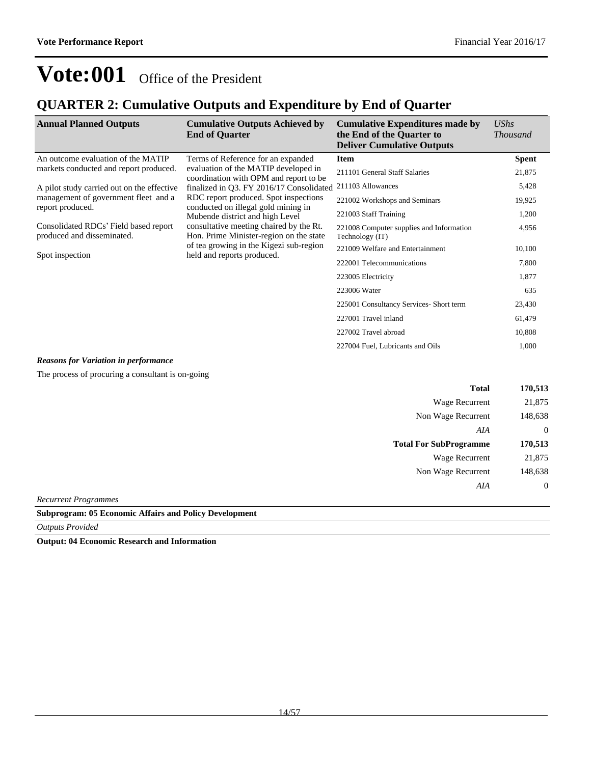### **QUARTER 2: Cumulative Outputs and Expenditure by End of Quarter**

| <b>Annual Planned Outputs</b>                                       | <b>Cumulative Outputs Achieved by</b><br><b>End of Quarter</b>                                                                                                                                                                                                                                                                                                                                               | <b>Cumulative Expenditures made by</b><br>the End of the Quarter to<br><b>Deliver Cumulative Outputs</b> | UShs<br><i>Thousand</i> |
|---------------------------------------------------------------------|--------------------------------------------------------------------------------------------------------------------------------------------------------------------------------------------------------------------------------------------------------------------------------------------------------------------------------------------------------------------------------------------------------------|----------------------------------------------------------------------------------------------------------|-------------------------|
| An outcome evaluation of the MATIP                                  | Terms of Reference for an expanded                                                                                                                                                                                                                                                                                                                                                                           | <b>Item</b>                                                                                              | <b>Spent</b>            |
| markets conducted and report produced.                              | evaluation of the MATIP developed in<br>coordination with OPM and report to be<br>finalized in Q3. FY 2016/17 Consolidated<br>RDC report produced. Spot inspections<br>conducted on illegal gold mining in<br>Mubende district and high Level<br>consultative meeting chaired by the Rt.<br>Hon. Prime Minister-region on the state<br>of tea growing in the Kigezi sub-region<br>held and reports produced. | 211101 General Staff Salaries                                                                            | 21,875                  |
| A pilot study carried out on the effective                          |                                                                                                                                                                                                                                                                                                                                                                                                              | 211103 Allowances                                                                                        | 5,428                   |
| management of government fleet and a<br>report produced.            |                                                                                                                                                                                                                                                                                                                                                                                                              | 221002 Workshops and Seminars                                                                            | 19,925                  |
|                                                                     |                                                                                                                                                                                                                                                                                                                                                                                                              | 221003 Staff Training                                                                                    | 1,200                   |
| Consolidated RDCs' Field based report<br>produced and disseminated. |                                                                                                                                                                                                                                                                                                                                                                                                              | 221008 Computer supplies and Information<br>Technology (IT)                                              | 4,956                   |
|                                                                     |                                                                                                                                                                                                                                                                                                                                                                                                              | 221009 Welfare and Entertainment                                                                         | 10,100                  |
| Spot inspection                                                     |                                                                                                                                                                                                                                                                                                                                                                                                              | 222001 Telecommunications                                                                                | 7,800                   |
|                                                                     |                                                                                                                                                                                                                                                                                                                                                                                                              | 223005 Electricity                                                                                       | 1,877                   |
|                                                                     |                                                                                                                                                                                                                                                                                                                                                                                                              | 223006 Water                                                                                             | 635                     |
|                                                                     |                                                                                                                                                                                                                                                                                                                                                                                                              | 225001 Consultancy Services- Short term                                                                  | 23,430                  |
|                                                                     |                                                                                                                                                                                                                                                                                                                                                                                                              | 227001 Travel inland                                                                                     | 61,479                  |
|                                                                     |                                                                                                                                                                                                                                                                                                                                                                                                              | 227002 Travel abroad                                                                                     | 10,808                  |
|                                                                     |                                                                                                                                                                                                                                                                                                                                                                                                              | 227004 Fuel, Lubricants and Oils                                                                         | 1,000                   |

#### *Reasons for Variation in performance*

The process of procuring a consultant is on-going

| <b>Total</b>                  | 170,513 |
|-------------------------------|---------|
| Wage Recurrent                | 21,875  |
| Non Wage Recurrent            | 148,638 |
| AIA                           | 0       |
|                               |         |
| <b>Total For SubProgramme</b> | 170,513 |
| Wage Recurrent                | 21,875  |
| Non Wage Recurrent            | 148,638 |
| AIA                           |         |

*Recurrent Programmes*

**Subprogram: 05 Economic Affairs and Policy Development**

*Outputs Provided*

**Output: 04 Economic Research and Information**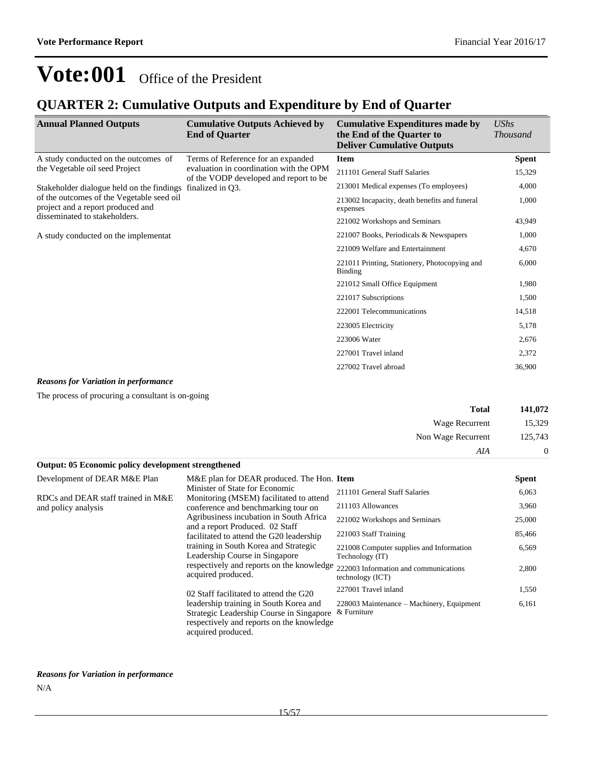### **QUARTER 2: Cumulative Outputs and Expenditure by End of Quarter**

| <b>Annual Planned Outputs</b>                                                  | <b>Cumulative Outputs Achieved by</b><br><b>End of Quarter</b>                    | <b>Cumulative Expenditures made by</b><br>the End of the Quarter to<br><b>Deliver Cumulative Outputs</b> | <b>UShs</b><br><b>Thousand</b> |
|--------------------------------------------------------------------------------|-----------------------------------------------------------------------------------|----------------------------------------------------------------------------------------------------------|--------------------------------|
| A study conducted on the outcomes of                                           | Terms of Reference for an expanded                                                | <b>Item</b>                                                                                              | <b>Spent</b>                   |
| the Vegetable oil seed Project                                                 | evaluation in coordination with the OPM<br>of the VODP developed and report to be | 211101 General Staff Salaries                                                                            | 15,329                         |
| finalized in Q3.<br>Stakeholder dialogue held on the findings                  | 213001 Medical expenses (To employees)                                            | 4,000                                                                                                    |                                |
| of the outcomes of the Vegetable seed oil<br>project and a report produced and |                                                                                   | 213002 Incapacity, death benefits and funeral<br>expenses                                                | 1,000                          |
| disseminated to stakeholders.                                                  | 221002 Workshops and Seminars                                                     | 43,949                                                                                                   |                                |
| A study conducted on the implementat                                           |                                                                                   | 221007 Books, Periodicals & Newspapers                                                                   | 1,000                          |
|                                                                                |                                                                                   | 221009 Welfare and Entertainment                                                                         | 4,670                          |
|                                                                                |                                                                                   | 221011 Printing, Stationery, Photocopying and<br>Binding                                                 | 6,000                          |
|                                                                                |                                                                                   | 221012 Small Office Equipment                                                                            | 1,980                          |
|                                                                                |                                                                                   | 221017 Subscriptions                                                                                     | 1,500                          |
|                                                                                |                                                                                   | 222001 Telecommunications                                                                                | 14,518                         |
|                                                                                |                                                                                   | 223005 Electricity                                                                                       | 5,178                          |
|                                                                                |                                                                                   | 223006 Water                                                                                             | 2,676                          |
|                                                                                |                                                                                   | 227001 Travel inland                                                                                     | 2,372                          |
|                                                                                |                                                                                   | 227002 Travel abroad                                                                                     | 36,900                         |

### *Reasons for Variation in performance*

The process of procuring a consultant is on-going

| 141,072        | <b>Total</b>       |
|----------------|--------------------|
| 15,329         | Wage Recurrent     |
| 125,743        | Non Wage Recurrent |
| $\overline{0}$ | AIA                |

| Output: 05 Economic policy development strengthened                                                                                                                                    |                                                                                                                                                       |                                                             |              |
|----------------------------------------------------------------------------------------------------------------------------------------------------------------------------------------|-------------------------------------------------------------------------------------------------------------------------------------------------------|-------------------------------------------------------------|--------------|
| Development of DEAR M&E Plan                                                                                                                                                           | M&E plan for DEAR produced. The Hon. Item                                                                                                             |                                                             | <b>Spent</b> |
| RDCs and DEAR staff trained in M&E                                                                                                                                                     | Minister of State for Economic<br>Monitoring (MSEM) facilitated to attend                                                                             | 211101 General Staff Salaries                               | 6,063        |
| and policy analysis                                                                                                                                                                    | conference and benchmarking tour on                                                                                                                   | 211103 Allowances                                           | 3,960        |
|                                                                                                                                                                                        | Agribusiness incubation in South Africa<br>and a report Produced. 02 Staff                                                                            | 221002 Workshops and Seminars                               | 25,000       |
| facilitated to attend the G20 leadership<br>training in South Korea and Strategic<br>Leadership Course in Singapore<br>respectively and reports on the knowledge<br>acquired produced. |                                                                                                                                                       | 221003 Staff Training                                       | 85,466       |
|                                                                                                                                                                                        |                                                                                                                                                       | 221008 Computer supplies and Information<br>Technology (IT) | 6,569        |
|                                                                                                                                                                                        | 222003 Information and communications<br>technology (ICT)                                                                                             | 2,800                                                       |              |
|                                                                                                                                                                                        | 02 Staff facilitated to attend the G20                                                                                                                | 227001 Travel inland                                        | 1,550        |
|                                                                                                                                                                                        | leadership training in South Korea and<br>Strategic Leadership Course in Singapore<br>respectively and reports on the knowledge<br>acquired produced. | 228003 Maintenance – Machinery, Equipment<br>& Furniture    | 6,161        |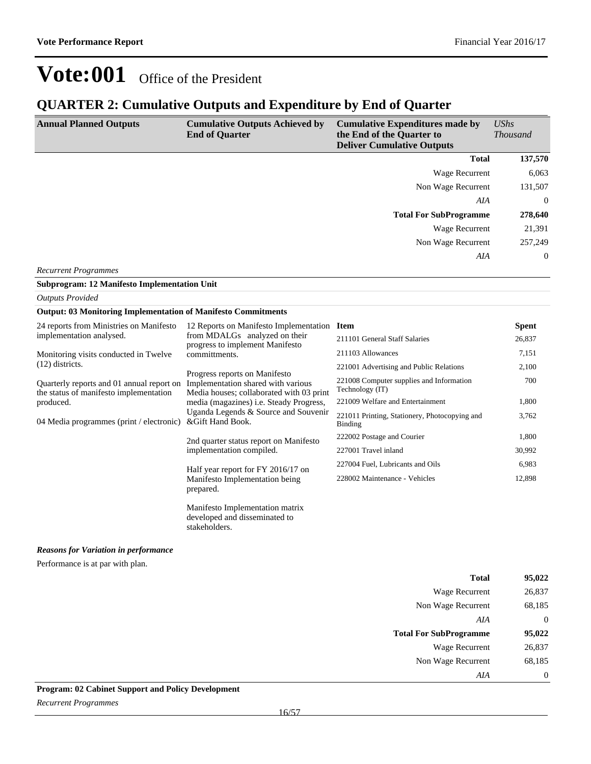### **QUARTER 2: Cumulative Outputs and Expenditure by End of Quarter**

| <b>Annual Planned Outputs</b> | <b>Cumulative Outputs Achieved by</b><br><b>End of Quarter</b> | <b>Cumulative Expenditures made by</b><br>the End of the Quarter to<br><b>Deliver Cumulative Outputs</b> | UShs<br><i>Thousand</i> |
|-------------------------------|----------------------------------------------------------------|----------------------------------------------------------------------------------------------------------|-------------------------|
|                               |                                                                | <b>Total</b>                                                                                             | 137,570                 |
|                               |                                                                | Wage Recurrent                                                                                           | 6,063                   |
|                               |                                                                | Non Wage Recurrent                                                                                       | 131,507                 |
|                               |                                                                | AIA                                                                                                      | $\overline{0}$          |
|                               |                                                                | <b>Total For SubProgramme</b>                                                                            | 278,640                 |
|                               |                                                                | Wage Recurrent                                                                                           | 21,391                  |
|                               |                                                                | Non Wage Recurrent                                                                                       | 257,249                 |
| <b>Recurrent Programmes</b>   |                                                                | AIA                                                                                                      | $\overline{0}$          |

**Subprogram: 12 Manifesto Implementation Unit**

| <b>Outputs Provided</b>                                                                          |                                                                                                                                                                                                                               |                                                             |              |  |
|--------------------------------------------------------------------------------------------------|-------------------------------------------------------------------------------------------------------------------------------------------------------------------------------------------------------------------------------|-------------------------------------------------------------|--------------|--|
|                                                                                                  | <b>Output: 03 Monitoring Implementation of Manifesto Commitments</b>                                                                                                                                                          |                                                             |              |  |
| 24 reports from Ministries on Manifesto                                                          | 12 Reports on Manifesto Implementation Item<br>from MDALGs analyzed on their<br>progress to implement Manifesto                                                                                                               |                                                             | <b>Spent</b> |  |
| implementation analysed.                                                                         |                                                                                                                                                                                                                               | 211101 General Staff Salaries                               | 26,837       |  |
| Monitoring visits conducted in Twelve                                                            | committments.                                                                                                                                                                                                                 | 211103 Allowances                                           | 7,151        |  |
| $(12)$ districts.                                                                                |                                                                                                                                                                                                                               | 221001 Advertising and Public Relations                     | 2,100        |  |
| Quarterly reports and 01 annual report on<br>the status of manifesto implementation<br>produced. | Progress reports on Manifesto<br>Implementation shared with various<br>Media houses; collaborated with 03 print<br>media (magazines) <i>i.e.</i> Steady Progress,<br>Uganda Legends & Source and Souvenir<br>&Gift Hand Book. | 221008 Computer supplies and Information<br>Technology (IT) | 700          |  |
|                                                                                                  |                                                                                                                                                                                                                               | 221009 Welfare and Entertainment                            | 1,800        |  |
| 04 Media programmes (print / electronic)                                                         |                                                                                                                                                                                                                               | 221011 Printing, Stationery, Photocopying and<br>Binding    | 3,762        |  |
|                                                                                                  | 2nd quarter status report on Manifesto<br>implementation compiled.                                                                                                                                                            | 222002 Postage and Courier                                  | 1,800        |  |
|                                                                                                  |                                                                                                                                                                                                                               | 227001 Travel inland                                        | 30,992       |  |
|                                                                                                  | Half year report for FY 2016/17 on<br>Manifesto Implementation being<br>prepared.                                                                                                                                             | 227004 Fuel, Lubricants and Oils                            | 6,983        |  |
|                                                                                                  |                                                                                                                                                                                                                               | 228002 Maintenance - Vehicles                               | 12,898       |  |
|                                                                                                  | Manifesto Implementation matrix                                                                                                                                                                                               |                                                             |              |  |

developed and disseminated to

stakeholders.

*Reasons for Variation in performance*

Performance is at par with plan.

| <b>Total</b>                  | 95,022         |
|-------------------------------|----------------|
| <b>Wage Recurrent</b>         | 26,837         |
| Non Wage Recurrent            | 68,185         |
| AIA                           | $\overline{0}$ |
| <b>Total For SubProgramme</b> | 95,022         |
| <b>Wage Recurrent</b>         | 26,837         |
| Non Wage Recurrent            | 68,185         |
| AIA                           | $\overline{0}$ |

### **Program: 02 Cabinet Support and Policy Development**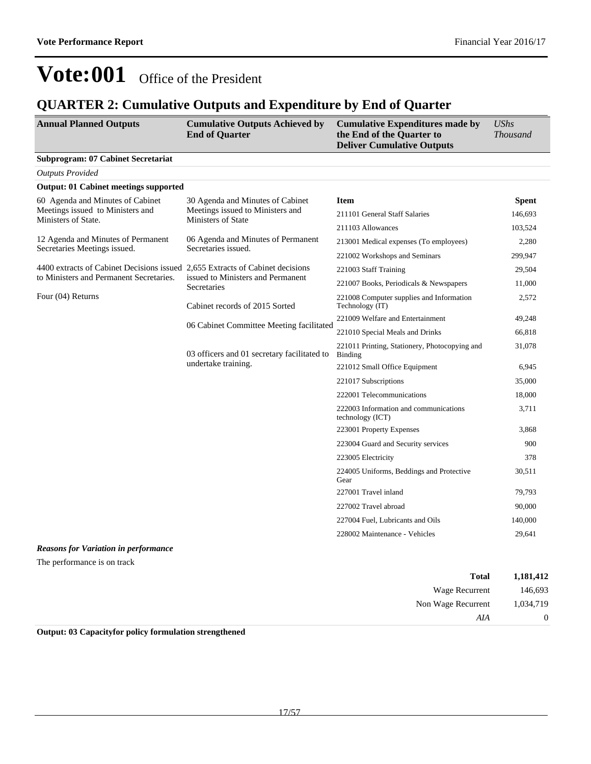### **QUARTER 2: Cumulative Outputs and Expenditure by End of Quarter**

| <b>Annual Planned Outputs</b>                                                 | <b>Cumulative Outputs Achieved by</b><br><b>End of Quarter</b>                             | <b>Cumulative Expenditures made by</b><br>the End of the Quarter to<br><b>Deliver Cumulative Outputs</b> | <b>UShs</b><br><b>Thousand</b> |
|-------------------------------------------------------------------------------|--------------------------------------------------------------------------------------------|----------------------------------------------------------------------------------------------------------|--------------------------------|
| <b>Subprogram: 07 Cabinet Secretariat</b>                                     |                                                                                            |                                                                                                          |                                |
| <b>Outputs Provided</b>                                                       |                                                                                            |                                                                                                          |                                |
| <b>Output: 01 Cabinet meetings supported</b>                                  |                                                                                            |                                                                                                          |                                |
| 60 Agenda and Minutes of Cabinet                                              | 30 Agenda and Minutes of Cabinet<br>Meetings issued to Ministers and<br>Ministers of State | <b>Item</b>                                                                                              | <b>Spent</b>                   |
| Meetings issued to Ministers and<br>Ministers of State.                       |                                                                                            | 211101 General Staff Salaries                                                                            | 146,693                        |
|                                                                               |                                                                                            | 211103 Allowances                                                                                        | 103,524                        |
| 12 Agenda and Minutes of Permanent<br>Secretaries Meetings issued.            | 06 Agenda and Minutes of Permanent<br>Secretaries issued.                                  | 213001 Medical expenses (To employees)                                                                   | 2,280                          |
|                                                                               |                                                                                            | 221002 Workshops and Seminars                                                                            | 299,947                        |
| 4400 extracts of Cabinet Decisions issued 2,655 Extracts of Cabinet decisions |                                                                                            | 221003 Staff Training                                                                                    | 29,504                         |
| to Ministers and Permanent Secretaries.                                       | issued to Ministers and Permanent<br>Secretaries                                           | 221007 Books, Periodicals & Newspapers                                                                   | 11,000                         |
| Four (04) Returns                                                             | Cabinet records of 2015 Sorted                                                             | 221008 Computer supplies and Information<br>Technology (IT)                                              | 2,572                          |
|                                                                               | 06 Cabinet Committee Meeting facilitated                                                   | 221009 Welfare and Entertainment                                                                         | 49,248                         |
|                                                                               |                                                                                            | 221010 Special Meals and Drinks                                                                          | 66,818                         |
|                                                                               | 03 officers and 01 secretary facilitated to<br>undertake training.                         | 221011 Printing, Stationery, Photocopying and<br>Binding                                                 | 31,078                         |
|                                                                               |                                                                                            | 221012 Small Office Equipment                                                                            | 6,945                          |
|                                                                               |                                                                                            | 221017 Subscriptions                                                                                     | 35,000                         |
|                                                                               |                                                                                            | 222001 Telecommunications                                                                                | 18,000                         |
|                                                                               |                                                                                            | 222003 Information and communications<br>technology (ICT)                                                | 3,711                          |
|                                                                               |                                                                                            | 223001 Property Expenses                                                                                 | 3,868                          |
|                                                                               |                                                                                            | 223004 Guard and Security services                                                                       | 900                            |
|                                                                               |                                                                                            | 223005 Electricity                                                                                       | 378                            |
|                                                                               |                                                                                            | 224005 Uniforms, Beddings and Protective<br>Gear                                                         | 30,511                         |
|                                                                               |                                                                                            | 227001 Travel inland                                                                                     | 79,793                         |
|                                                                               |                                                                                            | 227002 Travel abroad                                                                                     | 90,000                         |
|                                                                               |                                                                                            | 227004 Fuel, Lubricants and Oils                                                                         | 140,000                        |
|                                                                               |                                                                                            | 228002 Maintenance - Vehicles                                                                            | 29,641                         |

### *Reasons for Variation in performance*

The performance is on track

| 1,181,412 | <b>Total</b>       |
|-----------|--------------------|
| 146,693   | Wage Recurrent     |
| 1,034,719 | Non Wage Recurrent |
| $\theta$  | AIA                |

**Output: 03 Capacityfor policy formulation strengthened**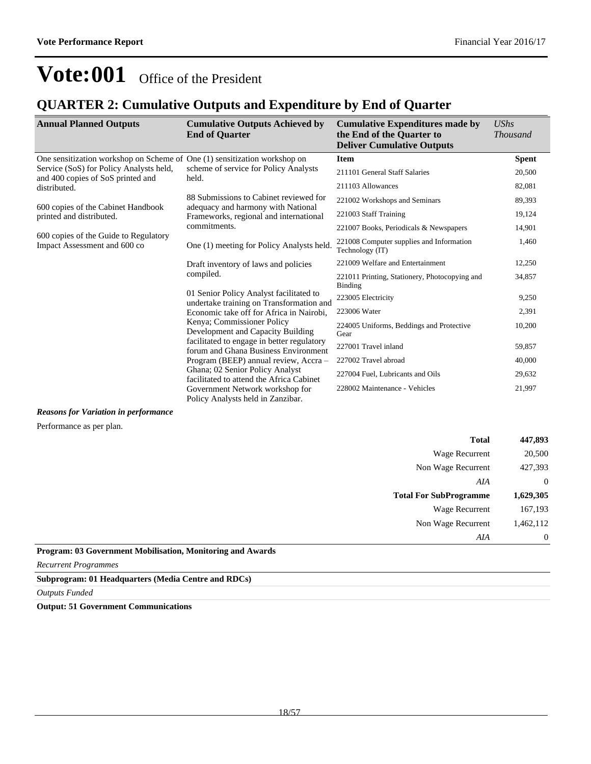### **QUARTER 2: Cumulative Outputs and Expenditure by End of Quarter**

| <b>Annual Planned Outputs</b>                                                | <b>Cumulative Outputs Achieved by</b><br><b>End of Quarter</b>                                                                                                                                                                                                                                                                                                                                                                                                       | <b>Cumulative Expenditures made by</b><br>the End of the Quarter to<br><b>Deliver Cumulative Outputs</b> | <b>UShs</b><br><b>Thousand</b> |
|------------------------------------------------------------------------------|----------------------------------------------------------------------------------------------------------------------------------------------------------------------------------------------------------------------------------------------------------------------------------------------------------------------------------------------------------------------------------------------------------------------------------------------------------------------|----------------------------------------------------------------------------------------------------------|--------------------------------|
| One sensitization workshop on Scheme of One (1) sensitization workshop on    |                                                                                                                                                                                                                                                                                                                                                                                                                                                                      | <b>Item</b>                                                                                              | <b>Spent</b>                   |
| Service (SoS) for Policy Analysts held,<br>and 400 copies of SoS printed and | scheme of service for Policy Analysts<br>held.                                                                                                                                                                                                                                                                                                                                                                                                                       | 211101 General Staff Salaries                                                                            | 20,500                         |
| distributed.                                                                 |                                                                                                                                                                                                                                                                                                                                                                                                                                                                      | 211103 Allowances                                                                                        | 82,081                         |
|                                                                              | 88 Submissions to Cabinet reviewed for                                                                                                                                                                                                                                                                                                                                                                                                                               | 221002 Workshops and Seminars                                                                            | 89,393                         |
| 600 copies of the Cabinet Handbook<br>printed and distributed.               | adequacy and harmony with National<br>Frameworks, regional and international                                                                                                                                                                                                                                                                                                                                                                                         | 221003 Staff Training                                                                                    | 19,124                         |
|                                                                              | commitments.                                                                                                                                                                                                                                                                                                                                                                                                                                                         | 221007 Books, Periodicals & Newspapers                                                                   | 14,901                         |
| 600 copies of the Guide to Regulatory<br>Impact Assessment and 600 co        | One (1) meeting for Policy Analysts held.                                                                                                                                                                                                                                                                                                                                                                                                                            | 221008 Computer supplies and Information<br>Technology (IT)                                              | 1,460                          |
|                                                                              | Draft inventory of laws and policies<br>compiled.<br>01 Senior Policy Analyst facilitated to<br>undertake training on Transformation and<br>Economic take off for Africa in Nairobi.<br>Kenya; Commissioner Policy<br>Development and Capacity Building<br>facilitated to engage in better regulatory<br>forum and Ghana Business Environment<br>Program (BEEP) annual review, Accra-<br>Ghana; 02 Senior Policy Analyst<br>facilitated to attend the Africa Cabinet | 221009 Welfare and Entertainment                                                                         | 12,250                         |
|                                                                              |                                                                                                                                                                                                                                                                                                                                                                                                                                                                      | 221011 Printing, Stationery, Photocopying and<br>Binding                                                 | 34,857                         |
|                                                                              |                                                                                                                                                                                                                                                                                                                                                                                                                                                                      | 223005 Electricity                                                                                       | 9,250                          |
|                                                                              |                                                                                                                                                                                                                                                                                                                                                                                                                                                                      | 223006 Water                                                                                             | 2,391                          |
|                                                                              |                                                                                                                                                                                                                                                                                                                                                                                                                                                                      | 224005 Uniforms, Beddings and Protective<br>Gear                                                         | 10,200                         |
|                                                                              |                                                                                                                                                                                                                                                                                                                                                                                                                                                                      | 227001 Travel inland                                                                                     | 59,857                         |
|                                                                              |                                                                                                                                                                                                                                                                                                                                                                                                                                                                      | 227002 Travel abroad                                                                                     | 40,000                         |
|                                                                              |                                                                                                                                                                                                                                                                                                                                                                                                                                                                      | 227004 Fuel, Lubricants and Oils                                                                         | 29,632                         |
|                                                                              | Government Network workshop for<br>Policy Analysts held in Zanzibar.                                                                                                                                                                                                                                                                                                                                                                                                 | 228002 Maintenance - Vehicles                                                                            | 21,997                         |

#### *Reasons for Variation in performance*

Performance as per plan.

| <b>Total</b>                  | 447,893        |
|-------------------------------|----------------|
| <b>Wage Recurrent</b>         | 20,500         |
| Non Wage Recurrent            | 427,393        |
| AIA                           | $\overline{0}$ |
|                               |                |
| <b>Total For SubProgramme</b> | 1,629,305      |
| Wage Recurrent                | 167,193        |
| Non Wage Recurrent            | 1,462,112      |

**Program: 03 Government Mobilisation, Monitoring and Awards**

*Recurrent Programmes*

#### **Subprogram: 01 Headquarters (Media Centre and RDCs)**

*Outputs Funded*

**Output: 51 Government Communications**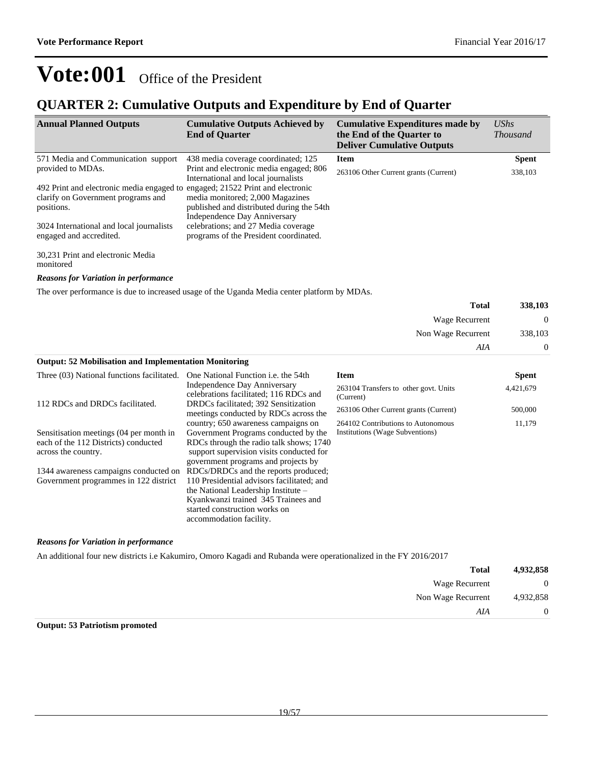### **QUARTER 2: Cumulative Outputs and Expenditure by End of Quarter**

| <b>Annual Planned Outputs</b>                                                 | <b>Cumulative Outputs Achieved by</b><br><b>End of Quarter</b>                                                | <b>Cumulative Expenditures made by</b><br>the End of the Quarter to<br><b>Deliver Cumulative Outputs</b> | $\mathit{UShs}$<br><i>Thousand</i> |
|-------------------------------------------------------------------------------|---------------------------------------------------------------------------------------------------------------|----------------------------------------------------------------------------------------------------------|------------------------------------|
| 571 Media and Communication support                                           | 438 media coverage coordinated; 125                                                                           | Item                                                                                                     | <b>Spent</b>                       |
| provided to MDAs.                                                             | Print and electronic media engaged; 806<br>International and local journalists                                | 263106 Other Current grants (Current)                                                                    | 338,103                            |
| 492 Print and electronic media engaged to engaged; 21522 Print and electronic |                                                                                                               |                                                                                                          |                                    |
| clarify on Government programs and<br>positions.                              | media monitored; 2,000 Magazines<br>published and distributed during the 54th<br>Independence Day Anniversary |                                                                                                          |                                    |
| 3024 International and local journalists<br>engaged and accredited.           | celebrations; and 27 Media coverage<br>programs of the President coordinated.                                 |                                                                                                          |                                    |
| 30,231 Print and electronic Media                                             |                                                                                                               |                                                                                                          |                                    |

monitored

*Reasons for Variation in performance*

The over performance is due to increased usage of the Uganda Media center platform by MDAs.

| <b>Total</b>                                                 | 338,103  |
|--------------------------------------------------------------|----------|
| Wage Recurrent                                               | $\Omega$ |
| Non Wage Recurrent                                           | 338,103  |
| AIA                                                          | $\Omega$ |
| <b>Output: 52 Mobilisation and Implementation Monitoring</b> |          |

| Three (03) National functions facilitated. | One National Function <i>i.e.</i> the 54th                                    | Item                                               | <b>Spent</b> |
|--------------------------------------------|-------------------------------------------------------------------------------|----------------------------------------------------|--------------|
|                                            | Independence Day Anniversary<br>celebrations facilitated; 116 RDCs and        | 263104 Transfers to other govt. Units<br>(Current) | 4,421,679    |
| 112 RDCs and DRDCs facilitated.            | DRDCs facilitated; 392 Sensitization<br>meetings conducted by RDCs across the | 263106 Other Current grants (Current)              | 500,000      |
|                                            | country; 650 awareness campaigns on                                           | 264102 Contributions to Autonomous                 | 11,179       |
| Sensitisation meetings (04 per month in    | Government Programs conducted by the                                          | Institutions (Wage Subventions)                    |              |
| each of the 112 Districts) conducted       | RDCs through the radio talk shows; 1740                                       |                                                    |              |
| across the country.                        | support supervision visits conducted for                                      |                                                    |              |
|                                            | government programs and projects by                                           |                                                    |              |
| 1344 awareness campaigns conducted on      | RDCs/DRDCs and the reports produced;                                          |                                                    |              |
| Government programmes in 122 district      | 110 Presidential advisors facilitated; and                                    |                                                    |              |
|                                            | the National Leadership Institute –                                           |                                                    |              |
|                                            | Kyankwanzi trained 345 Trainees and                                           |                                                    |              |
|                                            | started construction works on                                                 |                                                    |              |
|                                            | accommodation facility.                                                       |                                                    |              |

#### *Reasons for Variation in performance*

An additional four new districts i.e Kakumiro, Omoro Kagadi and Rubanda were operationalized in the FY 2016/2017

| 4,932,858 | <b>Total</b>       |
|-----------|--------------------|
| $\theta$  | Wage Recurrent     |
| 4,932,858 | Non Wage Recurrent |
| 0         | AIA                |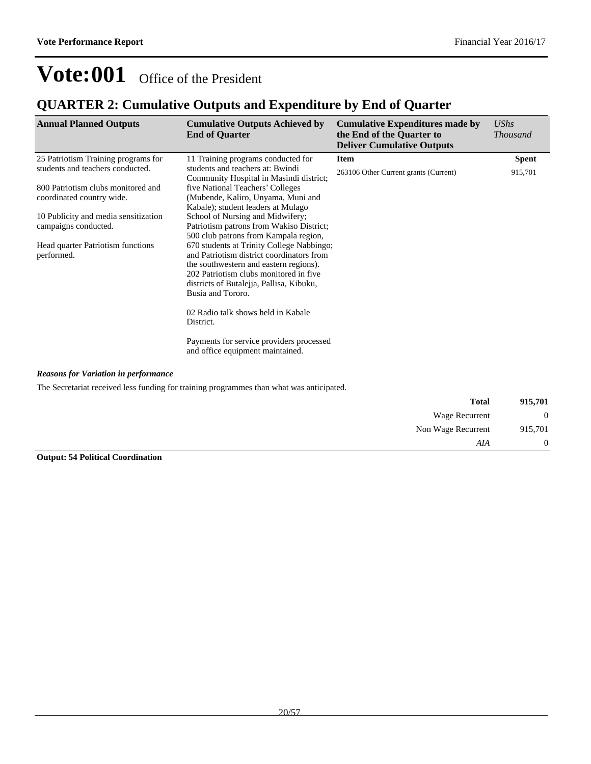### **QUARTER 2: Cumulative Outputs and Expenditure by End of Quarter**

| <b>Annual Planned Outputs</b>                                                                                                                                                                                                                                 | <b>Cumulative Outputs Achieved by</b><br><b>End of Quarter</b>                                                                                                                                                                                                                                                                                                                                                                                                                                                                                                                                                                                                                                                                               | <b>Cumulative Expenditures made by</b><br>the End of the Quarter to<br><b>Deliver Cumulative Outputs</b> | UShs<br><b>Thousand</b> |
|---------------------------------------------------------------------------------------------------------------------------------------------------------------------------------------------------------------------------------------------------------------|----------------------------------------------------------------------------------------------------------------------------------------------------------------------------------------------------------------------------------------------------------------------------------------------------------------------------------------------------------------------------------------------------------------------------------------------------------------------------------------------------------------------------------------------------------------------------------------------------------------------------------------------------------------------------------------------------------------------------------------------|----------------------------------------------------------------------------------------------------------|-------------------------|
| 25 Patriotism Training programs for<br>students and teachers conducted.<br>800 Patriotism clubs monitored and<br>coordinated country wide.<br>10 Publicity and media sensitization<br>campaigns conducted.<br>Head quarter Patriotism functions<br>performed. | 11 Training programs conducted for<br>students and teachers at: Bwindi<br>Community Hospital in Masindi district;<br>five National Teachers' Colleges<br>(Mubende, Kaliro, Unyama, Muni and<br>Kabale); student leaders at Mulago<br>School of Nursing and Midwifery;<br>Patriotism patrons from Wakiso District;<br>500 club patrons from Kampala region,<br>670 students at Trinity College Nabbingo;<br>and Patriotism district coordinators from<br>the southwestern and eastern regions).<br>202 Patriotism clubs monitored in five<br>districts of Butalejja, Pallisa, Kibuku,<br>Busia and Tororo.<br>02 Radio talk shows held in Kabale<br>District.<br>Payments for service providers processed<br>and office equipment maintained. | <b>Item</b><br>263106 Other Current grants (Current)                                                     | <b>Spent</b><br>915,701 |
| <b>Reasons for Variation in performance</b>                                                                                                                                                                                                                   | The Secretariat received less funding for training programmes than what was anticipated.                                                                                                                                                                                                                                                                                                                                                                                                                                                                                                                                                                                                                                                     |                                                                                                          |                         |

| 915,701        | <b>Total</b>       |
|----------------|--------------------|
| $\overline{0}$ | Wage Recurrent     |
| 915,701        | Non Wage Recurrent |
| $\overline{0}$ | AIA                |

### **Output: 54 Political Coordination**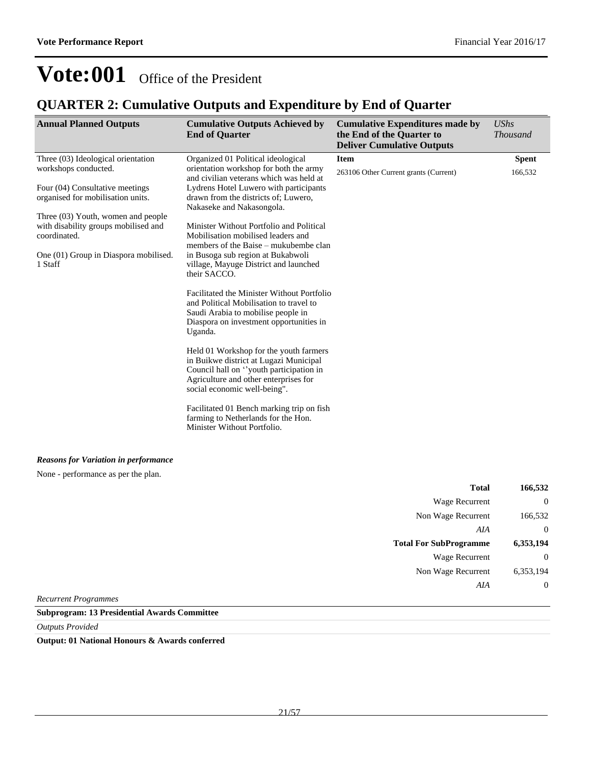### **QUARTER 2: Cumulative Outputs and Expenditure by End of Quarter**

| <b>Annual Planned Outputs</b>                                                                                                                                                                                                                                                        | <b>Cumulative Outputs Achieved by</b><br><b>End of Quarter</b>                                                                                                                                                                                                                                                                                                                                                                                                                                                                                                                                                                                                                                                                                                                                                                                                                                                                                                                  | <b>Cumulative Expenditures made by</b><br>the End of the Quarter to<br><b>Deliver Cumulative Outputs</b> | <b>UShs</b><br><b>Thousand</b> |
|--------------------------------------------------------------------------------------------------------------------------------------------------------------------------------------------------------------------------------------------------------------------------------------|---------------------------------------------------------------------------------------------------------------------------------------------------------------------------------------------------------------------------------------------------------------------------------------------------------------------------------------------------------------------------------------------------------------------------------------------------------------------------------------------------------------------------------------------------------------------------------------------------------------------------------------------------------------------------------------------------------------------------------------------------------------------------------------------------------------------------------------------------------------------------------------------------------------------------------------------------------------------------------|----------------------------------------------------------------------------------------------------------|--------------------------------|
| Three (03) Ideological orientation<br>workshops conducted.<br>Four (04) Consultative meetings<br>organised for mobilisation units.<br>Three (03) Youth, women and people<br>with disability groups mobilised and<br>coordinated.<br>One (01) Group in Diaspora mobilised.<br>1 Staff | Organized 01 Political ideological<br>orientation workshop for both the army<br>and civilian veterans which was held at<br>Lydrens Hotel Luwero with participants<br>drawn from the districts of; Luwero,<br>Nakaseke and Nakasongola.<br>Minister Without Portfolio and Political<br>Mobilisation mobilised leaders and<br>members of the Baise – mukubembe clan<br>in Busoga sub region at Bukabwoli<br>village, Mayuge District and launched<br>their SACCO.<br>Facilitated the Minister Without Portfolio<br>and Political Mobilisation to travel to<br>Saudi Arabia to mobilise people in<br>Diaspora on investment opportunities in<br>Uganda.<br>Held 01 Workshop for the youth farmers<br>in Buikwe district at Lugazi Municipal<br>Council hall on "youth participation in<br>Agriculture and other enterprises for<br>social economic well-being".<br>Facilitated 01 Bench marking trip on fish<br>farming to Netherlands for the Hon.<br>Minister Without Portfolio. | <b>Item</b><br>263106 Other Current grants (Current)                                                     | <b>Spent</b><br>166,532        |
| <b>Reasons for Variation in performance</b><br>None - performance as per the plan.                                                                                                                                                                                                   |                                                                                                                                                                                                                                                                                                                                                                                                                                                                                                                                                                                                                                                                                                                                                                                                                                                                                                                                                                                 |                                                                                                          |                                |

| 166,532        | <b>Total</b>                  |              |  |
|----------------|-------------------------------|--------------|--|
| $\bf{0}$       | Wage Recurrent                |              |  |
| 166,532        | Non Wage Recurrent            |              |  |
| $\overline{0}$ | AIA                           |              |  |
| 6,353,194      | <b>Total For SubProgramme</b> |              |  |
| $\overline{0}$ | <b>Wage Recurrent</b>         |              |  |
| 6,353,194      | Non Wage Recurrent            |              |  |
| $\overline{0}$ | AIA                           |              |  |
|                |                               | $\mathbf{r}$ |  |

*Recurrent Programmes*

#### **Subprogram: 13 Presidential Awards Committee**

*Outputs Provided*

**Output: 01 National Honours & Awards conferred**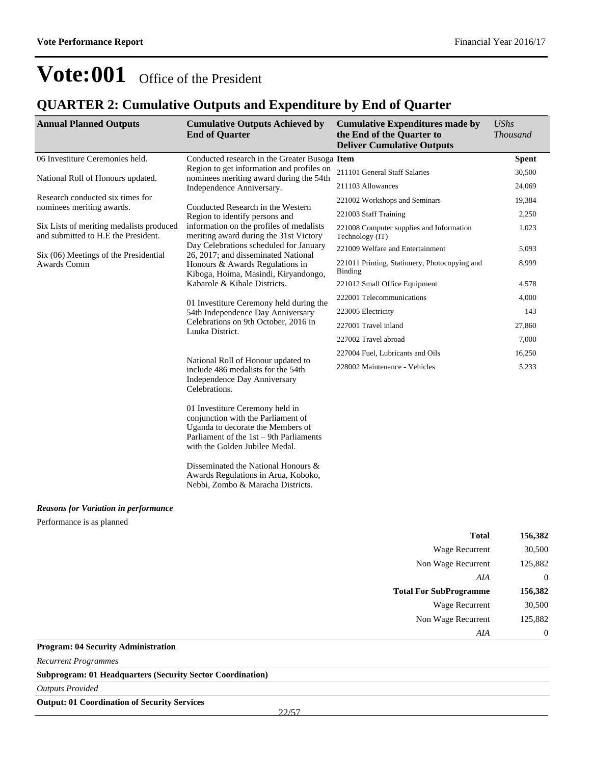### **QUARTER 2: Cumulative Outputs and Expenditure by End of Quarter**

| <b>Annual Planned Outputs</b>                                                   | <b>Cumulative Outputs Achieved by</b><br><b>End of Quarter</b>                                                                                                                          | <b>Cumulative Expenditures made by</b><br>the End of the Quarter to<br><b>Deliver Cumulative Outputs</b> | <b>UShs</b><br><b>Thousand</b> |
|---------------------------------------------------------------------------------|-----------------------------------------------------------------------------------------------------------------------------------------------------------------------------------------|----------------------------------------------------------------------------------------------------------|--------------------------------|
| 06 Investiture Ceremonies held.                                                 | Conducted research in the Greater Busoga Item                                                                                                                                           |                                                                                                          | <b>Spent</b>                   |
| National Roll of Honours updated.                                               | Region to get information and profiles on<br>nominees meriting award during the 54th                                                                                                    | 211101 General Staff Salaries                                                                            | 30,500                         |
|                                                                                 | Independence Anniversary.                                                                                                                                                               | 211103 Allowances                                                                                        | 24,069                         |
| Research conducted six times for                                                | Conducted Research in the Western                                                                                                                                                       | 221002 Workshops and Seminars                                                                            | 19,384                         |
| nominees meriting awards.                                                       | Region to identify persons and                                                                                                                                                          | 221003 Staff Training                                                                                    | 2,250                          |
| Six Lists of meriting medalists produced<br>and submitted to H.E the President. | information on the profiles of medalists<br>meriting award during the 31st Victory                                                                                                      | 221008 Computer supplies and Information<br>Technology (IT)                                              | 1,023                          |
| Six (06) Meetings of the Presidential                                           | Day Celebrations scheduled for January<br>26, 2017; and disseminated National                                                                                                           | 221009 Welfare and Entertainment                                                                         | 5,093                          |
| Awards Comm                                                                     | Honours & Awards Regulations in<br>Kiboga, Hoima, Masindi, Kiryandongo,                                                                                                                 | 221011 Printing, Stationery, Photocopying and<br>Binding                                                 | 8,999                          |
|                                                                                 | Kabarole & Kibale Districts.                                                                                                                                                            | 221012 Small Office Equipment                                                                            | 4,578                          |
|                                                                                 | 01 Investiture Ceremony held during the                                                                                                                                                 | 222001 Telecommunications                                                                                | 4,000                          |
|                                                                                 | 54th Independence Day Anniversary                                                                                                                                                       | 223005 Electricity                                                                                       | 143                            |
|                                                                                 | Celebrations on 9th October, 2016 in<br>Luuka District.                                                                                                                                 | 227001 Travel inland                                                                                     | 27,860                         |
|                                                                                 |                                                                                                                                                                                         | 227002 Travel abroad                                                                                     | 7,000                          |
|                                                                                 | 227004 Fuel, Lubricants and Oils<br>National Roll of Honour updated to                                                                                                                  |                                                                                                          | 16,250                         |
|                                                                                 | include 486 medalists for the 54th<br>Independence Day Anniversary<br>Celebrations.                                                                                                     | 228002 Maintenance - Vehicles                                                                            | 5,233                          |
|                                                                                 | 01 Investiture Ceremony held in<br>conjunction with the Parliament of<br>Uganda to decorate the Members of<br>Parliament of the 1st – 9th Parliaments<br>with the Golden Jubilee Medal. |                                                                                                          |                                |
|                                                                                 | Disseminated the National Honours &<br>Awards Regulations in Arua, Koboko,<br>Nebbi, Zombo & Maracha Districts.                                                                         |                                                                                                          |                                |
| <b>Reasons for Variation in performance</b>                                     |                                                                                                                                                                                         |                                                                                                          |                                |
| Performance is as planned                                                       |                                                                                                                                                                                         |                                                                                                          |                                |
|                                                                                 |                                                                                                                                                                                         | <b>Total</b>                                                                                             | 156,382                        |
|                                                                                 |                                                                                                                                                                                         | <b>Wage Recurrent</b>                                                                                    | 30,500                         |
|                                                                                 |                                                                                                                                                                                         | Non Wage Recurrent                                                                                       | 125,882                        |
|                                                                                 |                                                                                                                                                                                         | AIA                                                                                                      | $\mathbf{0}$                   |
|                                                                                 |                                                                                                                                                                                         | <b>Total For SubProgramme</b>                                                                            | 156,382                        |
|                                                                                 |                                                                                                                                                                                         | Wage Recurrent                                                                                           | 30,500                         |
|                                                                                 |                                                                                                                                                                                         | Non Wage Recurrent                                                                                       | 125,882                        |
|                                                                                 |                                                                                                                                                                                         | AIA                                                                                                      | $\boldsymbol{0}$               |
| <b>Program: 04 Security Administration</b>                                      |                                                                                                                                                                                         |                                                                                                          |                                |

*Recurrent Programmes*

**Subprogram: 01 Headquarters (Security Sector Coordination)**

*Outputs Provided*

**Output: 01 Coordination of Security Services**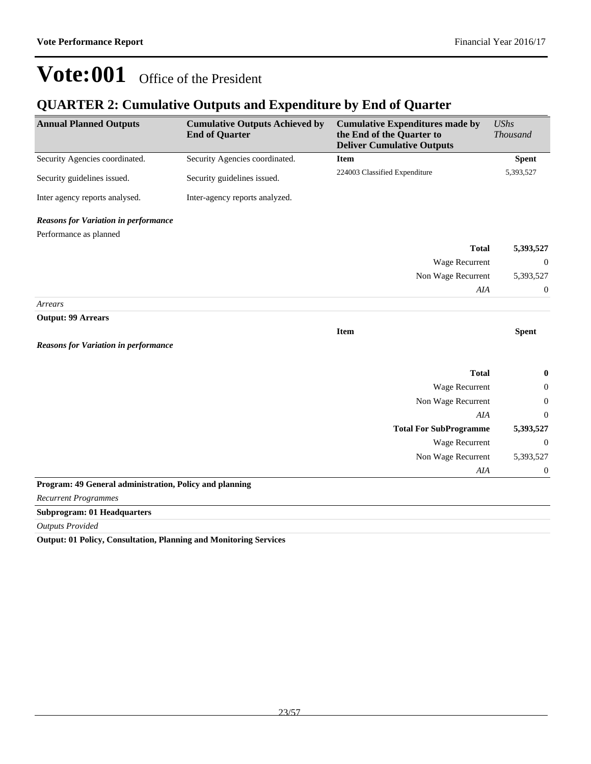### **QUARTER 2: Cumulative Outputs and Expenditure by End of Quarter**

| <b>Annual Planned Outputs</b>                           | <b>Cumulative Outputs Achieved by</b><br><b>End of Quarter</b> | <b>Cumulative Expenditures made by</b><br>the End of the Quarter to<br><b>Deliver Cumulative Outputs</b> | <b>UShs</b><br><b>Thousand</b> |
|---------------------------------------------------------|----------------------------------------------------------------|----------------------------------------------------------------------------------------------------------|--------------------------------|
| Security Agencies coordinated.                          | Security Agencies coordinated.                                 | <b>Item</b>                                                                                              | <b>Spent</b>                   |
| Security guidelines issued.                             | Security guidelines issued.                                    | 224003 Classified Expenditure                                                                            | 5,393,527                      |
| Inter agency reports analysed.                          | Inter-agency reports analyzed.                                 |                                                                                                          |                                |
| <b>Reasons for Variation in performance</b>             |                                                                |                                                                                                          |                                |
| Performance as planned                                  |                                                                |                                                                                                          |                                |
|                                                         |                                                                | <b>Total</b>                                                                                             | 5,393,527                      |
|                                                         |                                                                | <b>Wage Recurrent</b>                                                                                    | $\overline{0}$                 |
|                                                         |                                                                | Non Wage Recurrent                                                                                       | 5,393,527                      |
|                                                         |                                                                | AIA                                                                                                      | $\mathbf{0}$                   |
| Arrears                                                 |                                                                |                                                                                                          |                                |
| <b>Output: 99 Arrears</b>                               |                                                                | <b>Item</b>                                                                                              | <b>Spent</b>                   |
| <b>Reasons for Variation in performance</b>             |                                                                |                                                                                                          |                                |
|                                                         |                                                                | <b>Total</b>                                                                                             | $\bf{0}$                       |
|                                                         |                                                                | Wage Recurrent                                                                                           | $\overline{0}$                 |
|                                                         |                                                                | Non Wage Recurrent                                                                                       | $\overline{0}$                 |
|                                                         |                                                                | <b>AIA</b>                                                                                               | $\overline{0}$                 |
|                                                         |                                                                | <b>Total For SubProgramme</b>                                                                            | 5,393,527                      |
|                                                         |                                                                | <b>Wage Recurrent</b>                                                                                    | $\theta$                       |
|                                                         |                                                                | Non Wage Recurrent                                                                                       | 5,393,527                      |
|                                                         |                                                                | AIA                                                                                                      | $\mathbf{0}$                   |
| Program: 49 General administration, Policy and planning |                                                                |                                                                                                          |                                |
| <b>Recurrent Programmes</b>                             |                                                                |                                                                                                          |                                |
| <b>Subprogram: 01 Headquarters</b>                      |                                                                |                                                                                                          |                                |

*Outputs Provided*

**Output: 01 Policy, Consultation, Planning and Monitoring Services**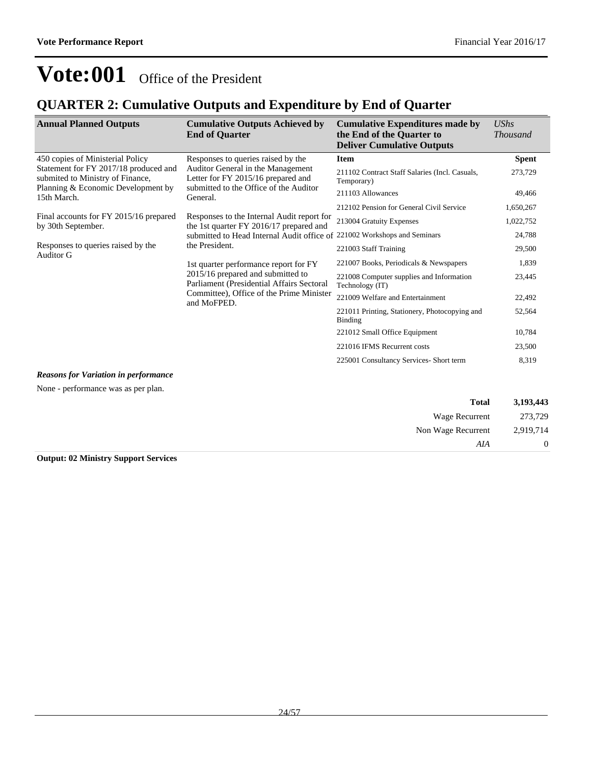### **QUARTER 2: Cumulative Outputs and Expenditure by End of Quarter**

| <b>Annual Planned Outputs</b>                                                  | <b>Cumulative Outputs Achieved by</b><br><b>End of Quarter</b>                        | <b>Cumulative Expenditures made by</b><br>the End of the Quarter to<br><b>Deliver Cumulative Outputs</b> | UShs<br><i>Thousand</i> |
|--------------------------------------------------------------------------------|---------------------------------------------------------------------------------------|----------------------------------------------------------------------------------------------------------|-------------------------|
| 450 copies of Ministerial Policy                                               | Responses to queries raised by the                                                    | <b>Item</b>                                                                                              | <b>Spent</b>            |
| Statement for FY 2017/18 produced and<br>submited to Ministry of Finance,      | Auditor General in the Management<br>Letter for FY 2015/16 prepared and               | 211102 Contract Staff Salaries (Incl. Casuals,<br>Temporary)                                             | 273,729                 |
| Planning & Economic Development by<br>15th March.                              | submitted to the Office of the Auditor<br>General.                                    | 211103 Allowances                                                                                        | 49,466                  |
|                                                                                |                                                                                       | 212102 Pension for General Civil Service                                                                 | 1,650,267               |
| Final accounts for FY 2015/16 prepared<br>by 30th September.                   | Responses to the Internal Audit report for<br>the 1st quarter FY 2016/17 prepared and | 213004 Gratuity Expenses                                                                                 | 1,022,752               |
|                                                                                | submitted to Head Internal Audit office of                                            | 221002 Workshops and Seminars                                                                            | 24,788                  |
| Responses to queries raised by the<br>Auditor G                                | the President.<br>1st quarter performance report for FY                               | 221003 Staff Training                                                                                    | 29,500                  |
|                                                                                |                                                                                       | 221007 Books, Periodicals & Newspapers                                                                   | 1,839                   |
| 2015/16 prepared and submitted to<br>Parliament (Presidential Affairs Sectoral | 221008 Computer supplies and Information<br>Technology (IT)                           | 23,445                                                                                                   |                         |
|                                                                                | Committee), Office of the Prime Minister<br>and MoFPED.                               | 221009 Welfare and Entertainment                                                                         | 22,492                  |
|                                                                                |                                                                                       | 221011 Printing, Stationery, Photocopying and<br>Binding                                                 | 52,564                  |
|                                                                                |                                                                                       | 221012 Small Office Equipment                                                                            | 10,784                  |
|                                                                                |                                                                                       | 221016 IFMS Recurrent costs                                                                              | 23,500                  |
|                                                                                |                                                                                       | 225001 Consultancy Services- Short term                                                                  | 8,319                   |
| <b>Reasons for Variation in performance</b>                                    |                                                                                       |                                                                                                          |                         |

None - performance was as per plan.

| 3,193,443 | <b>Total</b>          |
|-----------|-----------------------|
| 273,729   | <b>Wage Recurrent</b> |
| 2,919,714 | Non Wage Recurrent    |
| 0         | AIA                   |
|           |                       |

**Output: 02 Ministry Support Services**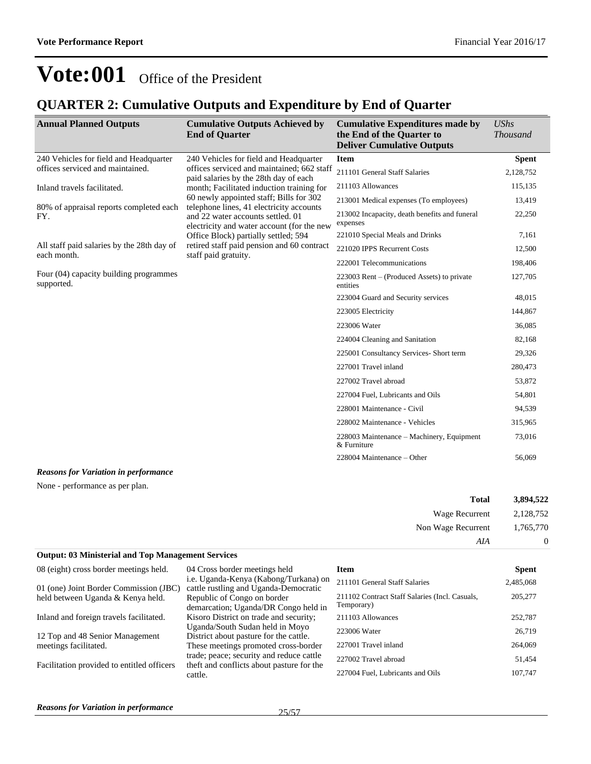### **QUARTER 2: Cumulative Outputs and Expenditure by End of Quarter**

| <b>Annual Planned Outputs</b>                             | <b>Cumulative Outputs Achieved by</b><br><b>End of Quarter</b>                                                              | <b>Cumulative Expenditures made by</b><br>the End of the Quarter to<br><b>Deliver Cumulative Outputs</b> | UShs<br><b>Thousand</b> |
|-----------------------------------------------------------|-----------------------------------------------------------------------------------------------------------------------------|----------------------------------------------------------------------------------------------------------|-------------------------|
| 240 Vehicles for field and Headquarter                    | 240 Vehicles for field and Headquarter                                                                                      | <b>Item</b>                                                                                              | <b>Spent</b>            |
| offices serviced and maintained.                          | offices serviced and maintained; 662 staff<br>paid salaries by the 28th day of each                                         | 211101 General Staff Salaries                                                                            | 2,128,752               |
| Inland travels facilitated.                               | month; Facilitated induction training for                                                                                   | 211103 Allowances                                                                                        | 115,135                 |
|                                                           | 60 newly appointed staff; Bills for 302                                                                                     | 213001 Medical expenses (To employees)                                                                   | 13,419                  |
| 80% of appraisal reports completed each<br>FY.            | telephone lines, 41 electricity accounts<br>and 22 water accounts settled, 01<br>electricity and water account (for the new | 213002 Incapacity, death benefits and funeral<br>expenses                                                | 22,250                  |
|                                                           | Office Block) partially settled; 594                                                                                        | 221010 Special Meals and Drinks                                                                          | 7,161                   |
| All staff paid salaries by the 28th day of<br>each month. | retired staff paid pension and 60 contract<br>staff paid gratuity.                                                          | 221020 IPPS Recurrent Costs                                                                              | 12,500                  |
|                                                           | 222001 Telecommunications                                                                                                   | 198,406                                                                                                  |                         |
| Four (04) capacity building programmes<br>supported.      | $223003$ Rent – (Produced Assets) to private<br>entities                                                                    | 127,705                                                                                                  |                         |
|                                                           |                                                                                                                             | 223004 Guard and Security services                                                                       | 48,015                  |
|                                                           |                                                                                                                             | 223005 Electricity                                                                                       | 144,867                 |
|                                                           |                                                                                                                             | 223006 Water                                                                                             | 36,085                  |
|                                                           |                                                                                                                             | 224004 Cleaning and Sanitation                                                                           | 82,168                  |
|                                                           |                                                                                                                             | 225001 Consultancy Services- Short term                                                                  | 29,326                  |
|                                                           |                                                                                                                             | 227001 Travel inland                                                                                     | 280,473                 |
|                                                           |                                                                                                                             | 227002 Travel abroad                                                                                     | 53,872                  |
|                                                           |                                                                                                                             | 227004 Fuel, Lubricants and Oils                                                                         | 54,801                  |
|                                                           |                                                                                                                             | 228001 Maintenance - Civil                                                                               | 94,539                  |
|                                                           |                                                                                                                             | 228002 Maintenance - Vehicles                                                                            | 315,965                 |
|                                                           |                                                                                                                             | 228003 Maintenance – Machinery, Equipment<br>& Furniture                                                 | 73,016                  |
|                                                           |                                                                                                                             | 228004 Maintenance – Other                                                                               | 56,069                  |

#### *Reasons for Variation in performance*

None - performance as per plan.

| 3,894,522      | <b>Total</b>       |
|----------------|--------------------|
| 2,128,752      | Wage Recurrent     |
| 1,765,770      | Non Wage Recurrent |
| $\overline{0}$ | AIA                |

#### **Output: 03 Ministerial and Top Management Services**

| 08 (eight) cross border meetings held.     | 04 Cross border meetings held                                                         | Item                                                         | <b>Spent</b> |
|--------------------------------------------|---------------------------------------------------------------------------------------|--------------------------------------------------------------|--------------|
| 01 (one) Joint Border Commission (JBC)     | i.e. Uganda-Kenya (Kabong/Turkana) on<br>cattle rustling and Uganda-Democratic        | 211101 General Staff Salaries                                | 2,485,068    |
| held between Uganda & Kenya held.          | Republic of Congo on border<br>demarcation; Uganda/DR Congo held in                   | 211102 Contract Staff Salaries (Incl. Casuals,<br>Temporary) | 205,277      |
| Inland and foreign travels facilitated.    | Kisoro District on trade and security;                                                | 211103 Allowances                                            | 252,787      |
| 12 Top and 48 Senior Management            | Uganda/South Sudan held in Moyo<br>District about pasture for the cattle.             | 223006 Water                                                 | 26,719       |
| meetings facilitated.                      | These meetings promoted cross-border                                                  | 227001 Travel inland                                         | 264,069      |
| Facilitation provided to entitled officers | trade; peace; security and reduce cattle<br>theft and conflicts about pasture for the | 227002 Travel abroad                                         | 51,454       |
|                                            | cattle.                                                                               | 227004 Fuel, Lubricants and Oils                             | 107,747      |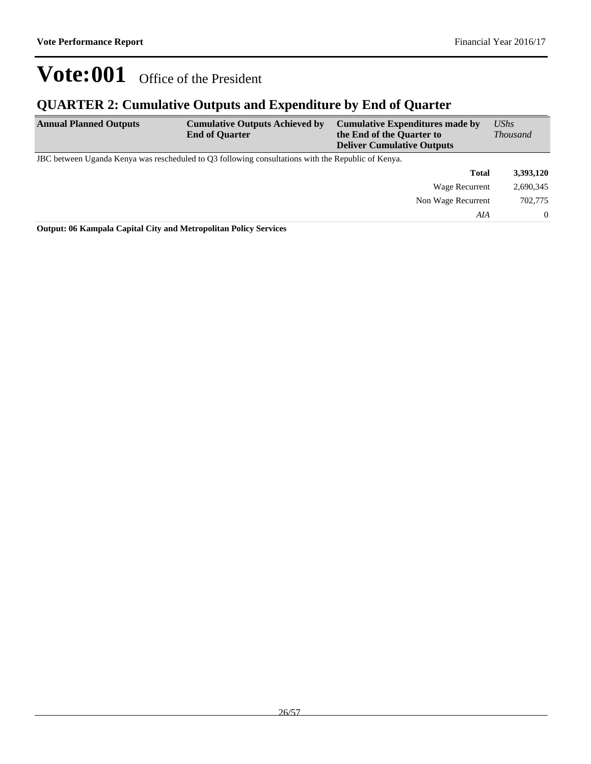### **QUARTER 2: Cumulative Outputs and Expenditure by End of Quarter**

| <b>Annual Planned Outputs</b> | <b>Cumulative Outputs Achieved by</b><br><b>End of Quarter</b>                                     | <b>Cumulative Expenditures made by</b><br>the End of the Quarter to<br><b>Deliver Cumulative Outputs</b> |                    | $\mathit{UShs}$<br><b>Thousand</b> |
|-------------------------------|----------------------------------------------------------------------------------------------------|----------------------------------------------------------------------------------------------------------|--------------------|------------------------------------|
|                               | JBC between Uganda Kenya was rescheduled to Q3 following consultations with the Republic of Kenya. |                                                                                                          |                    |                                    |
|                               |                                                                                                    |                                                                                                          | <b>Total</b>       | 3,393,120                          |
|                               |                                                                                                    |                                                                                                          | Wage Recurrent     | 2,690,345                          |
|                               |                                                                                                    |                                                                                                          | Non Wage Recurrent | 702,775                            |
|                               |                                                                                                    |                                                                                                          | AIA                | $\Omega$                           |

**Output: 06 Kampala Capital City and Metropolitan Policy Services**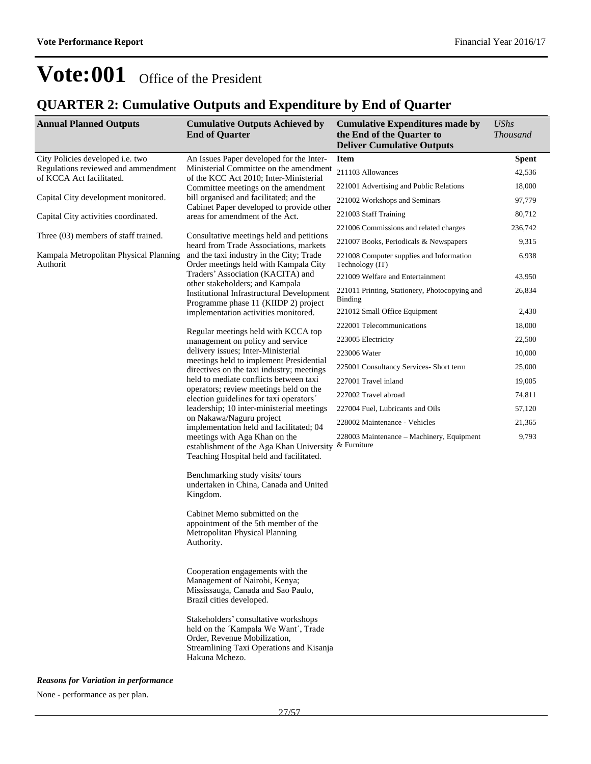### **QUARTER 2: Cumulative Outputs and Expenditure by End of Quarter**

| <b>Annual Planned Outputs</b>                                   | <b>Cumulative Outputs Achieved by</b><br><b>End of Quarter</b>                                                                                                                                          | <b>Cumulative Expenditures made by</b><br>the End of the Quarter to<br><b>Deliver Cumulative Outputs</b> | <b>UShs</b><br><b>Thousand</b> |
|-----------------------------------------------------------------|---------------------------------------------------------------------------------------------------------------------------------------------------------------------------------------------------------|----------------------------------------------------------------------------------------------------------|--------------------------------|
| City Policies developed i.e. two                                | An Issues Paper developed for the Inter-                                                                                                                                                                | Item                                                                                                     | <b>Spent</b>                   |
| Regulations reviewed and ammendment<br>of KCCA Act facilitated. | Ministerial Committee on the amendment<br>of the KCC Act 2010; Inter-Ministerial                                                                                                                        | 211103 Allowances                                                                                        | 42,536                         |
|                                                                 | Committee meetings on the amendment                                                                                                                                                                     | 221001 Advertising and Public Relations                                                                  | 18,000                         |
| Capital City development monitored.                             | bill organised and facilitated; and the                                                                                                                                                                 | 221002 Workshops and Seminars                                                                            | 97,779                         |
| Capital City activities coordinated.                            | Cabinet Paper developed to provide other<br>areas for amendment of the Act.                                                                                                                             | 221003 Staff Training                                                                                    | 80,712                         |
|                                                                 |                                                                                                                                                                                                         | 221006 Commissions and related charges                                                                   | 236,742                        |
| Three (03) members of staff trained.                            | Consultative meetings held and petitions<br>heard from Trade Associations, markets                                                                                                                      | 221007 Books, Periodicals & Newspapers                                                                   | 9,315                          |
| Kampala Metropolitan Physical Planning<br>Authorit              | and the taxi industry in the City; Trade<br>Order meetings held with Kampala City                                                                                                                       | 221008 Computer supplies and Information<br>Technology (IT)                                              | 6,938                          |
|                                                                 | Traders' Association (KACITA) and                                                                                                                                                                       | 221009 Welfare and Entertainment                                                                         | 43,950                         |
|                                                                 | other stakeholders; and Kampala<br><b>Institutional Infrastructural Development</b><br>Programme phase 11 (KIIDP 2) project                                                                             | 221011 Printing, Stationery, Photocopying and<br>Binding                                                 | 26,834                         |
|                                                                 | implementation activities monitored.                                                                                                                                                                    | 221012 Small Office Equipment                                                                            | 2,430                          |
|                                                                 | Regular meetings held with KCCA top                                                                                                                                                                     | 222001 Telecommunications                                                                                | 18,000                         |
|                                                                 | management on policy and service                                                                                                                                                                        | 223005 Electricity                                                                                       | 22,500                         |
|                                                                 | delivery issues; Inter-Ministerial                                                                                                                                                                      | 223006 Water                                                                                             | 10,000                         |
|                                                                 | meetings held to implement Presidential<br>directives on the taxi industry; meetings                                                                                                                    | 225001 Consultancy Services- Short term                                                                  | 25,000                         |
|                                                                 | held to mediate conflicts between taxi                                                                                                                                                                  | 227001 Travel inland                                                                                     | 19,005                         |
|                                                                 | operators; review meetings held on the<br>election guidelines for taxi operators'                                                                                                                       | 227002 Travel abroad                                                                                     | 74,811                         |
|                                                                 | leadership; 10 inter-ministerial meetings                                                                                                                                                               | 227004 Fuel, Lubricants and Oils                                                                         | 57,120                         |
|                                                                 | on Nakawa/Naguru project<br>implementation held and facilitated; 04<br>meetings with Aga Khan on the<br>establishment of the Aga Khan University & Furniture<br>Teaching Hospital held and facilitated. | 228002 Maintenance - Vehicles                                                                            | 21,365                         |
|                                                                 |                                                                                                                                                                                                         | 228003 Maintenance – Machinery, Equipment                                                                | 9,793                          |
|                                                                 | Benchmarking study visits/tours<br>undertaken in China, Canada and United<br>Kingdom.                                                                                                                   |                                                                                                          |                                |
|                                                                 | Cabinet Memo submitted on the<br>appointment of the 5th member of the<br>Metropolitan Physical Planning<br>Authority.                                                                                   |                                                                                                          |                                |
|                                                                 | Cooperation engagements with the<br>Management of Nairobi, Kenya;<br>Mississauga, Canada and Sao Paulo,<br>Brazil cities developed.                                                                     |                                                                                                          |                                |
|                                                                 | Stakeholders' consultative workshops<br>held on the 'Kampala We Want', Trade<br>Order, Revenue Mobilization,<br>Streamlining Taxi Operations and Kisanja<br>Hakuna Mchezo.                              |                                                                                                          |                                |
| <b>Reasons for Variation in performance</b>                     |                                                                                                                                                                                                         |                                                                                                          |                                |

None - performance as per plan.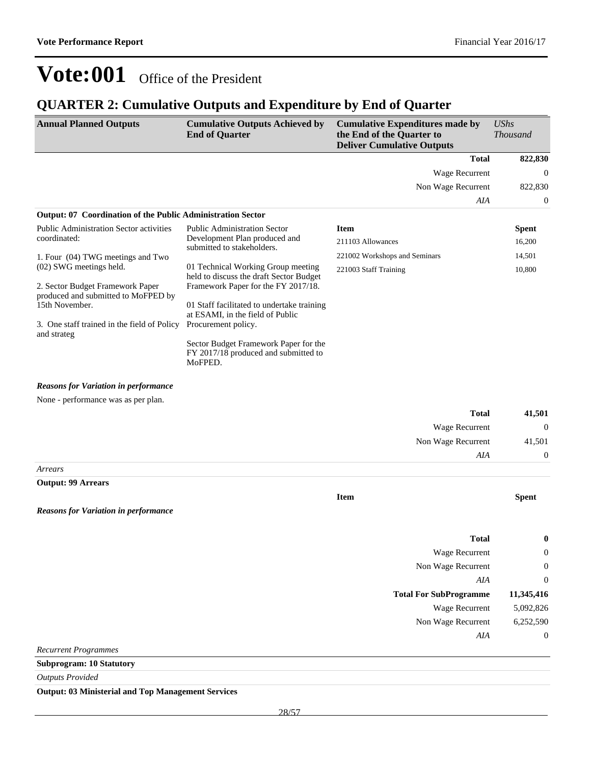### **QUARTER 2: Cumulative Outputs and Expenditure by End of Quarter**

| <b>Annual Planned Outputs</b>                                      | <b>Cumulative Outputs Achieved by</b><br><b>End of Quarter</b>                           | <b>Cumulative Expenditures made by</b><br>the End of the Quarter to<br><b>Deliver Cumulative Outputs</b> | <b>UShs</b><br><b>Thousand</b> |
|--------------------------------------------------------------------|------------------------------------------------------------------------------------------|----------------------------------------------------------------------------------------------------------|--------------------------------|
|                                                                    |                                                                                          | <b>Total</b>                                                                                             | 822,830                        |
|                                                                    |                                                                                          | <b>Wage Recurrent</b>                                                                                    | $\mathbf{0}$                   |
|                                                                    |                                                                                          | Non Wage Recurrent                                                                                       | 822,830                        |
|                                                                    |                                                                                          | AIA                                                                                                      | $\mathbf{0}$                   |
| <b>Output: 07 Coordination of the Public Administration Sector</b> |                                                                                          |                                                                                                          |                                |
| <b>Public Administration Sector activities</b>                     | <b>Public Administration Sector</b>                                                      | <b>Item</b>                                                                                              | <b>Spent</b>                   |
| coordinated:                                                       | Development Plan produced and<br>submitted to stakeholders.                              | 211103 Allowances                                                                                        | 16,200                         |
| 1. Four (04) TWG meetings and Two                                  |                                                                                          | 221002 Workshops and Seminars                                                                            | 14,501                         |
| (02) SWG meetings held.                                            | 01 Technical Working Group meeting                                                       | 221003 Staff Training                                                                                    | 10,800                         |
| 2. Sector Budget Framework Paper                                   | held to discuss the draft Sector Budget<br>Framework Paper for the FY 2017/18.           |                                                                                                          |                                |
| produced and submitted to MoFPED by                                |                                                                                          |                                                                                                          |                                |
| 15th November.                                                     | 01 Staff facilitated to undertake training<br>at ESAMI, in the field of Public           |                                                                                                          |                                |
| 3. One staff trained in the field of Policy                        | Procurement policy.                                                                      |                                                                                                          |                                |
| and strateg                                                        | Sector Budget Framework Paper for the<br>FY 2017/18 produced and submitted to<br>MoFPED. |                                                                                                          |                                |
| <b>Reasons for Variation in performance</b>                        |                                                                                          |                                                                                                          |                                |
| None - performance was as per plan.                                |                                                                                          |                                                                                                          |                                |
|                                                                    |                                                                                          | <b>Total</b>                                                                                             | 41,501                         |
|                                                                    |                                                                                          | Wage Recurrent                                                                                           | $\boldsymbol{0}$               |
|                                                                    |                                                                                          | Non Wage Recurrent                                                                                       | 41,501                         |
|                                                                    |                                                                                          | AIA                                                                                                      | $\mathbf{0}$                   |
| Arrears                                                            |                                                                                          |                                                                                                          |                                |
| <b>Output: 99 Arrears</b>                                          |                                                                                          |                                                                                                          |                                |
|                                                                    |                                                                                          | <b>Item</b>                                                                                              | <b>Spent</b>                   |
| <b>Reasons for Variation in performance</b>                        |                                                                                          |                                                                                                          |                                |
|                                                                    |                                                                                          | <b>Total</b>                                                                                             | $\boldsymbol{0}$               |
|                                                                    |                                                                                          | Wage Recurrent                                                                                           | $\boldsymbol{0}$               |
|                                                                    |                                                                                          | Non Wage Recurrent                                                                                       | $\mathbf{0}$                   |
|                                                                    |                                                                                          | AIA                                                                                                      | $\mathbf{0}$                   |
|                                                                    |                                                                                          | <b>Total For SubProgramme</b>                                                                            | 11,345,416                     |
|                                                                    |                                                                                          | Wage Recurrent                                                                                           | 5,092,826                      |
|                                                                    |                                                                                          | Non Wage Recurrent                                                                                       | 6,252,590                      |
|                                                                    |                                                                                          | AIA                                                                                                      | $\mathbf{0}$                   |
| <b>Recurrent Programmes</b>                                        |                                                                                          |                                                                                                          |                                |
| <b>Subprogram: 10 Statutory</b>                                    |                                                                                          |                                                                                                          |                                |
| <b>Outputs Provided</b>                                            |                                                                                          |                                                                                                          |                                |
| <b>Output: 03 Ministerial and Top Management Services</b>          |                                                                                          |                                                                                                          |                                |
|                                                                    | 28/57                                                                                    |                                                                                                          |                                |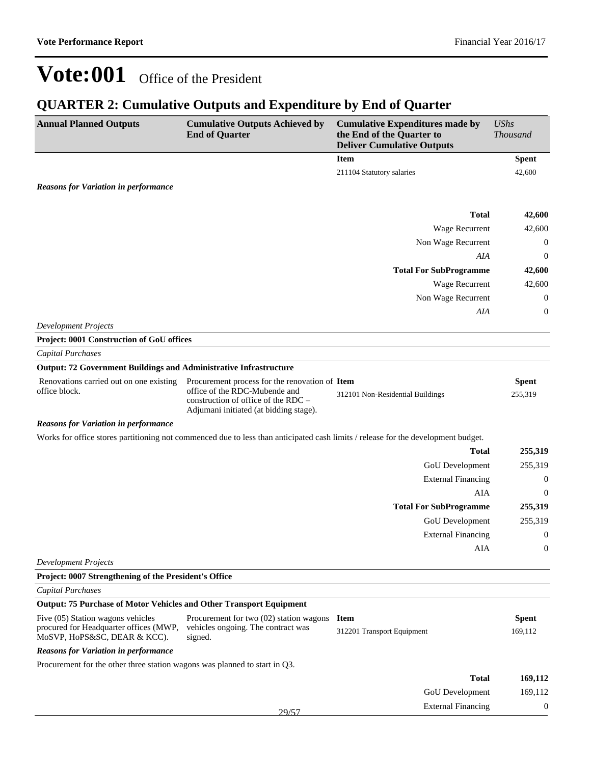### **QUARTER 2: Cumulative Outputs and Expenditure by End of Quarter**

| <b>Annual Planned Outputs</b>                                                                               | <b>Cumulative Outputs Achieved by</b><br><b>End of Quarter</b>                                                                                                   | <b>Cumulative Expenditures made by</b><br>the End of the Quarter to<br><b>Deliver Cumulative Outputs</b> | <b>UShs</b><br><b>Thousand</b> |
|-------------------------------------------------------------------------------------------------------------|------------------------------------------------------------------------------------------------------------------------------------------------------------------|----------------------------------------------------------------------------------------------------------|--------------------------------|
|                                                                                                             |                                                                                                                                                                  | <b>Item</b>                                                                                              | <b>Spent</b>                   |
|                                                                                                             |                                                                                                                                                                  | 211104 Statutory salaries                                                                                | 42,600                         |
| <b>Reasons for Variation in performance</b>                                                                 |                                                                                                                                                                  |                                                                                                          |                                |
|                                                                                                             |                                                                                                                                                                  |                                                                                                          |                                |
|                                                                                                             |                                                                                                                                                                  | <b>Total</b>                                                                                             | 42,600                         |
|                                                                                                             |                                                                                                                                                                  | Wage Recurrent                                                                                           | 42,600                         |
|                                                                                                             |                                                                                                                                                                  | Non Wage Recurrent                                                                                       | $\boldsymbol{0}$               |
|                                                                                                             |                                                                                                                                                                  | AIA                                                                                                      | $\boldsymbol{0}$               |
|                                                                                                             |                                                                                                                                                                  | <b>Total For SubProgramme</b>                                                                            | 42,600                         |
|                                                                                                             |                                                                                                                                                                  | Wage Recurrent                                                                                           | 42,600                         |
|                                                                                                             |                                                                                                                                                                  | Non Wage Recurrent                                                                                       | $\boldsymbol{0}$               |
|                                                                                                             |                                                                                                                                                                  | AIA                                                                                                      | $\boldsymbol{0}$               |
| <b>Development Projects</b>                                                                                 |                                                                                                                                                                  |                                                                                                          |                                |
| Project: 0001 Construction of GoU offices                                                                   |                                                                                                                                                                  |                                                                                                          |                                |
| <b>Capital Purchases</b>                                                                                    |                                                                                                                                                                  |                                                                                                          |                                |
| <b>Output: 72 Government Buildings and Administrative Infrastructure</b>                                    |                                                                                                                                                                  |                                                                                                          |                                |
| Renovations carried out on one existing<br>office block.                                                    | Procurement process for the renovation of Item<br>office of the RDC-Mubende and<br>construction of office of the RDC -<br>Adjumani initiated (at bidding stage). | 312101 Non-Residential Buildings                                                                         | <b>Spent</b><br>255,319        |
| <b>Reasons for Variation in performance</b>                                                                 |                                                                                                                                                                  |                                                                                                          |                                |
|                                                                                                             | Works for office stores partitioning not commenced due to less than anticipated cash limits / release for the development budget.                                |                                                                                                          |                                |
|                                                                                                             |                                                                                                                                                                  | <b>Total</b>                                                                                             | 255,319                        |
|                                                                                                             |                                                                                                                                                                  | GoU Development                                                                                          | 255,319                        |
|                                                                                                             |                                                                                                                                                                  | <b>External Financing</b>                                                                                | $\boldsymbol{0}$               |
|                                                                                                             |                                                                                                                                                                  | AIA                                                                                                      | $\boldsymbol{0}$               |
|                                                                                                             |                                                                                                                                                                  | <b>Total For SubProgramme</b>                                                                            | 255,319                        |
|                                                                                                             |                                                                                                                                                                  | GoU Development                                                                                          | 255,319                        |
|                                                                                                             |                                                                                                                                                                  | <b>External Financing</b>                                                                                | $\boldsymbol{0}$               |
|                                                                                                             |                                                                                                                                                                  | <b>AIA</b>                                                                                               | $\boldsymbol{0}$               |
| <b>Development Projects</b>                                                                                 |                                                                                                                                                                  |                                                                                                          |                                |
| Project: 0007 Strengthening of the President's Office                                                       |                                                                                                                                                                  |                                                                                                          |                                |
| <b>Capital Purchases</b>                                                                                    |                                                                                                                                                                  |                                                                                                          |                                |
| <b>Output: 75 Purchase of Motor Vehicles and Other Transport Equipment</b>                                  |                                                                                                                                                                  |                                                                                                          |                                |
| Five (05) Station wagons vehicles<br>procured for Headquarter offices (MWP,<br>MoSVP, HoPS&SC, DEAR & KCC). | Procurement for two $(02)$ station wagons Item<br>vehicles ongoing. The contract was<br>signed.                                                                  | 312201 Transport Equipment                                                                               | <b>Spent</b><br>169,112        |
| <b>Reasons for Variation in performance</b>                                                                 |                                                                                                                                                                  |                                                                                                          |                                |
| Procurement for the other three station wagons was planned to start in Q3.                                  |                                                                                                                                                                  |                                                                                                          |                                |
|                                                                                                             |                                                                                                                                                                  | <b>Total</b>                                                                                             | 169,112                        |
|                                                                                                             |                                                                                                                                                                  | GoU Development                                                                                          | 169,112                        |
|                                                                                                             |                                                                                                                                                                  | <b>External Financing</b>                                                                                | $\boldsymbol{0}$               |
|                                                                                                             | 29/57                                                                                                                                                            |                                                                                                          |                                |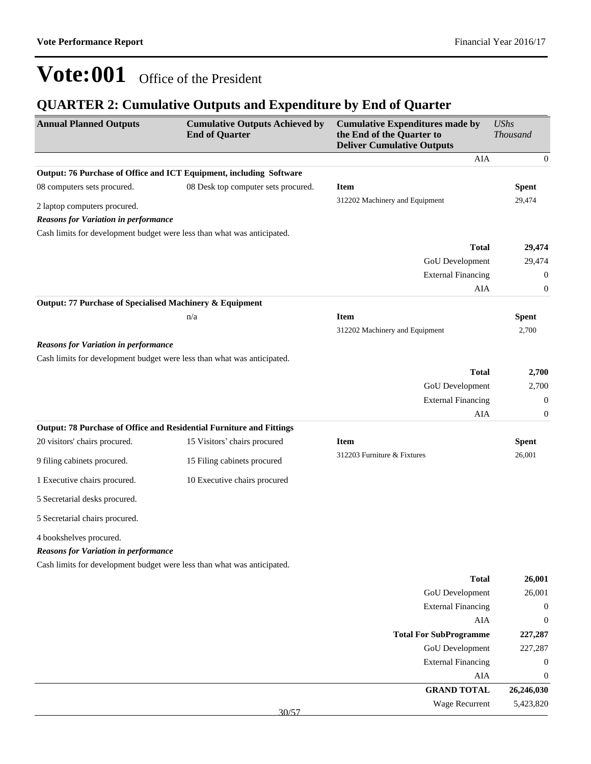### **QUARTER 2: Cumulative Outputs and Expenditure by End of Quarter**

| <b>Annual Planned Outputs</b>                                          | <b>Cumulative Outputs Achieved by</b><br><b>End of Quarter</b>          | <b>Cumulative Expenditures made by</b><br>the End of the Quarter to<br><b>Deliver Cumulative Outputs</b> | <b>UShs</b><br><b>Thousand</b> |
|------------------------------------------------------------------------|-------------------------------------------------------------------------|----------------------------------------------------------------------------------------------------------|--------------------------------|
|                                                                        |                                                                         | <b>AIA</b>                                                                                               | $\mathbf{0}$                   |
|                                                                        | Output: 76 Purchase of Office and ICT Equipment, including Software     |                                                                                                          |                                |
| 08 computers sets procured.                                            | 08 Desk top computer sets procured.                                     | <b>Item</b>                                                                                              | <b>Spent</b>                   |
| 2 laptop computers procured.                                           |                                                                         | 312202 Machinery and Equipment                                                                           | 29,474                         |
| <b>Reasons for Variation in performance</b>                            |                                                                         |                                                                                                          |                                |
|                                                                        | Cash limits for development budget were less than what was anticipated. | <b>Total</b>                                                                                             | 29,474                         |
|                                                                        |                                                                         | GoU Development                                                                                          | 29,474                         |
|                                                                        |                                                                         | <b>External Financing</b>                                                                                | $\boldsymbol{0}$               |
|                                                                        |                                                                         | AIA                                                                                                      | $\boldsymbol{0}$               |
| Output: 77 Purchase of Specialised Machinery & Equipment               |                                                                         |                                                                                                          |                                |
|                                                                        | n/a                                                                     | <b>Item</b>                                                                                              | <b>Spent</b>                   |
|                                                                        |                                                                         | 312202 Machinery and Equipment                                                                           | 2,700                          |
| <b>Reasons for Variation in performance</b>                            |                                                                         |                                                                                                          |                                |
|                                                                        | Cash limits for development budget were less than what was anticipated. |                                                                                                          |                                |
|                                                                        |                                                                         | <b>Total</b>                                                                                             | 2,700                          |
|                                                                        |                                                                         | GoU Development                                                                                          | 2,700                          |
|                                                                        |                                                                         | <b>External Financing</b>                                                                                | $\mathbf{0}$                   |
|                                                                        |                                                                         | AIA                                                                                                      | $\boldsymbol{0}$               |
|                                                                        | Output: 78 Purchase of Office and Residential Furniture and Fittings    |                                                                                                          |                                |
| 20 visitors' chairs procured.                                          | 15 Visitors' chairs procured                                            | <b>Item</b>                                                                                              | <b>Spent</b>                   |
| 9 filing cabinets procured.                                            | 15 Filing cabinets procured                                             | 312203 Furniture & Fixtures                                                                              | 26,001                         |
| 1 Executive chairs procured.                                           | 10 Executive chairs procured                                            |                                                                                                          |                                |
| 5 Secretarial desks procured.                                          |                                                                         |                                                                                                          |                                |
| 5 Secretarial chairs procured.                                         |                                                                         |                                                                                                          |                                |
| 4 bookshelves procured.<br><b>Reasons for Variation in performance</b> |                                                                         |                                                                                                          |                                |
|                                                                        | Cash limits for development budget were less than what was anticipated. |                                                                                                          |                                |
|                                                                        |                                                                         | <b>Total</b>                                                                                             | 26,001                         |
|                                                                        |                                                                         | <b>GoU</b> Development                                                                                   | 26,001                         |
|                                                                        |                                                                         | <b>External Financing</b>                                                                                | $\mathbf{0}$                   |
|                                                                        |                                                                         | AIA                                                                                                      | $\boldsymbol{0}$               |
|                                                                        |                                                                         | <b>Total For SubProgramme</b>                                                                            | 227,287                        |
|                                                                        |                                                                         | GoU Development                                                                                          | 227,287                        |
|                                                                        |                                                                         | <b>External Financing</b>                                                                                | $\boldsymbol{0}$               |
|                                                                        |                                                                         | AIA                                                                                                      | $\boldsymbol{0}$               |
|                                                                        |                                                                         | <b>GRAND TOTAL</b>                                                                                       | 26,246,030                     |
|                                                                        | 30/57                                                                   | Wage Recurrent                                                                                           | 5,423,820                      |
|                                                                        |                                                                         |                                                                                                          |                                |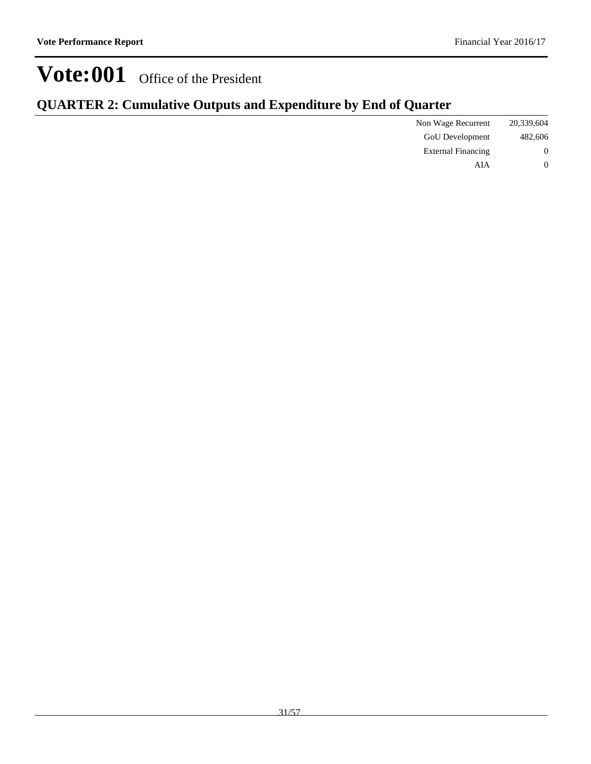| <b>QUARTER 2: Cumulative Outputs and Expenditure by End of Quarter</b> |  |  |  |  |
|------------------------------------------------------------------------|--|--|--|--|
|------------------------------------------------------------------------|--|--|--|--|

| 20,339,604       | Non Wage Recurrent        |  |
|------------------|---------------------------|--|
| 482,606          | <b>GoU</b> Development    |  |
| $\boldsymbol{0}$ | <b>External Financing</b> |  |
|                  | AIA                       |  |
|                  |                           |  |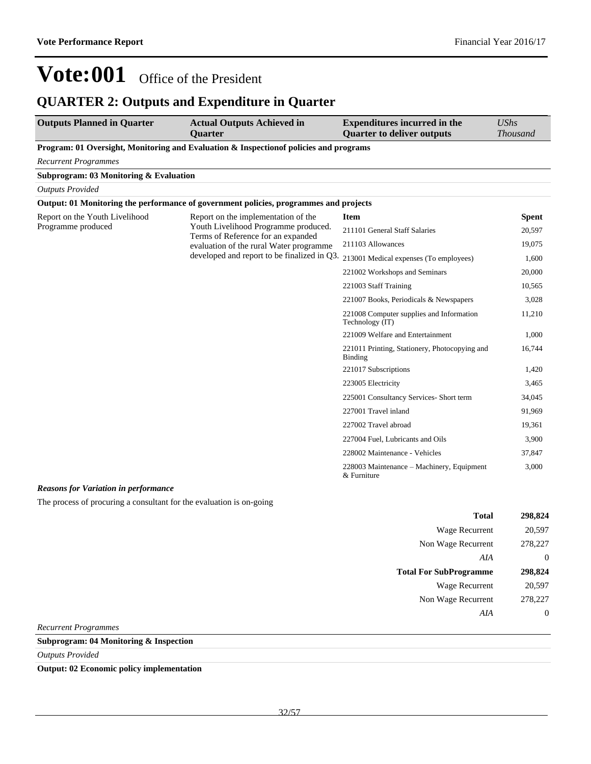### **QUARTER 2: Outputs and Expenditure in Quarter**

| <b>Outputs Planned in Quarter</b>                               | <b>Actual Outputs Achieved in</b><br><b>Ouarter</b>                                    | <b>Expenditures incurred in the</b><br><b>Quarter to deliver outputs</b> | <b>UShs</b><br><b>Thousand</b> |
|-----------------------------------------------------------------|----------------------------------------------------------------------------------------|--------------------------------------------------------------------------|--------------------------------|
|                                                                 | Program: 01 Oversight, Monitoring and Evaluation & Inspection of policies and programs |                                                                          |                                |
| <b>Recurrent Programmes</b>                                     |                                                                                        |                                                                          |                                |
| Subprogram: 03 Monitoring & Evaluation                          |                                                                                        |                                                                          |                                |
| <b>Outputs Provided</b>                                         |                                                                                        |                                                                          |                                |
|                                                                 | Output: 01 Monitoring the performance of government policies, programmes and projects  |                                                                          |                                |
| Report on the Youth Livelihood                                  | Report on the implementation of the                                                    | <b>Item</b>                                                              | Spent                          |
| Programme produced                                              | Youth Livelihood Programme produced.<br>Terms of Reference for an expanded             | 211101 General Staff Salaries                                            | 20,597                         |
|                                                                 | evaluation of the rural Water programme                                                | 211103 Allowances                                                        | 19.075                         |
|                                                                 | developed and report to be finalized in Q3.                                            | 213001 Medical expenses (To employees)                                   | 1,600                          |
|                                                                 |                                                                                        | 221002 Workshops and Seminars                                            | 20,000                         |
|                                                                 |                                                                                        | 221003 Staff Training                                                    | 10,565                         |
|                                                                 |                                                                                        | 221007 Books, Periodicals & Newspapers                                   | 3,028                          |
|                                                                 |                                                                                        | 221008 Computer supplies and Information<br>Technology (IT)              | 11,210                         |
|                                                                 |                                                                                        | 221009 Welfare and Entertainment                                         | 1,000                          |
|                                                                 |                                                                                        | 221011 Printing, Stationery, Photocopying and<br>Binding                 | 16,744                         |
|                                                                 |                                                                                        | 221017 Subscriptions                                                     | 1,420                          |
|                                                                 |                                                                                        | 223005 Electricity                                                       | 3,465                          |
|                                                                 |                                                                                        | 225001 Consultancy Services- Short term                                  | 34,045                         |
|                                                                 |                                                                                        | 227001 Travel inland                                                     | 91,969                         |
|                                                                 |                                                                                        | 227002 Travel abroad                                                     | 19,361                         |
|                                                                 |                                                                                        | 227004 Fuel, Lubricants and Oils                                         | 3,900                          |
|                                                                 |                                                                                        | 228002 Maintenance - Vehicles                                            | 37,847                         |
| $\mathbf{r}$ and $\mathbf{r}$ and $\mathbf{r}$ and $\mathbf{r}$ |                                                                                        | 228003 Maintenance – Machinery, Equipment<br>& Furniture                 | 3,000                          |

#### *Reasons for Variation in performance*

The process of procuring a consultant for the evaluation is on-going

|                               | <b>Total</b> | 298,824 |
|-------------------------------|--------------|---------|
| Wage Recurrent                |              | 20,597  |
| Non Wage Recurrent            |              | 278,227 |
|                               | AIA          | 0       |
|                               |              |         |
| <b>Total For SubProgramme</b> |              | 298,824 |
| Wage Recurrent                |              | 20,597  |
| Non Wage Recurrent            |              | 278,227 |
|                               | AIA          |         |

*Recurrent Programmes*

### **Subprogram: 04 Monitoring & Inspection**

*Outputs Provided*

**Output: 02 Economic policy implementation**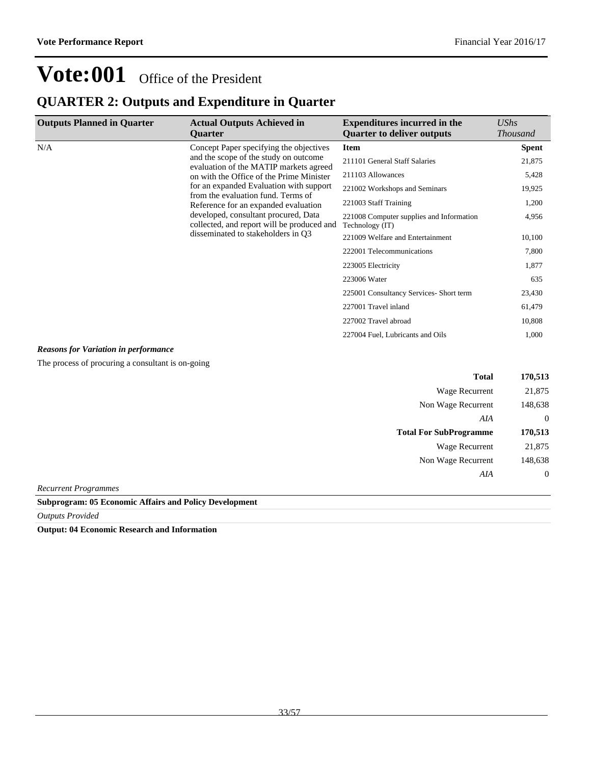### **QUARTER 2: Outputs and Expenditure in Quarter**

| <b>Outputs Planned in Quarter</b>           | <b>Actual Outputs Achieved in</b><br><b>Ouarter</b>                                                                         | <b>Expenditures incurred in the</b><br><b>Quarter to deliver outputs</b> | UShs<br><b>Thousand</b> |
|---------------------------------------------|-----------------------------------------------------------------------------------------------------------------------------|--------------------------------------------------------------------------|-------------------------|
| N/A                                         | Concept Paper specifying the objectives                                                                                     | <b>Item</b>                                                              | Spent                   |
|                                             | and the scope of the study on outcome<br>evaluation of the MATIP markets agreed<br>on with the Office of the Prime Minister | 211101 General Staff Salaries                                            | 21,875                  |
|                                             |                                                                                                                             | 211103 Allowances                                                        | 5,428                   |
|                                             | for an expanded Evaluation with support                                                                                     | 221002 Workshops and Seminars                                            | 19,925                  |
|                                             | from the evaluation fund. Terms of<br>Reference for an expanded evaluation                                                  | 221003 Staff Training                                                    | 1,200                   |
|                                             | developed, consultant procured, Data<br>collected, and report will be produced and                                          | 221008 Computer supplies and Information<br>Technology (IT)              | 4,956                   |
|                                             | disseminated to stakeholders in Q3                                                                                          | 221009 Welfare and Entertainment                                         | 10,100                  |
|                                             |                                                                                                                             | 222001 Telecommunications                                                | 7,800                   |
|                                             |                                                                                                                             | 223005 Electricity                                                       | 1,877                   |
|                                             |                                                                                                                             | 223006 Water                                                             | 635                     |
|                                             |                                                                                                                             | 225001 Consultancy Services- Short term                                  | 23,430                  |
|                                             |                                                                                                                             | 227001 Travel inland                                                     | 61,479                  |
|                                             |                                                                                                                             | 227002 Travel abroad                                                     | 10,808                  |
|                                             |                                                                                                                             | 227004 Fuel, Lubricants and Oils                                         | 1,000                   |
| <b>Reasons for Variation in performance</b> |                                                                                                                             |                                                                          |                         |

The process of procuring a consultant is on-going

| <b>Total</b>                  | 170,513          |
|-------------------------------|------------------|
| Wage Recurrent                | 21,875           |
| Non Wage Recurrent            | 148,638          |
| AIA                           | $\theta$         |
| <b>Total For SubProgramme</b> | 170,513          |
| Wage Recurrent                | 21,875           |
| Non Wage Recurrent            | 148,638          |
| AIA                           | $\boldsymbol{0}$ |
| Recurrent Programmes          |                  |

*Recurrent Programmes*

**Subprogram: 05 Economic Affairs and Policy Development**

*Outputs Provided*

**Output: 04 Economic Research and Information**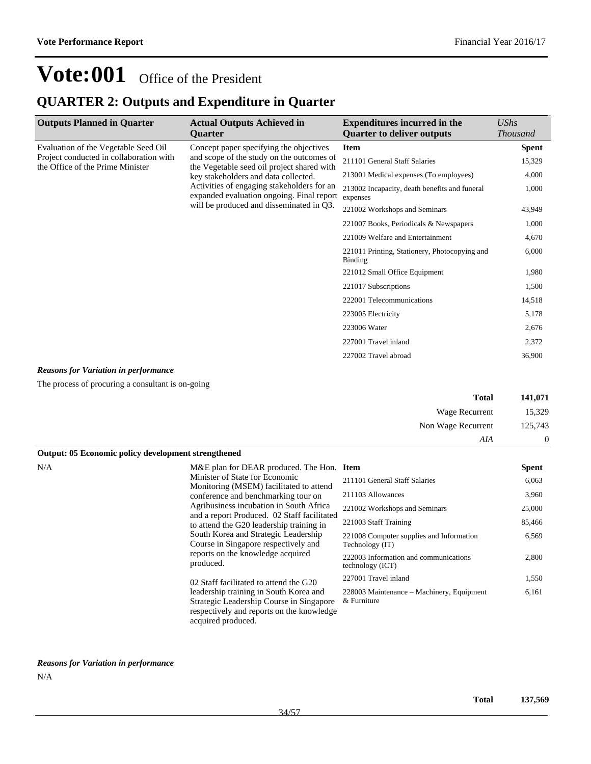### **QUARTER 2: Outputs and Expenditure in Quarter**

| <b>Outputs Planned in Quarter</b>                                           | <b>Actual Outputs Achieved in</b><br><b>Ouarter</b>                                                                                                                                                                        | <b>Expenditures incurred in the</b><br><b>Ouarter to deliver outputs</b> | UShs<br><b>Thousand</b> |
|-----------------------------------------------------------------------------|----------------------------------------------------------------------------------------------------------------------------------------------------------------------------------------------------------------------------|--------------------------------------------------------------------------|-------------------------|
| Evaluation of the Vegetable Seed Oil                                        | Concept paper specifying the objectives                                                                                                                                                                                    | <b>Item</b>                                                              | <b>Spent</b>            |
| Project conducted in collaboration with<br>the Office of the Prime Minister | and scope of the study on the outcomes of<br>the Vegetable seed oil project shared with<br>key stakeholders and data collected.<br>Activities of engaging stakeholders for an<br>expanded evaluation ongoing. Final report | 211101 General Staff Salaries                                            | 15,329                  |
|                                                                             |                                                                                                                                                                                                                            | 213001 Medical expenses (To employees)                                   | 4,000                   |
|                                                                             |                                                                                                                                                                                                                            | 213002 Incapacity, death benefits and funeral<br>expenses                | 1,000                   |
|                                                                             | will be produced and disseminated in Q3.                                                                                                                                                                                   | 221002 Workshops and Seminars                                            | 43,949                  |
|                                                                             |                                                                                                                                                                                                                            | 221007 Books, Periodicals & Newspapers                                   | 1,000                   |
|                                                                             |                                                                                                                                                                                                                            | 221009 Welfare and Entertainment                                         | 4,670                   |
|                                                                             |                                                                                                                                                                                                                            | 221011 Printing, Stationery, Photocopying and<br><b>Binding</b>          | 6,000                   |
|                                                                             |                                                                                                                                                                                                                            | 221012 Small Office Equipment                                            | 1,980                   |
|                                                                             |                                                                                                                                                                                                                            | 221017 Subscriptions                                                     | 1,500                   |
|                                                                             |                                                                                                                                                                                                                            | 222001 Telecommunications                                                | 14,518                  |
|                                                                             |                                                                                                                                                                                                                            | 223005 Electricity                                                       | 5,178                   |
|                                                                             |                                                                                                                                                                                                                            | 223006 Water                                                             | 2,676                   |
|                                                                             |                                                                                                                                                                                                                            | 227001 Travel inland                                                     | 2,372                   |
|                                                                             |                                                                                                                                                                                                                            | 227002 Travel abroad                                                     | 36,900                  |

#### *Reasons for Variation in performance*

The process of procuring a consultant is on-going

| Total              | 141,071           |
|--------------------|-------------------|
| Wage Recurrent     | 15.329            |
| Non Wage Recurrent | 125,743           |
| AIA                | $\mathbf{\Omega}$ |

| Output: 05 Economic policy development strengthened |                                                                                                                                                       |                                                             |              |
|-----------------------------------------------------|-------------------------------------------------------------------------------------------------------------------------------------------------------|-------------------------------------------------------------|--------------|
| N/A                                                 | M&E plan for DEAR produced. The Hon. Item                                                                                                             |                                                             | <b>Spent</b> |
|                                                     | Minister of State for Economic                                                                                                                        | 211101 General Staff Salaries                               | 6,063        |
|                                                     | Monitoring (MSEM) facilitated to attend<br>conference and benchmarking tour on                                                                        | 211103 Allowances                                           | 3,960        |
|                                                     | Agribusiness incubation in South Africa                                                                                                               | 221002 Workshops and Seminars                               | 25,000       |
|                                                     | and a report Produced. 02 Staff facilitated<br>to attend the G20 leadership training in                                                               | 221003 Staff Training                                       | 85,466       |
|                                                     | South Korea and Strategic Leadership<br>Course in Singapore respectively and                                                                          | 221008 Computer supplies and Information<br>Technology (IT) | 6,569        |
|                                                     | reports on the knowledge acquired<br>produced.                                                                                                        | 222003 Information and communications<br>technology (ICT)   | 2,800        |
|                                                     | 02 Staff facilitated to attend the G20                                                                                                                | 227001 Travel inland                                        | 1,550        |
|                                                     | leadership training in South Korea and<br>Strategic Leadership Course in Singapore<br>respectively and reports on the knowledge<br>acquired produced. | 228003 Maintenance – Machinery, Equipment<br>& Furniture    | 6,161        |

### *Reasons for Variation in performance* N/A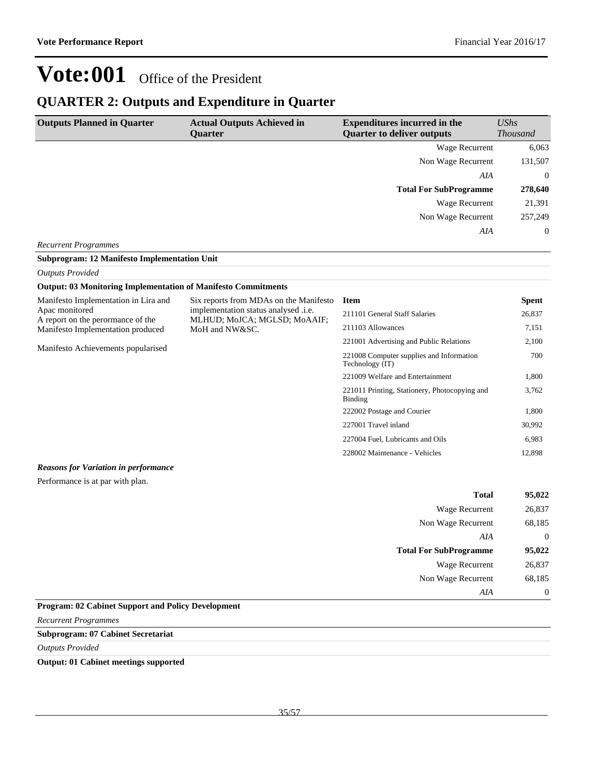### **QUARTER 2: Outputs and Expenditure in Quarter**

| <b>Outputs Planned in Quarter</b> | <b>Actual Outputs Achieved in</b><br><b>Ouarter</b> | <b>Expenditures incurred in the</b><br><b>Quarter to deliver outputs</b> | UShs<br><b>Thousand</b> |
|-----------------------------------|-----------------------------------------------------|--------------------------------------------------------------------------|-------------------------|
|                                   |                                                     | Wage Recurrent                                                           | 6,063                   |
|                                   |                                                     | Non Wage Recurrent                                                       | 131,507                 |
|                                   |                                                     | AIA                                                                      | $\overline{0}$          |
|                                   |                                                     | <b>Total For SubProgramme</b>                                            | 278,640                 |
|                                   |                                                     | Wage Recurrent                                                           | 21,391                  |
|                                   |                                                     | Non Wage Recurrent                                                       | 257,249                 |
|                                   |                                                     | AIA                                                                      | $\overline{0}$          |
| <b>Recurrent Programmes</b>       |                                                     |                                                                          |                         |

#### *Outputs Provided* **Output: 03 Monitoring Implementation of Manifesto Commitments**

**Subprogram: 12 Manifesto Implementation Unit**

| Output, ob monitoring implementation of mannesto communents |                                                                                                                |                                                                 |              |
|-------------------------------------------------------------|----------------------------------------------------------------------------------------------------------------|-----------------------------------------------------------------|--------------|
| Manifesto Implementation in Lira and                        | Six reports from MDAs on the Manifesto<br>implementation status analysed .i.e.<br>MLHUD; MoJCA; MGLSD; MoAAIF; | <b>Item</b>                                                     | <b>Spent</b> |
| Apac monitored<br>A report on the perormance of the         |                                                                                                                | 211101 General Staff Salaries                                   | 26,837       |
| Manifesto Implementation produced                           | MoH and NW&SC.                                                                                                 | 211103 Allowances                                               | 7,151        |
|                                                             |                                                                                                                | 221001 Advertising and Public Relations                         | 2,100        |
| Manifesto Achievements popularised                          |                                                                                                                | 221008 Computer supplies and Information<br>Technology (IT)     | 700          |
|                                                             |                                                                                                                | 221009 Welfare and Entertainment                                | 1,800        |
|                                                             |                                                                                                                | 221011 Printing, Stationery, Photocopying and<br><b>Binding</b> | 3,762        |
|                                                             |                                                                                                                | 222002 Postage and Courier                                      | 1,800        |
|                                                             |                                                                                                                | 227001 Travel inland                                            | 30,992       |
|                                                             |                                                                                                                | 227004 Fuel, Lubricants and Oils                                | 6,983        |
|                                                             |                                                                                                                | 228002 Maintenance - Vehicles                                   | 12,898       |

#### *Reasons for Variation in performance*

Performance is at par with plan.

| 95,022         | <b>Total</b>                  |
|----------------|-------------------------------|
| 26,837         | <b>Wage Recurrent</b>         |
| 68,185         | Non Wage Recurrent            |
| $\overline{0}$ | AIA                           |
| 95,022         | <b>Total For SubProgramme</b> |
| 26,837         | <b>Wage Recurrent</b>         |
| 68,185         | Non Wage Recurrent            |
| $\theta$       | AIA                           |
|                |                               |

### **Program: 02 Cabinet Support and Policy Development**

*Recurrent Programmes*

### **Subprogram: 07 Cabinet Secretariat**

*Outputs Provided*

#### **Output: 01 Cabinet meetings supported**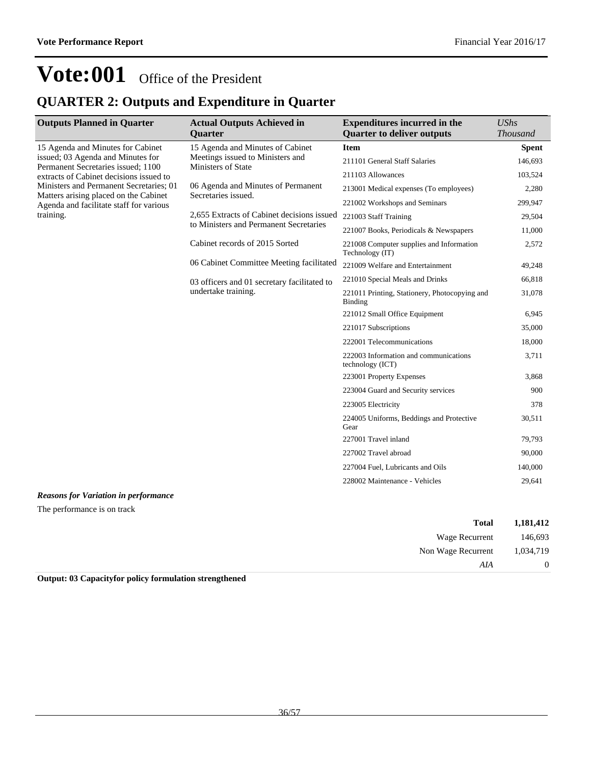### **QUARTER 2: Outputs and Expenditure in Quarter**

| <b>Outputs Planned in Quarter</b>                                                                                                                       | <b>Actual Outputs Achieved in</b><br><b>Ouarter</b>                                        | <b>Expenditures incurred in the</b><br><b>Quarter to deliver outputs</b> | <b>UShs</b><br><b>Thousand</b> |
|---------------------------------------------------------------------------------------------------------------------------------------------------------|--------------------------------------------------------------------------------------------|--------------------------------------------------------------------------|--------------------------------|
| 15 Agenda and Minutes for Cabinet<br>issued; 03 Agenda and Minutes for<br>Permanent Secretaries issued; 1100<br>extracts of Cabinet decisions issued to | 15 Agenda and Minutes of Cabinet<br>Meetings issued to Ministers and<br>Ministers of State | <b>Item</b>                                                              | <b>Spent</b>                   |
|                                                                                                                                                         |                                                                                            | 211101 General Staff Salaries                                            | 146,693                        |
|                                                                                                                                                         |                                                                                            | 211103 Allowances                                                        | 103,524                        |
| Ministers and Permanent Secretaries; 01                                                                                                                 | 06 Agenda and Minutes of Permanent<br>Secretaries issued.                                  | 213001 Medical expenses (To employees)                                   | 2,280                          |
| Matters arising placed on the Cabinet<br>Agenda and facilitate staff for various                                                                        |                                                                                            | 221002 Workshops and Seminars                                            | 299,947                        |
| training.                                                                                                                                               | 2,655 Extracts of Cabinet decisions issued                                                 | 221003 Staff Training                                                    | 29,504                         |
|                                                                                                                                                         | to Ministers and Permanent Secretaries                                                     | 221007 Books, Periodicals & Newspapers                                   | 11,000                         |
|                                                                                                                                                         | Cabinet records of 2015 Sorted                                                             | 221008 Computer supplies and Information<br>Technology (IT)              | 2,572                          |
|                                                                                                                                                         | 06 Cabinet Committee Meeting facilitated                                                   | 221009 Welfare and Entertainment                                         | 49,248                         |
|                                                                                                                                                         | 03 officers and 01 secretary facilitated to<br>undertake training.                         | 221010 Special Meals and Drinks                                          | 66,818                         |
|                                                                                                                                                         |                                                                                            | 221011 Printing, Stationery, Photocopying and<br><b>Binding</b>          | 31,078                         |
|                                                                                                                                                         |                                                                                            | 221012 Small Office Equipment                                            | 6,945                          |
|                                                                                                                                                         |                                                                                            | 221017 Subscriptions                                                     | 35,000                         |
|                                                                                                                                                         |                                                                                            | 222001 Telecommunications                                                | 18,000                         |
|                                                                                                                                                         |                                                                                            | 222003 Information and communications<br>technology (ICT)                | 3,711                          |
|                                                                                                                                                         |                                                                                            | 223001 Property Expenses                                                 | 3,868                          |
|                                                                                                                                                         |                                                                                            | 223004 Guard and Security services                                       | 900                            |
|                                                                                                                                                         |                                                                                            | 223005 Electricity                                                       | 378                            |
|                                                                                                                                                         |                                                                                            | 224005 Uniforms, Beddings and Protective<br>Gear                         | 30,511                         |
|                                                                                                                                                         |                                                                                            | 227001 Travel inland                                                     | 79,793                         |
|                                                                                                                                                         |                                                                                            | 227002 Travel abroad                                                     | 90,000                         |
|                                                                                                                                                         |                                                                                            | 227004 Fuel, Lubricants and Oils                                         | 140,000                        |
|                                                                                                                                                         |                                                                                            | 228002 Maintenance - Vehicles                                            | 29,641                         |
|                                                                                                                                                         |                                                                                            |                                                                          |                                |

### *Reasons for Variation in performance*

The performance is on track

| 1,181,412      | <b>Total</b>       |
|----------------|--------------------|
| 146,693        | Wage Recurrent     |
| 1,034,719      | Non Wage Recurrent |
| $\overline{0}$ | AIA                |

**Output: 03 Capacityfor policy formulation strengthened**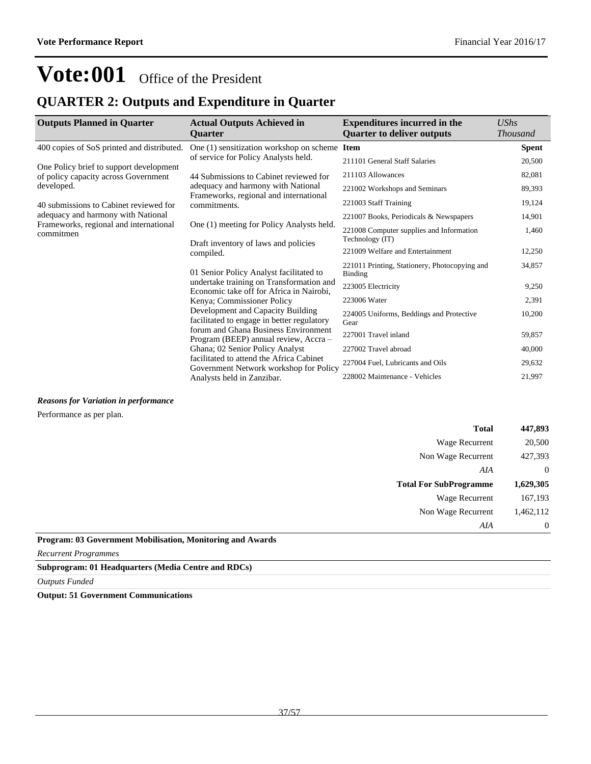### **QUARTER 2: Outputs and Expenditure in Quarter**

| <b>Outputs Planned in Quarter</b>                   | <b>Actual Outputs Achieved in</b><br><b>Ouarter</b>                                                                                                                                                                                                                                                                                                                                                              | <b>Expenditures incurred in the</b><br><b>Ouarter to deliver outputs</b> | UShs<br><b>Thousand</b> |
|-----------------------------------------------------|------------------------------------------------------------------------------------------------------------------------------------------------------------------------------------------------------------------------------------------------------------------------------------------------------------------------------------------------------------------------------------------------------------------|--------------------------------------------------------------------------|-------------------------|
| 400 copies of SoS printed and distributed.          | One (1) sensitization workshop on scheme                                                                                                                                                                                                                                                                                                                                                                         | <b>Item</b>                                                              | <b>Spent</b>            |
| One Policy brief to support development             | of service for Policy Analysts held.                                                                                                                                                                                                                                                                                                                                                                             | 211101 General Staff Salaries                                            | 20,500                  |
| of policy capacity across Government                | 44 Submissions to Cabinet reviewed for                                                                                                                                                                                                                                                                                                                                                                           | 211103 Allowances                                                        | 82,081                  |
| developed.                                          | adequacy and harmony with National                                                                                                                                                                                                                                                                                                                                                                               | 221002 Workshops and Seminars                                            | 89,393                  |
| 40 submissions to Cabinet reviewed for              | Frameworks, regional and international<br>commitments.                                                                                                                                                                                                                                                                                                                                                           | 221003 Staff Training                                                    | 19,124                  |
| adequacy and harmony with National                  |                                                                                                                                                                                                                                                                                                                                                                                                                  | 221007 Books, Periodicals & Newspapers                                   | 14,901                  |
| Frameworks, regional and international<br>commitmen | One (1) meeting for Policy Analysts held.<br>Draft inventory of laws and policies<br>compiled.                                                                                                                                                                                                                                                                                                                   | 221008 Computer supplies and Information<br>Technology (IT)              | 1,460                   |
|                                                     |                                                                                                                                                                                                                                                                                                                                                                                                                  | 221009 Welfare and Entertainment                                         | 12,250                  |
|                                                     | 01 Senior Policy Analyst facilitated to<br>undertake training on Transformation and<br>Economic take off for Africa in Nairobi,<br>Kenya; Commissioner Policy<br>Development and Capacity Building<br>facilitated to engage in better regulatory<br>forum and Ghana Business Environment<br>Program (BEEP) annual review, Accra -<br>Ghana; 02 Senior Policy Analyst<br>facilitated to attend the Africa Cabinet | 221011 Printing, Stationery, Photocopying and<br>Binding                 | 34,857                  |
|                                                     |                                                                                                                                                                                                                                                                                                                                                                                                                  | 223005 Electricity                                                       | 9,250                   |
|                                                     |                                                                                                                                                                                                                                                                                                                                                                                                                  | 223006 Water                                                             | 2,391                   |
|                                                     |                                                                                                                                                                                                                                                                                                                                                                                                                  | 224005 Uniforms, Beddings and Protective<br>Gear                         | 10,200                  |
|                                                     |                                                                                                                                                                                                                                                                                                                                                                                                                  | 227001 Travel inland                                                     | 59,857                  |
|                                                     |                                                                                                                                                                                                                                                                                                                                                                                                                  | 227002 Travel abroad                                                     | 40,000                  |
|                                                     |                                                                                                                                                                                                                                                                                                                                                                                                                  | 227004 Fuel, Lubricants and Oils                                         | 29,632                  |
|                                                     | Government Network workshop for Policy<br>Analysts held in Zanzibar.                                                                                                                                                                                                                                                                                                                                             | 228002 Maintenance - Vehicles                                            | 21,997                  |

*Reasons for Variation in performance*

Performance as per plan.

| 447,893        | <b>Total</b>                  |
|----------------|-------------------------------|
| 20,500         | Wage Recurrent                |
| 427,393        | Non Wage Recurrent            |
| $\overline{0}$ | AIA                           |
| 1,629,305      | <b>Total For SubProgramme</b> |
| 167,193        | Wage Recurrent                |
| 1,462,112      | Non Wage Recurrent            |
| $\overline{0}$ | AIA                           |
|                |                               |

**Program: 03 Government Mobilisation, Monitoring and Awards**

*Recurrent Programmes*

**Subprogram: 01 Headquarters (Media Centre and RDCs)**

*Outputs Funded*

**Output: 51 Government Communications**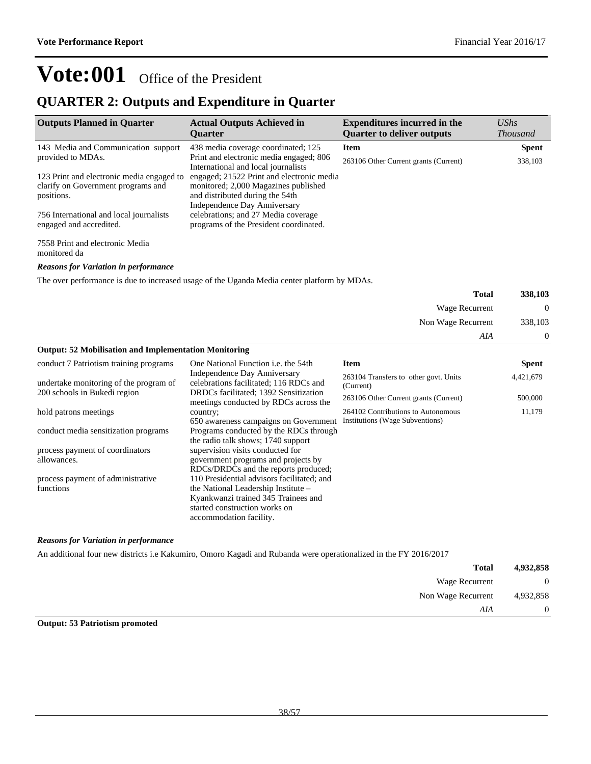### **QUARTER 2: Outputs and Expenditure in Quarter**

| <b>Outputs Planned in Quarter</b>                                                             | <b>Actual Outputs Achieved in</b><br><b>Ouarter</b>                                                                                                  | <b>Expenditures incurred in the</b><br><b>Quarter to deliver outputs</b> | $\mathit{UShs}$<br><i>Thousand</i> |
|-----------------------------------------------------------------------------------------------|------------------------------------------------------------------------------------------------------------------------------------------------------|--------------------------------------------------------------------------|------------------------------------|
| 143 Media and Communication support                                                           | 438 media coverage coordinated; 125                                                                                                                  | <b>Item</b>                                                              | <b>Spent</b>                       |
| provided to MDAs.                                                                             | Print and electronic media engaged; 806<br>International and local journalists                                                                       | 263106 Other Current grants (Current)                                    | 338,103                            |
| 123 Print and electronic media engaged to<br>clarify on Government programs and<br>positions. | engaged; 21522 Print and electronic media<br>monitored; 2,000 Magazines published<br>and distributed during the 54th<br>Independence Day Anniversary |                                                                          |                                    |
| 756 International and local journalists<br>engaged and accredited.                            | celebrations; and 27 Media coverage<br>programs of the President coordinated.                                                                        |                                                                          |                                    |

7558 Print and electronic Media monitored da

*Reasons for Variation in performance*

The over performance is due to increased usage of the Uganda Media center platform by MDAs.

| 338,103  | <b>Total</b>       |                                                              |
|----------|--------------------|--------------------------------------------------------------|
| $\Omega$ | Wage Recurrent     |                                                              |
| 338,103  | Non Wage Recurrent |                                                              |
| 0        | AIA                |                                                              |
|          |                    | <b>Output: 52 Mobilisation and Implementation Monitoring</b> |

| conduct 7 Patriotism training programs | One National Function <i>i.e.</i> the 54th                                                                            | <b>Item</b>                                        | <b>Spent</b> |
|----------------------------------------|-----------------------------------------------------------------------------------------------------------------------|----------------------------------------------------|--------------|
| undertake monitoring of the program of | Independence Day Anniversary<br>celebrations facilitated; 116 RDCs and                                                | 263104 Transfers to other govt. Units<br>(Current) | 4,421,679    |
| 200 schools in Bukedi region           | DRDCs facilitated; 1392 Sensitization<br>meetings conducted by RDCs across the                                        | 263106 Other Current grants (Current)              | 500,000      |
| hold patrons meetings                  | country;                                                                                                              | 264102 Contributions to Autonomous                 | 11,179       |
| conduct media sensitization programs   | 650 awareness campaigns on Government<br>Programs conducted by the RDCs through<br>the radio talk shows; 1740 support | Institutions (Wage Subventions)                    |              |
| process payment of coordinators        | supervision visits conducted for                                                                                      |                                                    |              |
| allowances.                            | government programs and projects by<br>RDCs/DRDCs and the reports produced;                                           |                                                    |              |
| process payment of administrative      | 110 Presidential advisors facilitated; and                                                                            |                                                    |              |
| functions                              | the National Leadership Institute –                                                                                   |                                                    |              |
|                                        | Kyankwanzi trained 345 Trainees and                                                                                   |                                                    |              |
|                                        | started construction works on                                                                                         |                                                    |              |
|                                        | accommodation facility.                                                                                               |                                                    |              |

### *Reasons for Variation in performance*

An additional four new districts i.e Kakumiro, Omoro Kagadi and Rubanda were operationalized in the FY 2016/2017

| 4,932,858    | <b>Total</b>       |
|--------------|--------------------|
| $\mathbf{0}$ | Wage Recurrent     |
| 4,932,858    | Non Wage Recurrent |
| $\theta$     | AIA                |

### **Output: 53 Patriotism promoted**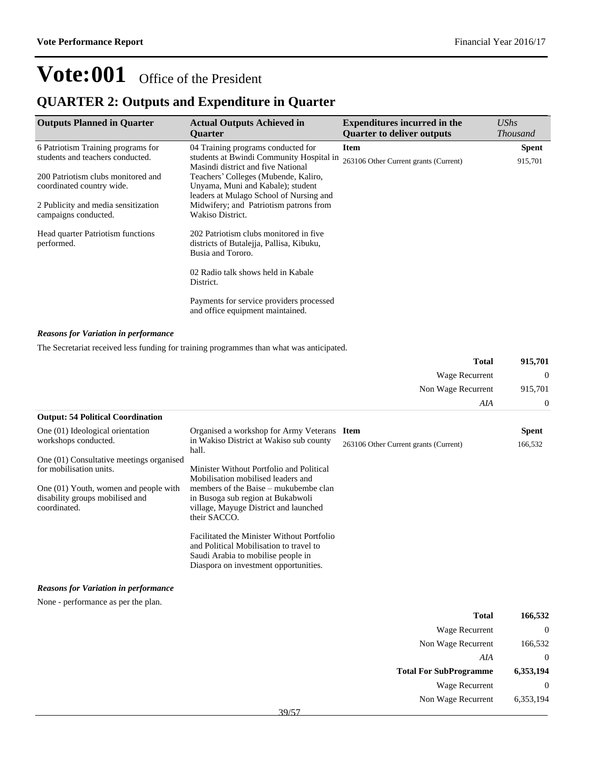### **QUARTER 2: Outputs and Expenditure in Quarter**

| <b>Outputs Planned in Quarter</b>               | <b>Actual Outputs Achieved in</b><br><b>Ouarter</b>                                                     | <b>Expenditures incurred in the</b><br><b>Quarter to deliver outputs</b> | <b>UShs</b><br><i>Thousand</i> |
|-------------------------------------------------|---------------------------------------------------------------------------------------------------------|--------------------------------------------------------------------------|--------------------------------|
| 6 Patriotism Training programs for              | 04 Training programs conducted for                                                                      | <b>Item</b>                                                              | <b>Spent</b>                   |
| students and teachers conducted.                | students at Bwindi Community Hospital in<br>Masindi district and five National                          | 263106 Other Current grants (Current)                                    | 915,701                        |
| 200 Patriotism clubs monitored and              | Teachers' Colleges (Mubende, Kaliro,                                                                    |                                                                          |                                |
| coordinated country wide.                       | Unyama, Muni and Kabale); student                                                                       |                                                                          |                                |
|                                                 | leaders at Mulago School of Nursing and                                                                 |                                                                          |                                |
| 2 Publicity and media sensitization             | Midwifery; and Patriotism patrons from                                                                  |                                                                          |                                |
| campaigns conducted.                            | Wakiso District.                                                                                        |                                                                          |                                |
| Head quarter Patriotism functions<br>performed. | 202 Patriotism clubs monitored in five<br>districts of Butalejja, Pallisa, Kibuku,<br>Busia and Tororo. |                                                                          |                                |
|                                                 | 02 Radio talk shows held in Kabale<br>District.                                                         |                                                                          |                                |
|                                                 | Payments for service providers processed<br>and office equipment maintained.                            |                                                                          |                                |

### *Reasons for Variation in performance*

The Secretariat received less funding for training programmes than what was anticipated.

|                                                                                          |                                                                                                                                                                      | <b>Total</b>                          | 915,701      |
|------------------------------------------------------------------------------------------|----------------------------------------------------------------------------------------------------------------------------------------------------------------------|---------------------------------------|--------------|
|                                                                                          |                                                                                                                                                                      | Wage Recurrent                        | $\bf{0}$     |
|                                                                                          |                                                                                                                                                                      | Non Wage Recurrent                    | 915,701      |
|                                                                                          |                                                                                                                                                                      | AIA                                   | $\theta$     |
| <b>Output: 54 Political Coordination</b>                                                 |                                                                                                                                                                      |                                       |              |
| One (01) Ideological orientation                                                         | Organised a workshop for Army Veterans                                                                                                                               | Item                                  | <b>Spent</b> |
| workshops conducted.                                                                     | in Wakiso District at Wakiso sub county<br>hall.                                                                                                                     | 263106 Other Current grants (Current) | 166,532      |
| One (01) Consultative meetings organised<br>for mobilisation units.                      | Minister Without Portfolio and Political<br>Mobilisation mobilised leaders and                                                                                       |                                       |              |
| One (01) Youth, women and people with<br>disability groups mobilised and<br>coordinated. | members of the Baise – mukubembe clan<br>in Busoga sub region at Bukabwoli<br>village, Mayuge District and launched<br>their SACCO.                                  |                                       |              |
|                                                                                          | Facilitated the Minister Without Portfolio<br>and Political Mobilisation to travel to<br>Saudi Arabia to mobilise people in<br>Diaspora on investment opportunities. |                                       |              |
| <b>Reasons for Variation in performance</b>                                              |                                                                                                                                                                      |                                       |              |

None - performance as per the plan.

| Total                         | 166,532      |
|-------------------------------|--------------|
| Wage Recurrent                | $\mathbf{0}$ |
| Non Wage Recurrent            | 166,532      |
| AIA                           | $\mathbf{0}$ |
| <b>Total For SubProgramme</b> | 6,353,194    |
| Wage Recurrent                |              |
| Non Wage Recurrent            | 6,353,194    |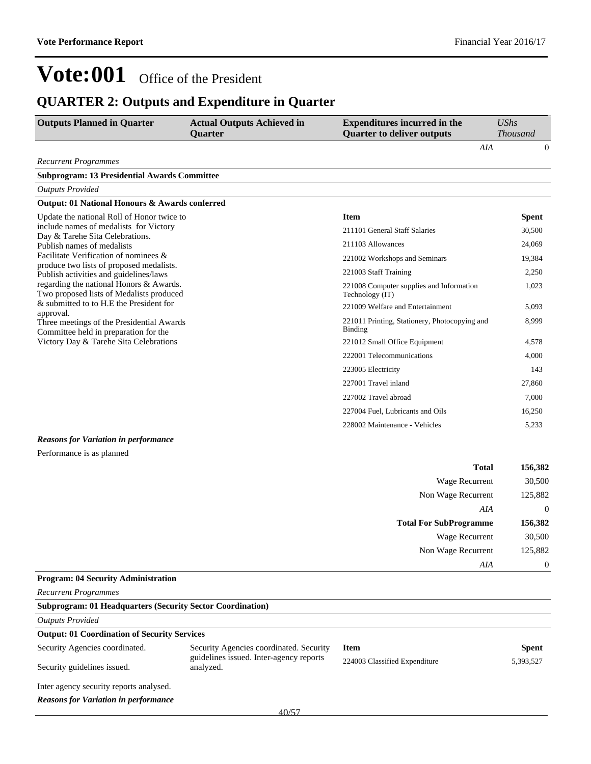### **QUARTER 2: Outputs and Expenditure in Quarter**

| <b>Outputs Planned in Quarter</b>                                                   | <b>Actual Outputs Achieved in</b><br><b>Ouarter</b>  | <b>Expenditures incurred in the</b><br><b>Quarter to deliver outputs</b> | <b>UShs</b><br><b>Thousand</b> |
|-------------------------------------------------------------------------------------|------------------------------------------------------|--------------------------------------------------------------------------|--------------------------------|
|                                                                                     |                                                      | AIA                                                                      | $\overline{0}$                 |
| <b>Recurrent Programmes</b>                                                         |                                                      |                                                                          |                                |
| <b>Subprogram: 13 Presidential Awards Committee</b>                                 |                                                      |                                                                          |                                |
| <b>Outputs Provided</b>                                                             |                                                      |                                                                          |                                |
| <b>Output: 01 National Honours &amp; Awards conferred</b>                           |                                                      |                                                                          |                                |
| Update the national Roll of Honor twice to                                          |                                                      | <b>Item</b>                                                              | <b>Spent</b>                   |
| include names of medalists for Victory                                              |                                                      | 211101 General Staff Salaries                                            | 30,500                         |
| Day & Tarehe Sita Celebrations.                                                     |                                                      | 211103 Allowances                                                        | 24,069                         |
| Publish names of medalists<br>Facilitate Verification of nominees &                 |                                                      |                                                                          |                                |
| produce two lists of proposed medalists.                                            |                                                      | 221002 Workshops and Seminars                                            | 19,384                         |
| Publish activities and guidelines/laws                                              |                                                      | 221003 Staff Training                                                    | 2,250                          |
| regarding the national Honors & Awards.<br>Two proposed lists of Medalists produced |                                                      | 221008 Computer supplies and Information<br>Technology (IT)              | 1,023                          |
| & submitted to to H.E the President for<br>approval.                                |                                                      | 221009 Welfare and Entertainment                                         | 5,093                          |
| Three meetings of the Presidential Awards<br>Committee held in preparation for the  |                                                      | 221011 Printing, Stationery, Photocopying and<br><b>Binding</b>          | 8,999                          |
| Victory Day & Tarehe Sita Celebrations                                              |                                                      | 221012 Small Office Equipment                                            | 4,578                          |
|                                                                                     |                                                      | 222001 Telecommunications                                                | 4,000                          |
|                                                                                     |                                                      | 223005 Electricity                                                       | 143                            |
|                                                                                     |                                                      | 227001 Travel inland                                                     | 27,860                         |
|                                                                                     |                                                      | 227002 Travel abroad                                                     | 7,000                          |
|                                                                                     |                                                      | 227004 Fuel, Lubricants and Oils                                         | 16,250                         |
|                                                                                     |                                                      | 228002 Maintenance - Vehicles                                            | 5,233                          |
|                                                                                     |                                                      |                                                                          |                                |
| <b>Reasons for Variation in performance</b>                                         |                                                      |                                                                          |                                |
| Performance is as planned                                                           |                                                      |                                                                          |                                |
|                                                                                     |                                                      | <b>Total</b>                                                             | 156,382                        |
|                                                                                     |                                                      | Wage Recurrent                                                           | 30,500                         |
|                                                                                     |                                                      | Non Wage Recurrent                                                       | 125,882                        |
|                                                                                     |                                                      | AIA                                                                      | $\boldsymbol{0}$               |
|                                                                                     |                                                      | <b>Total For SubProgramme</b>                                            | 156,382                        |
|                                                                                     |                                                      | Wage Recurrent                                                           | 30,500                         |
|                                                                                     |                                                      | Non Wage Recurrent                                                       | 125,882                        |
|                                                                                     |                                                      | AIA                                                                      | $\boldsymbol{0}$               |
| <b>Program: 04 Security Administration</b>                                          |                                                      |                                                                          |                                |
| <b>Recurrent Programmes</b>                                                         |                                                      |                                                                          |                                |
| <b>Subprogram: 01 Headquarters (Security Sector Coordination)</b>                   |                                                      |                                                                          |                                |
| <b>Outputs Provided</b>                                                             |                                                      |                                                                          |                                |
| <b>Output: 01 Coordination of Security Services</b>                                 |                                                      |                                                                          |                                |
| Security Agencies coordinated.                                                      | Security Agencies coordinated. Security              | <b>Item</b>                                                              | <b>Spent</b>                   |
| Security guidelines issued.                                                         | guidelines issued. Inter-agency reports<br>analyzed. | 224003 Classified Expenditure                                            | 5,393,527                      |
| Inter agency security reports analysed.                                             |                                                      |                                                                          |                                |

*Reasons for Variation in performance*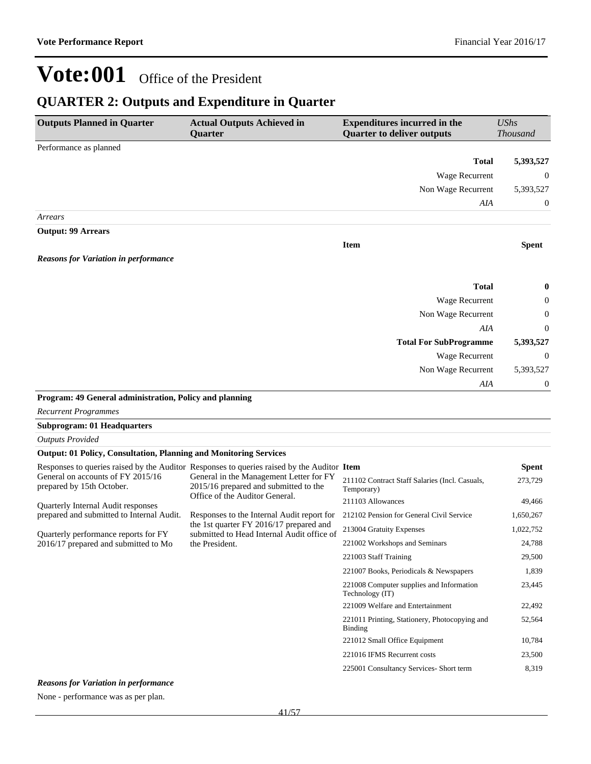### **QUARTER 2: Outputs and Expenditure in Quarter**

| <b>Outputs Planned in Quarter</b>                                                                                                                                                          | <b>Actual Outputs Achieved in</b><br>Quarter | <b>Expenditures incurred in the</b><br><b>Quarter to deliver outputs</b> | <b>UShs</b><br><b>Thousand</b> |
|--------------------------------------------------------------------------------------------------------------------------------------------------------------------------------------------|----------------------------------------------|--------------------------------------------------------------------------|--------------------------------|
| Performance as planned                                                                                                                                                                     |                                              |                                                                          |                                |
|                                                                                                                                                                                            |                                              | <b>Total</b>                                                             | 5,393,527                      |
|                                                                                                                                                                                            |                                              | Wage Recurrent                                                           | $\mathbf{0}$                   |
|                                                                                                                                                                                            |                                              | Non Wage Recurrent                                                       | 5,393,527                      |
|                                                                                                                                                                                            |                                              | AIA                                                                      | $\mathbf{0}$                   |
| Arrears                                                                                                                                                                                    |                                              |                                                                          |                                |
| <b>Output: 99 Arrears</b>                                                                                                                                                                  |                                              |                                                                          |                                |
|                                                                                                                                                                                            |                                              | <b>Item</b>                                                              | <b>Spent</b>                   |
| <b>Reasons for Variation in performance</b>                                                                                                                                                |                                              |                                                                          |                                |
|                                                                                                                                                                                            |                                              | <b>Total</b>                                                             | $\pmb{0}$                      |
|                                                                                                                                                                                            |                                              | Wage Recurrent                                                           | $\boldsymbol{0}$               |
|                                                                                                                                                                                            |                                              | Non Wage Recurrent                                                       | $\boldsymbol{0}$               |
|                                                                                                                                                                                            |                                              | AIA                                                                      | $\overline{0}$                 |
|                                                                                                                                                                                            |                                              | <b>Total For SubProgramme</b>                                            | 5,393,527                      |
|                                                                                                                                                                                            |                                              | Wage Recurrent                                                           | $\mathbf{0}$                   |
|                                                                                                                                                                                            |                                              | Non Wage Recurrent                                                       | 5,393,527                      |
|                                                                                                                                                                                            |                                              | AIA                                                                      | 0                              |
| $\mathbf{A} \mathbf{0}$ and $\mathbf{A} \mathbf{0}$ and $\mathbf{A} \mathbf{0}$ and $\mathbf{A} \mathbf{0}$ and $\mathbf{0}$ and $\mathbf{A} \mathbf{0}$ and $\mathbf{A} \mathbf{0}$<br>D. |                                              |                                                                          |                                |

### **Program: 49 General administration, Policy and planning**

*Recurrent Programmes*

#### **Subprogram: 01 Headquarters**

*Outputs Provided*

#### **Output: 01 Policy, Consultation, Planning and Monitoring Services**

|                                                                | Responses to queries raised by the Auditor Responses to queries raised by the Auditor Item                         |                                                              | Spent     |
|----------------------------------------------------------------|--------------------------------------------------------------------------------------------------------------------|--------------------------------------------------------------|-----------|
| General on accounts of FY 2015/16<br>prepared by 15th October. | General in the Management Letter for FY<br>2015/16 prepared and submitted to the<br>Office of the Auditor General. | 211102 Contract Staff Salaries (Incl. Casuals,<br>Temporary) | 273,729   |
| Quarterly Internal Audit responses                             |                                                                                                                    | 211103 Allowances                                            | 49,466    |
| prepared and submitted to Internal Audit.                      | Responses to the Internal Audit report for                                                                         | 212102 Pension for General Civil Service                     | 1,650,267 |
| Quarterly performance reports for FY                           | the 1st quarter FY 2016/17 prepared and<br>submitted to Head Internal Audit office of                              | 213004 Gratuity Expenses                                     | 1,022,752 |
| 2016/17 prepared and submitted to Mo                           | the President.                                                                                                     | 221002 Workshops and Seminars                                | 24,788    |
|                                                                |                                                                                                                    | 221003 Staff Training                                        | 29,500    |
|                                                                |                                                                                                                    | 221007 Books, Periodicals & Newspapers                       | 1,839     |
|                                                                |                                                                                                                    | 221008 Computer supplies and Information<br>Technology (IT)  | 23,445    |
|                                                                |                                                                                                                    | 221009 Welfare and Entertainment                             | 22,492    |
|                                                                |                                                                                                                    | 221011 Printing, Stationery, Photocopying and<br>Binding     | 52,564    |
|                                                                |                                                                                                                    | 221012 Small Office Equipment                                | 10,784    |
|                                                                |                                                                                                                    | 221016 IFMS Recurrent costs                                  | 23,500    |
|                                                                |                                                                                                                    | 225001 Consultancy Services- Short term                      | 8,319     |
|                                                                |                                                                                                                    |                                                              |           |

#### *Reasons for Variation in performance*

None - performance was as per plan.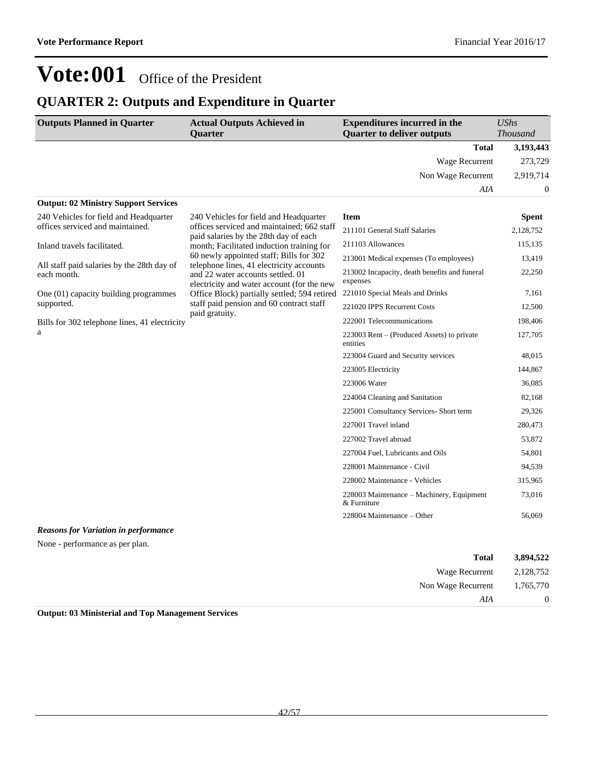### **QUARTER 2: Outputs and Expenditure in Quarter**

| <b>Outputs Planned in Quarter</b>                         | <b>Actual Outputs Achieved in</b><br><b>Quarter</b>                                                                         | <b>Expenditures incurred in the</b><br><b>Quarter to deliver outputs</b> | <b>UShs</b><br><b>Thousand</b> |
|-----------------------------------------------------------|-----------------------------------------------------------------------------------------------------------------------------|--------------------------------------------------------------------------|--------------------------------|
|                                                           |                                                                                                                             | <b>Total</b>                                                             | 3,193,443                      |
|                                                           |                                                                                                                             | <b>Wage Recurrent</b>                                                    | 273,729                        |
|                                                           |                                                                                                                             | Non Wage Recurrent                                                       | 2,919,714                      |
|                                                           |                                                                                                                             | <b>AIA</b>                                                               | $\theta$                       |
| <b>Output: 02 Ministry Support Services</b>               |                                                                                                                             |                                                                          |                                |
| 240 Vehicles for field and Headquarter                    | 240 Vehicles for field and Headquarter                                                                                      | <b>Item</b>                                                              | <b>Spent</b>                   |
| offices serviced and maintained.                          | offices serviced and maintained: 662 staff<br>paid salaries by the 28th day of each                                         | 211101 General Staff Salaries                                            | 2,128,752                      |
| Inland travels facilitated.                               | month; Facilitated induction training for                                                                                   | 211103 Allowances                                                        | 115,135                        |
|                                                           | 60 newly appointed staff; Bills for 302                                                                                     | 213001 Medical expenses (To employees)                                   | 13,419                         |
| All staff paid salaries by the 28th day of<br>each month. | telephone lines, 41 electricity accounts<br>and 22 water accounts settled. 01<br>electricity and water account (for the new | 213002 Incapacity, death benefits and funeral<br>expenses                | 22,250                         |
| One $(01)$ capacity building programmes                   | Office Block) partially settled; 594 retired                                                                                | 221010 Special Meals and Drinks                                          | 7.161                          |
| supported.                                                | staff paid pension and 60 contract staff<br>paid gratuity.                                                                  | 221020 IPPS Recurrent Costs                                              | 12,500                         |
| Bills for 302 telephone lines, 41 electricity             |                                                                                                                             | 222001 Telecommunications                                                | 198,406                        |
| a                                                         |                                                                                                                             | 223003 Rent – (Produced Assets) to private<br>entities                   | 127,705                        |
|                                                           |                                                                                                                             | 223004 Guard and Security services                                       | 48.015                         |
|                                                           |                                                                                                                             | 223005 Electricity                                                       | 144,867                        |
|                                                           |                                                                                                                             | 223006 Water                                                             | 36,085                         |
|                                                           |                                                                                                                             | 224004 Cleaning and Sanitation                                           | 82,168                         |
|                                                           |                                                                                                                             | 225001 Consultancy Services- Short term                                  | 29,326                         |
|                                                           |                                                                                                                             | 227001 Travel inland                                                     | 280,473                        |
|                                                           |                                                                                                                             | 227002 Travel abroad                                                     | 53,872                         |
|                                                           |                                                                                                                             | 227004 Fuel, Lubricants and Oils                                         | 54,801                         |
|                                                           |                                                                                                                             | 228001 Maintenance - Civil                                               | 94,539                         |
|                                                           |                                                                                                                             | 228002 Maintenance - Vehicles                                            | 315,965                        |
|                                                           |                                                                                                                             | 228003 Maintenance – Machinery, Equipment<br>& Furniture                 | 73,016                         |
|                                                           |                                                                                                                             | 228004 Maintenance - Other                                               | 56,069                         |
| <b>Reasons for Variation in performance</b>               |                                                                                                                             |                                                                          |                                |

None - performance as per plan.

| 3,894,522      | <b>Total</b>       |
|----------------|--------------------|
| 2,128,752      | Wage Recurrent     |
| 1,765,770      | Non Wage Recurrent |
| $\overline{0}$ | AIA                |
|                |                    |

**Output: 03 Ministerial and Top Management Services**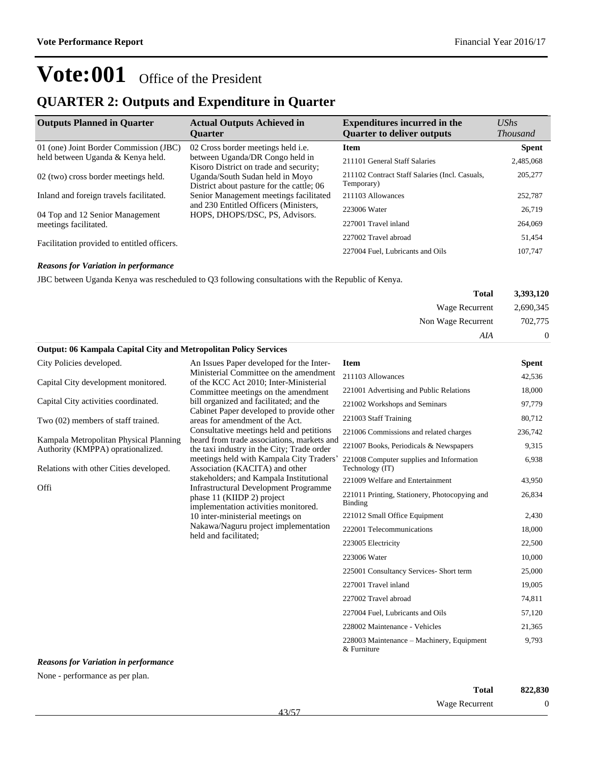### **QUARTER 2: Outputs and Expenditure in Quarter**

| <b>Outputs Planned in Quarter</b>           | <b>Actual Outputs Achieved in</b><br><b>Ouarter</b>                          | <b>Expenditures incurred in the</b><br><b>Quarter to deliver outputs</b> | $\mathit{UShs}$<br><b>Thousand</b> |
|---------------------------------------------|------------------------------------------------------------------------------|--------------------------------------------------------------------------|------------------------------------|
| 01 (one) Joint Border Commission (JBC)      | 02 Cross border meetings held i.e.                                           | <b>Item</b>                                                              | <b>Spent</b>                       |
| held between Uganda & Kenya held.           | between Uganda/DR Congo held in<br>Kisoro District on trade and security;    | 211101 General Staff Salaries                                            | 2,485,068                          |
| 02 (two) cross border meetings held.        | Uganda/South Sudan held in Moyo<br>District about pasture for the cattle; 06 | 211102 Contract Staff Salaries (Incl. Casuals,<br>Temporary)             | 205,277                            |
| Inland and foreign travels facilitated.     | Senior Management meetings facilitated                                       | 211103 Allowances                                                        | 252,787                            |
| 04 Top and 12 Senior Management             | and 230 Entitled Officers (Ministers,<br>HOPS, DHOPS/DSC, PS, Advisors.      | 223006 Water                                                             | 26.719                             |
| meetings facilitated.                       |                                                                              | 227001 Travel inland                                                     | 264,069                            |
| Facilitation provided to entitled officers. |                                                                              | 227002 Travel abroad                                                     | 51.454                             |
|                                             |                                                                              | 227004 Fuel. Lubricants and Oils                                         | 107.747                            |

#### *Reasons for Variation in performance*

JBC between Uganda Kenya was rescheduled to Q3 following consultations with the Republic of Kenya.

| 3,393,120 | Total              |
|-----------|--------------------|
| 2,690,345 | Wage Recurrent     |
| 702,775   | Non Wage Recurrent |
|           | AIA                |

#### **Output: 06 Kampala Capital City and Metropolitan Policy Services** City Policies developed. An Issues Paper developed for the Inter-Ministerial Committee on the amendment **Item Spent**

Capital City development monitored. Capital City activities coordinated. Two (02) members of staff trained. Kampala Metropolitan Physical Planning Authority (KMPPA) oprationalized. Relations with other Cities developed. Offi of the KCC Act 2010; Inter-Ministerial Committee meetings on the amendment bill organized and facilitated; and the Cabinet Paper developed to provide other areas for amendment of the Act. Consultative meetings held and petitions heard from trade associations, markets and the taxi industry in the City; Trade order meetings held with Kampala City Traders' Association (KACITA) and other stakeholders; and Kampala Institutional Infrastructural Development Programme phase 11 (KIIDP 2) project implementation activities monitored. 10 inter-ministerial meetings on Nakawa/Naguru project implementation held and facilitated; 211103 Allowances 42,536 221001 Advertising and Public Relations 18,000 221002 Workshops and Seminars 97,779 221003 Staff Training 80,712 221006 Commissions and related charges 236,742 221007 Books, Periodicals & Newspapers 9,315 221008 Computer supplies and Information Technology (IT) 6,938 221009 Welfare and Entertainment 43,950 221011 Printing, Stationery, Photocopying and Binding 26,834 221012 Small Office Equipment 2,430 222001 Telecommunications 18,000 223005 Electricity 22,500 223006 Water 10,000 225001 Consultancy Services- Short term 25,000 227001 Travel inland 19,005 227002 Travel abroad 74,811 227004 Fuel, Lubricants and Oils 57,120 228002 Maintenance - Vehicles 21,365

#### *Reasons for Variation in performance*

None - performance as per plan.

| 822,830  | <b>Total</b>          | ____<br>__ |
|----------|-----------------------|------------|
| $\Omega$ | <b>Wage Recurrent</b> | 13/57      |

228003 Maintenance - Machinery, Equipment

9,793

& Furniture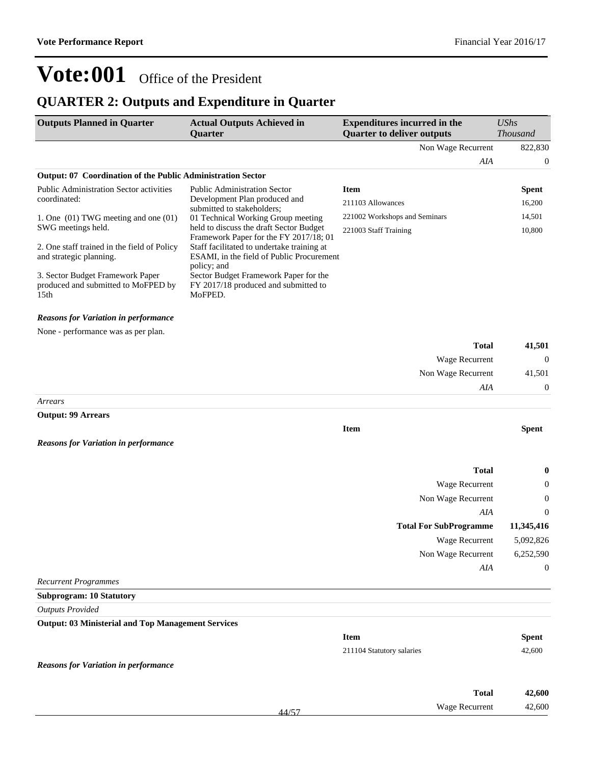## **QUARTER 2: Outputs and Expenditure in Quarter**

| <b>Outputs Planned in Quarter</b>                                                           | <b>Actual Outputs Achieved in</b><br>Quarter                                                                                                     | <b>Expenditures incurred in the</b><br><b>Quarter to deliver outputs</b> | <b>UShs</b><br><b>Thousand</b> |
|---------------------------------------------------------------------------------------------|--------------------------------------------------------------------------------------------------------------------------------------------------|--------------------------------------------------------------------------|--------------------------------|
|                                                                                             |                                                                                                                                                  | Non Wage Recurrent                                                       | 822,830                        |
|                                                                                             |                                                                                                                                                  | AIA                                                                      | $\boldsymbol{0}$               |
| Output: 07 Coordination of the Public Administration Sector                                 |                                                                                                                                                  |                                                                          |                                |
| Public Administration Sector activities                                                     | <b>Public Administration Sector</b>                                                                                                              | <b>Item</b>                                                              | <b>Spent</b>                   |
| coordinated:                                                                                | Development Plan produced and<br>submitted to stakeholders;                                                                                      | 211103 Allowances                                                        | 16,200                         |
| 1. One $(01)$ TWG meeting and one $(01)$<br>SWG meetings held.                              | 01 Technical Working Group meeting<br>held to discuss the draft Sector Budget                                                                    | 221002 Workshops and Seminars<br>221003 Staff Training                   | 14,501<br>10,800               |
| 2. One staff trained in the field of Policy<br>and strategic planning.                      | Framework Paper for the FY 2017/18; 01<br>Staff facilitated to undertake training at<br>ESAMI, in the field of Public Procurement<br>policy; and |                                                                          |                                |
| 3. Sector Budget Framework Paper<br>produced and submitted to MoFPED by<br>15 <sub>th</sub> | Sector Budget Framework Paper for the<br>FY 2017/18 produced and submitted to<br>MoFPED.                                                         |                                                                          |                                |
| <b>Reasons for Variation in performance</b>                                                 |                                                                                                                                                  |                                                                          |                                |
| None - performance was as per plan.                                                         |                                                                                                                                                  | <b>Total</b>                                                             | 41,501                         |
|                                                                                             |                                                                                                                                                  | Wage Recurrent                                                           | $\mathbf{0}$                   |
|                                                                                             |                                                                                                                                                  | Non Wage Recurrent                                                       | 41,501                         |
|                                                                                             |                                                                                                                                                  | AIA                                                                      | $\boldsymbol{0}$               |
| Arrears                                                                                     |                                                                                                                                                  |                                                                          |                                |
| <b>Output: 99 Arrears</b>                                                                   |                                                                                                                                                  |                                                                          |                                |
| <b>Reasons for Variation in performance</b>                                                 |                                                                                                                                                  | <b>Item</b>                                                              | <b>Spent</b>                   |
|                                                                                             |                                                                                                                                                  | <b>Total</b>                                                             | 0                              |
|                                                                                             |                                                                                                                                                  | Wage Recurrent                                                           | 0                              |
|                                                                                             |                                                                                                                                                  | Non Wage Recurrent                                                       | $\boldsymbol{0}$               |
|                                                                                             |                                                                                                                                                  | AIA                                                                      | $\theta$                       |
|                                                                                             |                                                                                                                                                  | <b>Total For SubProgramme</b>                                            | 11,345,416                     |
|                                                                                             |                                                                                                                                                  | <b>Wage Recurrent</b>                                                    | 5,092,826                      |
|                                                                                             |                                                                                                                                                  | Non Wage Recurrent                                                       | 6,252,590                      |
|                                                                                             |                                                                                                                                                  | AIA                                                                      | $\mathbf{0}$                   |
| <b>Recurrent Programmes</b>                                                                 |                                                                                                                                                  |                                                                          |                                |
| <b>Subprogram: 10 Statutory</b>                                                             |                                                                                                                                                  |                                                                          |                                |
| <b>Outputs Provided</b>                                                                     |                                                                                                                                                  |                                                                          |                                |
| <b>Output: 03 Ministerial and Top Management Services</b>                                   |                                                                                                                                                  |                                                                          |                                |
|                                                                                             |                                                                                                                                                  | <b>Item</b>                                                              | <b>Spent</b>                   |
|                                                                                             |                                                                                                                                                  | 211104 Statutory salaries                                                | 42,600                         |
| <b>Reasons for Variation in performance</b>                                                 |                                                                                                                                                  |                                                                          |                                |
|                                                                                             |                                                                                                                                                  | <b>Total</b>                                                             | 42,600                         |
|                                                                                             |                                                                                                                                                  | Wage Recurrent                                                           | 42,600                         |
|                                                                                             | 44/57                                                                                                                                            |                                                                          |                                |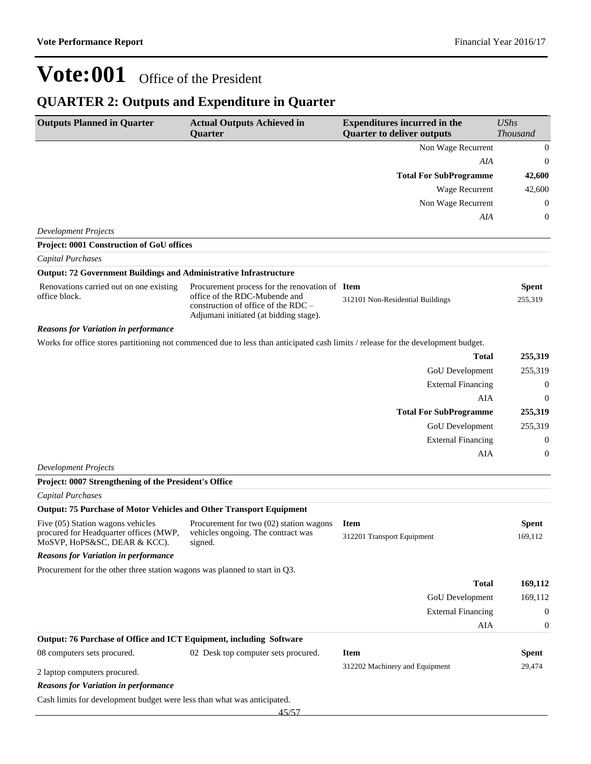## **QUARTER 2: Outputs and Expenditure in Quarter**

| <b>Outputs Planned in Quarter</b>                                           | <b>Actual Outputs Achieved in</b><br>Quarter                                                                                      | <b>Expenditures incurred in the</b><br><b>Quarter to deliver outputs</b> | <b>UShs</b><br>Thousand |
|-----------------------------------------------------------------------------|-----------------------------------------------------------------------------------------------------------------------------------|--------------------------------------------------------------------------|-------------------------|
|                                                                             |                                                                                                                                   | Non Wage Recurrent                                                       | $\boldsymbol{0}$        |
|                                                                             |                                                                                                                                   | AIA                                                                      | $\boldsymbol{0}$        |
|                                                                             |                                                                                                                                   | <b>Total For SubProgramme</b>                                            | 42,600                  |
|                                                                             |                                                                                                                                   | Wage Recurrent                                                           | 42,600                  |
|                                                                             |                                                                                                                                   | Non Wage Recurrent                                                       | $\boldsymbol{0}$        |
|                                                                             |                                                                                                                                   | AIA                                                                      | $\boldsymbol{0}$        |
| <b>Development Projects</b>                                                 |                                                                                                                                   |                                                                          |                         |
| Project: 0001 Construction of GoU offices                                   |                                                                                                                                   |                                                                          |                         |
| Capital Purchases                                                           |                                                                                                                                   |                                                                          |                         |
| <b>Output: 72 Government Buildings and Administrative Infrastructure</b>    |                                                                                                                                   |                                                                          |                         |
| Renovations carried out on one existing                                     | Procurement process for the renovation of Item                                                                                    |                                                                          | Spent                   |
| office block.                                                               | office of the RDC-Mubende and<br>construction of office of the RDC –<br>Adjumani initiated (at bidding stage).                    | 312101 Non-Residential Buildings                                         | 255,319                 |
| <b>Reasons for Variation in performance</b>                                 |                                                                                                                                   |                                                                          |                         |
|                                                                             | Works for office stores partitioning not commenced due to less than anticipated cash limits / release for the development budget. |                                                                          |                         |
|                                                                             |                                                                                                                                   | Total                                                                    | 255,319                 |
|                                                                             |                                                                                                                                   | GoU Development                                                          | 255,319                 |
|                                                                             |                                                                                                                                   | <b>External Financing</b>                                                | $\mathbf{0}$            |
|                                                                             |                                                                                                                                   | AIA                                                                      | $\boldsymbol{0}$        |
|                                                                             |                                                                                                                                   | <b>Total For SubProgramme</b>                                            | 255,319                 |
|                                                                             |                                                                                                                                   | GoU Development                                                          | 255,319                 |
|                                                                             |                                                                                                                                   | <b>External Financing</b>                                                | $\boldsymbol{0}$        |
|                                                                             |                                                                                                                                   | AIA                                                                      | $\mathbf{0}$            |
| <b>Development Projects</b>                                                 |                                                                                                                                   |                                                                          |                         |
| Project: 0007 Strengthening of the President's Office                       |                                                                                                                                   |                                                                          |                         |
| Capital Purchases                                                           |                                                                                                                                   |                                                                          |                         |
| Output: 75 Purchase of Motor Vehicles and Other Transport Equipment         |                                                                                                                                   |                                                                          |                         |
| Five (05) Station wagons vehicles<br>procured for Headquarter offices (MWP, | Procurement for two (02) station wagons<br>vehicles ongoing. The contract was                                                     | <b>Item</b>                                                              | <b>Spent</b>            |
| MoSVP, HoPS&SC, DEAR & KCC).                                                | signed.                                                                                                                           | 312201 Transport Equipment                                               | 169,112                 |
| <b>Reasons for Variation in performance</b>                                 |                                                                                                                                   |                                                                          |                         |
| Procurement for the other three station wagons was planned to start in Q3.  |                                                                                                                                   |                                                                          |                         |
|                                                                             |                                                                                                                                   | <b>Total</b>                                                             | 169,112                 |
|                                                                             |                                                                                                                                   | GoU Development                                                          | 169,112                 |
|                                                                             |                                                                                                                                   | <b>External Financing</b>                                                | $\mathbf{0}$            |
|                                                                             |                                                                                                                                   | AIA                                                                      | $\boldsymbol{0}$        |
| Output: 76 Purchase of Office and ICT Equipment, including Software         |                                                                                                                                   |                                                                          |                         |
| 08 computers sets procured.                                                 | 02 Desk top computer sets procured.                                                                                               | <b>Item</b>                                                              | <b>Spent</b>            |
| 2 laptop computers procured.                                                |                                                                                                                                   | 312202 Machinery and Equipment                                           | 29,474                  |
| <b>Reasons for Variation in performance</b>                                 |                                                                                                                                   |                                                                          |                         |
| Cash limits for development budget were less than what was anticipated.     |                                                                                                                                   |                                                                          |                         |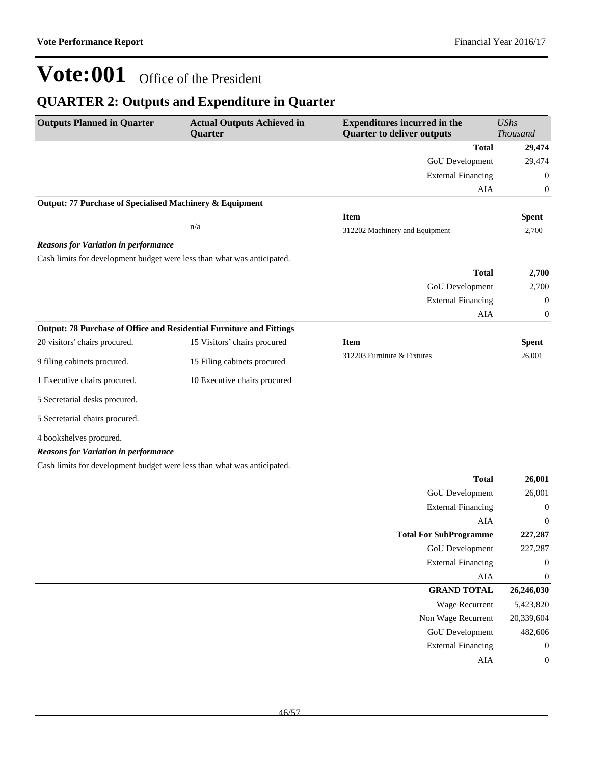### **QUARTER 2: Outputs and Expenditure in Quarter**

| <b>Outputs Planned in Quarter</b>                                       | <b>Actual Outputs Achieved in</b><br>Quarter | <b>Expenditures incurred in the</b><br><b>Quarter to deliver outputs</b> | <b>UShs</b><br><b>Thousand</b> |
|-------------------------------------------------------------------------|----------------------------------------------|--------------------------------------------------------------------------|--------------------------------|
|                                                                         |                                              | <b>Total</b>                                                             | 29,474                         |
|                                                                         |                                              | <b>GoU</b> Development                                                   | 29,474                         |
|                                                                         |                                              | <b>External Financing</b>                                                | $\boldsymbol{0}$               |
|                                                                         |                                              | AIA                                                                      | $\boldsymbol{0}$               |
| Output: 77 Purchase of Specialised Machinery & Equipment                |                                              |                                                                          |                                |
|                                                                         |                                              | <b>Item</b>                                                              | <b>Spent</b>                   |
|                                                                         | n/a                                          | 312202 Machinery and Equipment                                           | 2,700                          |
| <b>Reasons for Variation in performance</b>                             |                                              |                                                                          |                                |
| Cash limits for development budget were less than what was anticipated. |                                              |                                                                          |                                |
|                                                                         |                                              | <b>Total</b>                                                             | 2,700                          |
|                                                                         |                                              | GoU Development                                                          | 2,700                          |
|                                                                         |                                              | <b>External Financing</b>                                                | $\boldsymbol{0}$               |
|                                                                         |                                              | AIA                                                                      | $\boldsymbol{0}$               |
| Output: 78 Purchase of Office and Residential Furniture and Fittings    |                                              |                                                                          |                                |
| 20 visitors' chairs procured.                                           | 15 Visitors' chairs procured                 | <b>Item</b><br>312203 Furniture & Fixtures                               | <b>Spent</b><br>26,001         |
| 9 filing cabinets procured.                                             | 15 Filing cabinets procured                  |                                                                          |                                |
| 1 Executive chairs procured.                                            | 10 Executive chairs procured                 |                                                                          |                                |
| 5 Secretarial desks procured.                                           |                                              |                                                                          |                                |
| 5 Secretarial chairs procured.                                          |                                              |                                                                          |                                |
| 4 bookshelves procured.                                                 |                                              |                                                                          |                                |
| <b>Reasons for Variation in performance</b>                             |                                              |                                                                          |                                |
| Cash limits for development budget were less than what was anticipated. |                                              |                                                                          |                                |
|                                                                         |                                              | <b>Total</b>                                                             | 26,001                         |
|                                                                         |                                              | <b>GoU</b> Development                                                   | 26,001                         |
|                                                                         |                                              | <b>External Financing</b>                                                | $\boldsymbol{0}$               |
|                                                                         |                                              | AIA                                                                      | $\boldsymbol{0}$               |
|                                                                         |                                              | <b>Total For SubProgramme</b>                                            | 227,287                        |
|                                                                         |                                              | GoU Development                                                          | 227,287                        |
|                                                                         |                                              | <b>External Financing</b>                                                | $\boldsymbol{0}$               |
|                                                                         |                                              | ${\rm AIA}$                                                              | $\boldsymbol{0}$               |
|                                                                         |                                              | <b>GRAND TOTAL</b>                                                       | 26,246,030                     |
|                                                                         |                                              | Wage Recurrent                                                           | 5,423,820                      |
|                                                                         |                                              | Non Wage Recurrent                                                       | 20,339,604                     |
|                                                                         |                                              | GoU Development                                                          | 482,606                        |
|                                                                         |                                              | <b>External Financing</b>                                                | $\boldsymbol{0}$               |
|                                                                         |                                              | AIA                                                                      | $\boldsymbol{0}$               |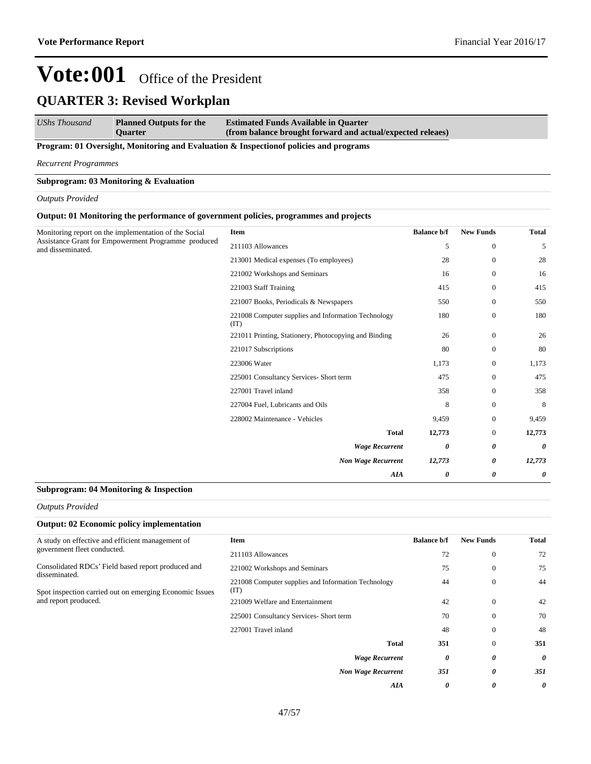*UShs Thousand* **Planned Outputs for the Quarter Estimated Funds Available in Quarter (from balance brought forward and actual/expected releaes)**

**Program: 01 Oversight, Monitoring and Evaluation & Inspectionof policies and programs**

*Recurrent Programmes*

#### **Subprogram: 03 Monitoring & Evaluation**

*Outputs Provided*

#### **Output: 01 Monitoring the performance of government policies, programmes and projects**

| Monitoring report on the implementation of the Social<br>Assistance Grant for Empowerment Programme produced | Item                                                        | <b>Balance b/f</b> | <b>New Funds</b> | <b>Total</b> |
|--------------------------------------------------------------------------------------------------------------|-------------------------------------------------------------|--------------------|------------------|--------------|
| and disseminated.                                                                                            | 211103 Allowances                                           | 5                  | $\boldsymbol{0}$ | 5            |
|                                                                                                              | 213001 Medical expenses (To employees)                      | 28                 | $\mathbf{0}$     | 28           |
|                                                                                                              | 221002 Workshops and Seminars                               | 16                 | $\boldsymbol{0}$ | 16           |
|                                                                                                              | 221003 Staff Training                                       | 415                | $\mathbf{0}$     | 415          |
|                                                                                                              | 221007 Books, Periodicals & Newspapers                      | 550                | $\mathbf{0}$     | 550          |
|                                                                                                              | 221008 Computer supplies and Information Technology<br>(TT) | 180                | $\boldsymbol{0}$ | 180          |
|                                                                                                              | 221011 Printing, Stationery, Photocopying and Binding       | 26                 | $\mathbf{0}$     | 26           |
|                                                                                                              | 221017 Subscriptions                                        | 80                 | $\mathbf{0}$     | 80           |
|                                                                                                              | 223006 Water                                                | 1,173              | $\mathbf{0}$     | 1,173        |
|                                                                                                              | 225001 Consultancy Services- Short term                     | 475                | $\boldsymbol{0}$ | 475          |
|                                                                                                              | 227001 Travel inland                                        | 358                | $\mathbf{0}$     | 358          |
|                                                                                                              | 227004 Fuel, Lubricants and Oils                            | 8                  | $\mathbf{0}$     | 8            |
|                                                                                                              | 228002 Maintenance - Vehicles                               | 9,459              | $\boldsymbol{0}$ | 9,459        |
|                                                                                                              | <b>Total</b>                                                | 12,773             | $\boldsymbol{0}$ | 12,773       |
|                                                                                                              | <b>Wage Recurrent</b>                                       | 0                  | 0                | 0            |
|                                                                                                              | <b>Non Wage Recurrent</b>                                   | 12,773             | 0                | 12,773       |
|                                                                                                              | <b>AIA</b>                                                  | 0                  | 0                | 0            |

#### **Subprogram: 04 Monitoring & Inspection**

*Outputs Provided*

| <b>Output: 02 Economic policy implementation</b>                                                 |                                                             |                    |                  |       |
|--------------------------------------------------------------------------------------------------|-------------------------------------------------------------|--------------------|------------------|-------|
| A study on effective and efficient management of                                                 | <b>Item</b>                                                 | <b>Balance b/f</b> | <b>New Funds</b> | Total |
| government fleet conducted.                                                                      | 211103 Allowances                                           | 72                 | $\theta$         | 72    |
| Consolidated RDCs' Field based report produced and                                               | 221002 Workshops and Seminars                               | 75                 | $\theta$         | 75    |
| disseminated.<br>Spot inspection carried out on emerging Economic Issues<br>and report produced. | 221008 Computer supplies and Information Technology<br>(TT) | 44                 | $\theta$         | 44    |
|                                                                                                  | 221009 Welfare and Entertainment                            | 42                 | $\theta$         | 42    |
|                                                                                                  | 225001 Consultancy Services- Short term                     | 70                 | $\Omega$         | 70    |
|                                                                                                  | 227001 Travel inland                                        | 48                 | $\Omega$         | 48    |
|                                                                                                  | Total                                                       | 351                | $\Omega$         | 351   |
|                                                                                                  | <b>Wage Recurrent</b>                                       | 0                  | 0                | 0     |
|                                                                                                  | <b>Non Wage Recurrent</b>                                   | 351                | 0                | 351   |
|                                                                                                  | <b>AIA</b>                                                  | 0                  | 0                | 0     |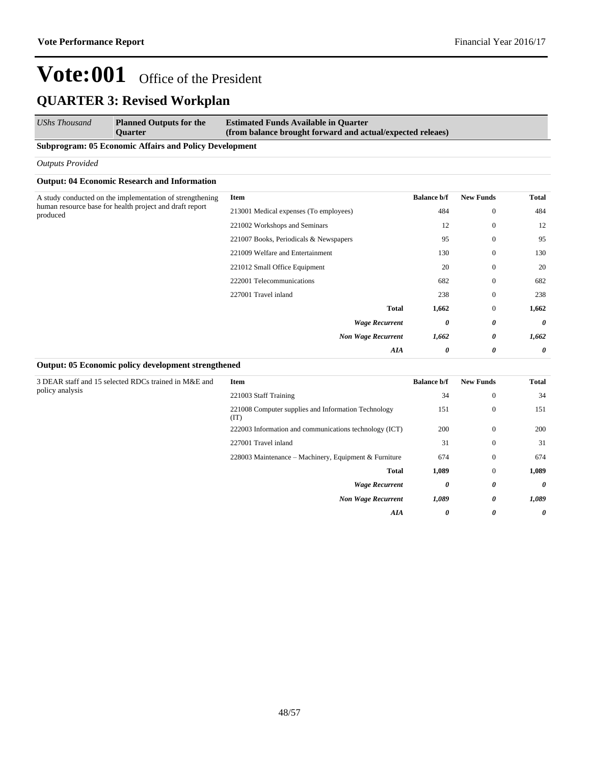| UShs Thousand | <b>Planned Outputs for the</b> | <b>Estimated Funds Available in Quarter</b>                |
|---------------|--------------------------------|------------------------------------------------------------|
|               | <b>Ouarter</b>                 | (from balance brought forward and actual/expected releaes) |

### **Subprogram: 05 Economic Affairs and Policy Development**

#### *Outputs Provided*

#### **Output: 04 Economic Research and Information**

| Item                                   | <b>Balance b/f</b> | <b>New Funds</b> | <b>Total</b>          |
|----------------------------------------|--------------------|------------------|-----------------------|
| 213001 Medical expenses (To employees) | 484                | $\bf{0}$         | 484                   |
| 221002 Workshops and Seminars          | 12                 | $\mathbf{0}$     | 12                    |
| 221007 Books, Periodicals & Newspapers | 95                 | $\mathbf{0}$     | 95                    |
| 221009 Welfare and Entertainment       | 130                | $\bf{0}$         | 130                   |
| 221012 Small Office Equipment          | 20                 | $\bf{0}$         | 20                    |
| 222001 Telecommunications              | 682                | $\mathbf{0}$     | 682                   |
| 227001 Travel inland                   | 238                | $\mathbf{0}$     | 238                   |
| <b>Total</b>                           | 1,662              | $\mathbf{0}$     | 1,662                 |
| <b>Wage Recurrent</b>                  | 0                  | 0                | 0                     |
| <b>Non Wage Recurrent</b>              | 1,662              | 0                | 1,662                 |
| <b>AIA</b>                             | 0                  | 0                | $\boldsymbol{\theta}$ |
|                                        |                    |                  |                       |

#### **Output: 05 Economic policy development strengthened**

3 DEAR staff and 15 selected RDCs trained in M&E and policy analysis

| Item                                                        | <b>Balance b/f</b> | <b>New Funds</b> | Total |
|-------------------------------------------------------------|--------------------|------------------|-------|
| 221003 Staff Training                                       | 34                 | 0                | 34    |
| 221008 Computer supplies and Information Technology<br>(TT) | 151                | 0                | 151   |
| 222003 Information and communications technology (ICT)      | 200                | 0                | 200   |
| 227001 Travel inland                                        | 31                 | 0                | 31    |
| 228003 Maintenance – Machinery, Equipment & Furniture       | 674                | 0                | 674   |
| <b>Total</b>                                                | 1,089              | $\mathbf{0}$     | 1,089 |
| <b>Wage Recurrent</b>                                       | 0                  | 0                | 0     |
| <b>Non Wage Recurrent</b>                                   | 1,089              | 0                | 1,089 |
| AIA                                                         | 0                  | U                | 0     |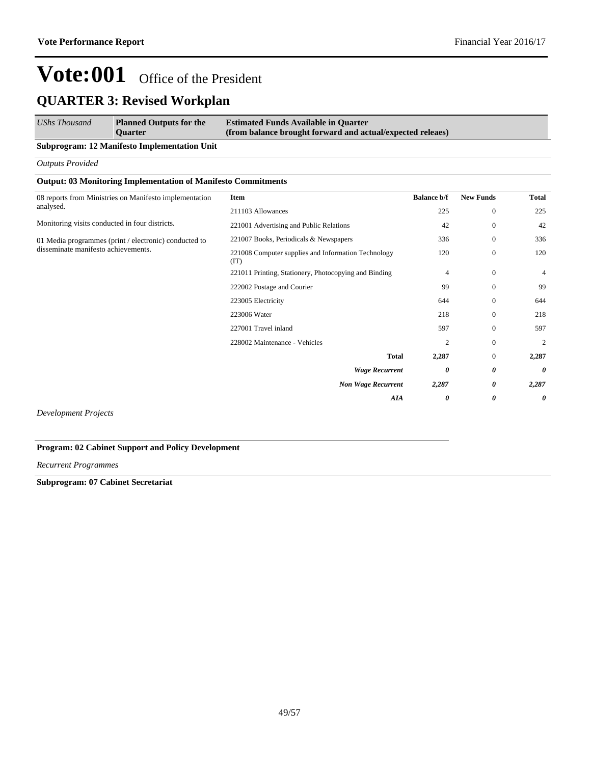| <b>UShs Thousand</b> | <b>Planned Outputs for the</b> | <b>Estimated Funds Available in Quarter</b>                |
|----------------------|--------------------------------|------------------------------------------------------------|
|                      | <b>Ouarter</b>                 | (from balance brought forward and actual/expected releaes) |

#### **Subprogram: 12 Manifesto Implementation Unit**

*Outputs Provided*

#### **Output: 03 Monitoring Implementation of Manifesto Commitments**

| 08 reports from Ministries on Manifesto implementation | Item                                                        | <b>Balance b/f</b> | <b>New Funds</b> | <b>Total</b> |
|--------------------------------------------------------|-------------------------------------------------------------|--------------------|------------------|--------------|
| analysed.                                              | 211103 Allowances                                           | 225                | $\boldsymbol{0}$ | 225          |
| Monitoring visits conducted in four districts.         | 221001 Advertising and Public Relations                     | 42                 | $\bf{0}$         | 42           |
| 01 Media programmes (print / electronic) conducted to  | 221007 Books, Periodicals & Newspapers                      | 336                | $\mathbf{0}$     | 336          |
| disseminate manifesto achievements.                    | 221008 Computer supplies and Information Technology<br>(TT) | 120                | $\boldsymbol{0}$ | 120          |
|                                                        | 221011 Printing, Stationery, Photocopying and Binding       | $\overline{4}$     | $\mathbf{0}$     | 4            |
|                                                        | 222002 Postage and Courier                                  | 99                 | $\bf{0}$         | 99           |
|                                                        | 223005 Electricity                                          | 644                | $\mathbf{0}$     | 644          |
|                                                        | 223006 Water                                                | 218                | $\bf{0}$         | 218          |
|                                                        | 227001 Travel inland                                        | 597                | $\mathbf{0}$     | 597          |
|                                                        | 228002 Maintenance - Vehicles                               | $\overline{c}$     | $\mathbf{0}$     | 2            |
|                                                        | <b>Total</b>                                                | 2,287              | $\mathbf{0}$     | 2,287        |
|                                                        | <b>Wage Recurrent</b>                                       | 0                  | 0                | 0            |
|                                                        | <b>Non Wage Recurrent</b>                                   | 2,287              | 0                | 2,287        |
|                                                        | AIA                                                         | 0                  | 0                | 0            |
|                                                        |                                                             |                    |                  |              |

*Development Projects*

#### **Program: 02 Cabinet Support and Policy Development**

*Recurrent Programmes*

#### **Subprogram: 07 Cabinet Secretariat**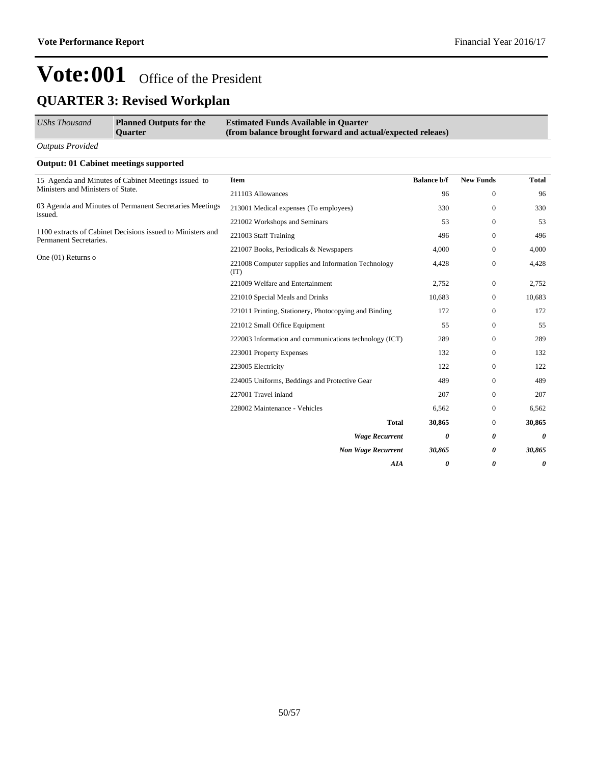| UShs Thousand                     | <b>Planned Outputs for the</b><br><b>Ouarter</b>            | <b>Estimated Funds Available in Quarter</b><br>(from balance brought forward and actual/expected releaes) |                       |                  |              |
|-----------------------------------|-------------------------------------------------------------|-----------------------------------------------------------------------------------------------------------|-----------------------|------------------|--------------|
| <b>Outputs Provided</b>           |                                                             |                                                                                                           |                       |                  |              |
|                                   | <b>Output: 01 Cabinet meetings supported</b>                |                                                                                                           |                       |                  |              |
|                                   | 15 Agenda and Minutes of Cabinet Meetings issued to         | <b>Item</b>                                                                                               | <b>Balance b/f</b>    | <b>New Funds</b> | <b>Total</b> |
| Ministers and Ministers of State. |                                                             | 211103 Allowances                                                                                         | 96                    | $\mathbf{0}$     | 96           |
|                                   | 03 Agenda and Minutes of Permanent Secretaries Meetings     | 213001 Medical expenses (To employees)                                                                    | 330                   | $\mathbf{0}$     | 330          |
| issued.                           |                                                             | 221002 Workshops and Seminars                                                                             | 53                    | $\mathbf{0}$     | 53           |
| Permanent Secretaries.            | 1100 extracts of Cabinet Decisions issued to Ministers and  | 221003 Staff Training                                                                                     | 496                   | $\mathbf{0}$     | 496          |
|                                   |                                                             | 221007 Books, Periodicals & Newspapers                                                                    | 4,000                 | $\mathbf{0}$     | 4,000        |
| One (01) Returns o                | 221008 Computer supplies and Information Technology<br>(TT) | 4,428                                                                                                     | $\mathbf{0}$          | 4,428            |              |
|                                   |                                                             | 221009 Welfare and Entertainment                                                                          | 2,752                 | $\mathbf{0}$     | 2,752        |
|                                   |                                                             | 221010 Special Meals and Drinks                                                                           | 10,683                | $\mathbf{0}$     | 10,683       |
|                                   |                                                             | 221011 Printing, Stationery, Photocopying and Binding                                                     | 172                   | $\mathbf{0}$     | 172          |
|                                   |                                                             | 221012 Small Office Equipment                                                                             | 55                    | $\mathbf{0}$     | 55           |
|                                   |                                                             | 222003 Information and communications technology (ICT)                                                    | 289                   | $\mathbf{0}$     | 289          |
|                                   |                                                             | 223001 Property Expenses                                                                                  | 132                   | $\mathbf{0}$     | 132          |
|                                   |                                                             | 223005 Electricity                                                                                        | 122                   | $\mathbf{0}$     | 122          |
|                                   |                                                             | 224005 Uniforms, Beddings and Protective Gear                                                             | 489                   | $\mathbf{0}$     | 489          |
|                                   |                                                             | 227001 Travel inland                                                                                      | 207                   | $\mathbf{0}$     | 207          |
|                                   |                                                             | 228002 Maintenance - Vehicles                                                                             | 6,562                 | $\mathbf{0}$     | 6,562        |
|                                   |                                                             | <b>Total</b>                                                                                              | 30,865                | $\mathbf{0}$     | 30,865       |
|                                   |                                                             | <b>Wage Recurrent</b>                                                                                     | 0                     | 0                | 0            |
|                                   |                                                             | <b>Non Wage Recurrent</b>                                                                                 | 30,865                | 0                | 30,865       |
|                                   |                                                             | AIA                                                                                                       | $\boldsymbol{\theta}$ | 0                | 0            |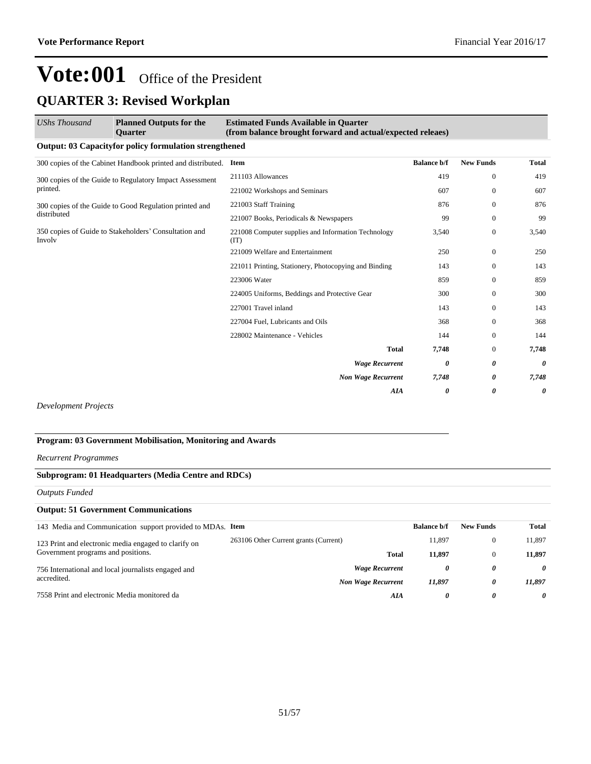## **QUARTER 3: Revised Workplan**

| UShs Thousand                                                   | <b>Planned Outputs for the</b><br>Quarter                     | <b>Estimated Funds Available in Quarter</b><br>(from balance brought forward and actual/expected releaes) |                    |                  |              |
|-----------------------------------------------------------------|---------------------------------------------------------------|-----------------------------------------------------------------------------------------------------------|--------------------|------------------|--------------|
|                                                                 | <b>Output: 03 Capacityfor policy formulation strengthened</b> |                                                                                                           |                    |                  |              |
|                                                                 | 300 copies of the Cabinet Handbook printed and distributed.   | <b>Item</b>                                                                                               | <b>Balance b/f</b> | <b>New Funds</b> | <b>Total</b> |
|                                                                 | 300 copies of the Guide to Regulatory Impact Assessment       | 211103 Allowances                                                                                         | 419                | $\Omega$         | 419          |
| printed.                                                        |                                                               | 221002 Workshops and Seminars                                                                             | 607                | $\Omega$         | 607          |
| 300 copies of the Guide to Good Regulation printed and          | 221003 Staff Training                                         | 876                                                                                                       | $\mathbf{0}$       | 876              |              |
| distributed                                                     |                                                               | 221007 Books, Periodicals & Newspapers                                                                    | 99                 | $\mathbf{0}$     | 99           |
| 350 copies of Guide to Stakeholders' Consultation and<br>Involv | 221008 Computer supplies and Information Technology<br>(IT)   | 3,540                                                                                                     | $\mathbf{0}$       | 3,540            |              |
|                                                                 | 221009 Welfare and Entertainment                              | 250                                                                                                       | $\mathbf{0}$       | 250              |              |
|                                                                 |                                                               | 221011 Printing, Stationery, Photocopying and Binding                                                     | 143                | $\overline{0}$   | 143          |
|                                                                 |                                                               | 223006 Water                                                                                              | 859                | $\Omega$         | 859          |
|                                                                 |                                                               | 224005 Uniforms, Beddings and Protective Gear                                                             | 300                | $\mathbf{0}$     | 300          |
|                                                                 |                                                               | 227001 Travel inland                                                                                      | 143                | $\mathbf{0}$     | 143          |
|                                                                 |                                                               | 227004 Fuel, Lubricants and Oils                                                                          | 368                | $\mathbf{0}$     | 368          |
|                                                                 |                                                               | 228002 Maintenance - Vehicles                                                                             | 144                | $\Omega$         | 144          |
|                                                                 |                                                               | <b>Total</b>                                                                                              | 7,748              | $\mathbf{0}$     | 7,748        |
|                                                                 |                                                               | <b>Wage Recurrent</b>                                                                                     | 0                  | 0                | 0            |
|                                                                 |                                                               | <b>Non Wage Recurrent</b>                                                                                 | 7,748              | 0                | 7,748        |
|                                                                 |                                                               | AIA                                                                                                       | 0                  | 0                | 0            |

*Development Projects*

### **Program: 03 Government Mobilisation, Monitoring and Awards**

#### *Recurrent Programmes*

### **Subprogram: 01 Headquarters (Media Centre and RDCs)**

*Outputs Funded*

| <b>Output: 51 Government Communications</b>                |                                       |                    |                  |        |
|------------------------------------------------------------|---------------------------------------|--------------------|------------------|--------|
| 143 Media and Communication support provided to MDAs. Item |                                       | <b>Balance b/f</b> | <b>New Funds</b> | Total  |
| 123 Print and electronic media engaged to clarify on       | 263106 Other Current grants (Current) | 11.897             |                  | 11.897 |
| Government programs and positions.                         | <b>Total</b>                          | 11.897             |                  | 11.897 |
| 756 International and local journalists engaged and        | <b>Wage Recurrent</b>                 | 0                  | 0                | 0      |
| accredited.                                                | <b>Non Wage Recurrent</b>             | 11.897             | 0                | 11.897 |
| 7558 Print and electronic Media monitored da               | AIA                                   | 0                  | 0                | 0      |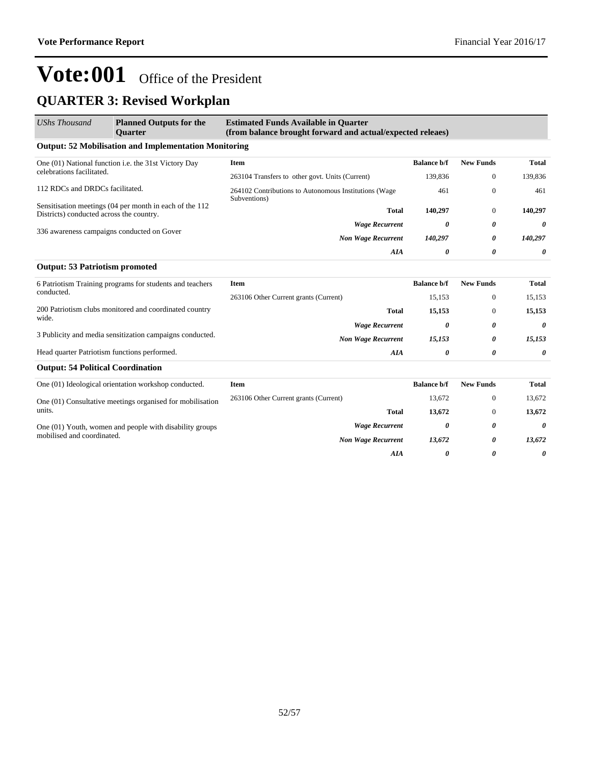## **QUARTER 3: Revised Workplan**

| <b>UShs Thousand</b>                                                   | <b>Planned Outputs for the</b><br><b>Ouarter</b>             | <b>Estimated Funds Available in Quarter</b><br>(from balance brought forward and actual/expected releaes) |                    |                  |                       |
|------------------------------------------------------------------------|--------------------------------------------------------------|-----------------------------------------------------------------------------------------------------------|--------------------|------------------|-----------------------|
|                                                                        | <b>Output: 52 Mobilisation and Implementation Monitoring</b> |                                                                                                           |                    |                  |                       |
|                                                                        | One (01) National function i.e. the 31st Victory Day         | Item                                                                                                      | <b>Balance b/f</b> | <b>New Funds</b> | <b>Total</b>          |
| celebrations facilitated.                                              |                                                              | 263104 Transfers to other govt. Units (Current)                                                           | 139,836            | $\mathbf{0}$     | 139,836               |
| 112 RDCs and DRDCs facilitated.                                        |                                                              | 264102 Contributions to Autonomous Institutions (Wage<br>Subventions)                                     | 461                | $\mathbf{0}$     | 461                   |
| Districts) conducted across the country.                               | Sensitisation meetings (04 per month in each of the 112      | <b>Total</b>                                                                                              | 140,297            | $\bf{0}$         | 140,297               |
|                                                                        |                                                              | <b>Wage Recurrent</b>                                                                                     | 0                  | 0                | $\boldsymbol{\theta}$ |
| 336 awareness campaigns conducted on Gover                             | <b>Non Wage Recurrent</b>                                    | 140,297                                                                                                   | 0                  | 140,297          |                       |
|                                                                        |                                                              | AIA                                                                                                       | 0                  | 0                | $\boldsymbol{\theta}$ |
| <b>Output: 53 Patriotism promoted</b>                                  |                                                              |                                                                                                           |                    |                  |                       |
| 6 Patriotism Training programs for students and teachers<br>conducted. | <b>Item</b>                                                  | <b>Balance b/f</b>                                                                                        | <b>New Funds</b>   | <b>Total</b>     |                       |
|                                                                        | 263106 Other Current grants (Current)                        | 15,153                                                                                                    | $\mathbf{0}$       | 15,153           |                       |
|                                                                        | 200 Patriotism clubs monitored and coordinated country       | Total                                                                                                     | 15,153             | $\Omega$         | 15,153                |
| wide.                                                                  |                                                              | <b>Wage Recurrent</b>                                                                                     | 0                  | 0                | 0                     |
|                                                                        | 3 Publicity and media sensitization campaigns conducted.     | <b>Non Wage Recurrent</b>                                                                                 | 15,153             | 0                | 15,153                |
| Head quarter Patriotism functions performed.                           |                                                              | AIA                                                                                                       | 0                  | 0                | $\boldsymbol{\theta}$ |
| <b>Output: 54 Political Coordination</b>                               |                                                              |                                                                                                           |                    |                  |                       |
|                                                                        | One (01) Ideological orientation workshop conducted.         | <b>Item</b>                                                                                               | <b>Balance b/f</b> | <b>New Funds</b> | <b>Total</b>          |
|                                                                        | One (01) Consultative meetings organised for mobilisation    | 263106 Other Current grants (Current)                                                                     | 13,672             | $\mathbf{0}$     | 13,672                |
| units.                                                                 |                                                              | <b>Total</b>                                                                                              | 13,672             | $\mathbf{0}$     | 13,672                |
|                                                                        | One (01) Youth, women and people with disability groups      | <b>Wage Recurrent</b>                                                                                     | 0                  | 0                | $\theta$              |
| mobilised and coordinated.                                             |                                                              | <b>Non Wage Recurrent</b>                                                                                 | 13,672             | 0                | 13,672                |
|                                                                        |                                                              | <b>AIA</b>                                                                                                | 0                  | 0                | 0                     |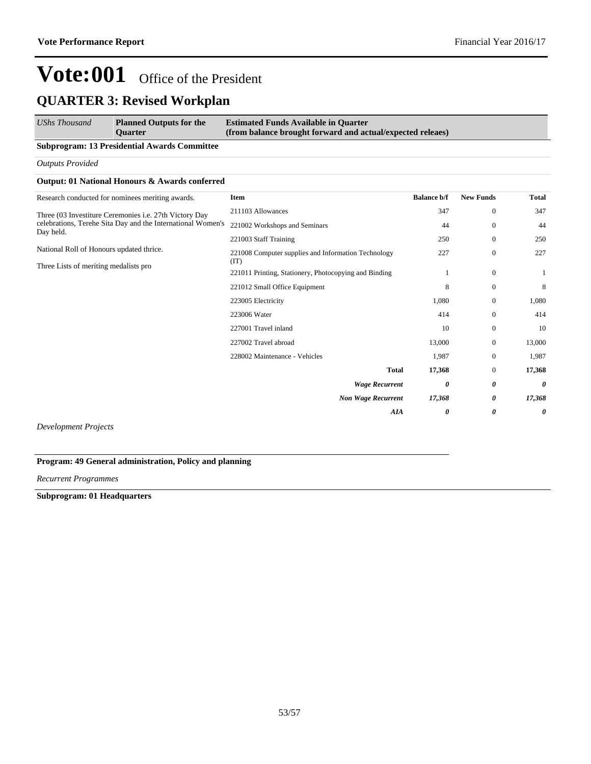| <b>UShs Thousand</b><br><b>Planned Outputs for the</b> |                | <b>Estimated Funds Available in Quarter</b>                |  |  |
|--------------------------------------------------------|----------------|------------------------------------------------------------|--|--|
|                                                        | <b>Ouarter</b> | (from balance brought forward and actual/expected releaes) |  |  |

#### **Subprogram: 13 Presidential Awards Committee**

*Outputs Provided*

#### **Output: 01 National Honours & Awards conferred**

| Research conducted for nominees meriting awards.            | Item                                                        | <b>Balance b/f</b> | <b>New Funds</b> | <b>Total</b> |
|-------------------------------------------------------------|-------------------------------------------------------------|--------------------|------------------|--------------|
| Three (03 Investiture Ceremonies i.e. 27th Victory Day      | 211103 Allowances                                           | 347                | $\bf{0}$         | 347          |
| celebrations, Terehe Sita Day and the International Women's | 221002 Workshops and Seminars                               | 44                 | $\mathbf{0}$     | 44           |
| Day held.                                                   | 221003 Staff Training                                       | 250                | $\mathbf{0}$     | 250          |
| National Roll of Honours updated thrice.                    | 221008 Computer supplies and Information Technology<br>(TT) | 227                | $\mathbf{0}$     | 227          |
| Three Lists of meriting medalists pro                       | 221011 Printing, Stationery, Photocopying and Binding       |                    | $\mathbf{0}$     |              |
|                                                             | 221012 Small Office Equipment                               | 8                  | $\mathbf{0}$     | 8            |
|                                                             | 223005 Electricity                                          | 1,080              | $\mathbf{0}$     | 1,080        |
|                                                             | 223006 Water                                                | 414                | $\mathbf{0}$     | 414          |
|                                                             | 227001 Travel inland                                        | 10                 | $\mathbf{0}$     | 10           |
|                                                             | 227002 Travel abroad                                        | 13,000             | $\mathbf{0}$     | 13,000       |
|                                                             | 228002 Maintenance - Vehicles                               | 1,987              | $\mathbf{0}$     | 1,987        |
|                                                             | <b>Total</b>                                                | 17,368             | $\mathbf{0}$     | 17,368       |
|                                                             | <b>Wage Recurrent</b>                                       | 0                  | 0                | 0            |
|                                                             | <b>Non Wage Recurrent</b>                                   | 17,368             | 0                | 17,368       |
|                                                             | <b>AIA</b>                                                  | 0                  | 0                | 0            |
|                                                             |                                                             |                    |                  |              |

*Development Projects*

### **Program: 49 General administration, Policy and planning**

*Recurrent Programmes*

**Subprogram: 01 Headquarters**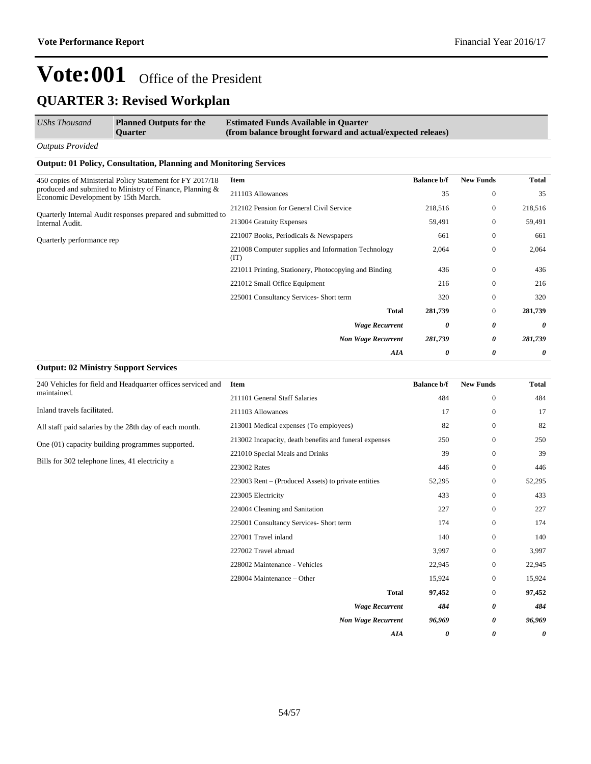| UShs Thousand           | <b>Planned Outputs for the</b><br><b>Ouarter</b> | <b>Estimated Funds Available in Quarter</b><br>(from balance brought forward and actual/expected releaes) |
|-------------------------|--------------------------------------------------|-----------------------------------------------------------------------------------------------------------|
| <b>Outputs Provided</b> |                                                  |                                                                                                           |

#### **Output: 01 Policy, Consultation, Planning and Monitoring Services**

| 450 copies of Ministerial Policy Statement for FY 2017/18                                          | Item                                                        | <b>Balance b/f</b> | <b>New Funds</b> | <b>Total</b> |
|----------------------------------------------------------------------------------------------------|-------------------------------------------------------------|--------------------|------------------|--------------|
| produced and submited to Ministry of Finance, Planning $\&$<br>Economic Development by 15th March. | 211103 Allowances                                           | 35                 | $\theta$         | 35           |
| Quarterly Internal Audit responses prepared and submitted to                                       | 212102 Pension for General Civil Service                    | 218,516            | $\mathbf{0}$     | 218,516      |
| Internal Audit.                                                                                    | 213004 Gratuity Expenses                                    | 59,491             | $\theta$         | 59,491       |
| Quarterly performance rep                                                                          | 221007 Books, Periodicals & Newspapers                      | 661                | $\theta$         | 661          |
|                                                                                                    | 221008 Computer supplies and Information Technology<br>(TT) | 2,064              | $\theta$         | 2,064        |
|                                                                                                    | 221011 Printing, Stationery, Photocopying and Binding       | 436                | $\Omega$         | 436          |
|                                                                                                    | 221012 Small Office Equipment                               | 216                | $\theta$         | 216          |
|                                                                                                    | 225001 Consultancy Services- Short term                     | 320                | $\Omega$         | 320          |
|                                                                                                    | <b>Total</b>                                                | 281,739            | $\mathbf{0}$     | 281,739      |
|                                                                                                    | <b>Wage Recurrent</b>                                       | 0                  | 0                | 0            |
|                                                                                                    | <b>Non Wage Recurrent</b>                                   | 281,739            | 0                | 281,739      |
|                                                                                                    | AIA                                                         | 0                  | 0                | 0            |
| <b>Output: 02 Ministry Support Services</b>                                                        |                                                             |                    |                  |              |

| 240 Vehicles for field and Headquarter offices serviced and | Item                                                   | <b>Balance b/f</b> | <b>New Funds</b> | <b>Total</b> |
|-------------------------------------------------------------|--------------------------------------------------------|--------------------|------------------|--------------|
| maintained.                                                 | 211101 General Staff Salaries                          | 484                | $\mathbf{0}$     | 484          |
| Inland travels facilitated.                                 | 211103 Allowances                                      | 17                 | $\mathbf{0}$     | 17           |
| All staff paid salaries by the 28th day of each month.      | 213001 Medical expenses (To employees)                 | 82                 | $\mathbf{0}$     | 82           |
| One (01) capacity building programmes supported.            | 213002 Incapacity, death benefits and funeral expenses | 250                | $\mathbf{0}$     | 250          |
| Bills for 302 telephone lines, 41 electricity a             | 221010 Special Meals and Drinks                        | 39                 | $\mathbf{0}$     | 39           |
|                                                             | 223002 Rates                                           | 446                | $\mathbf{0}$     | 446          |
|                                                             | 223003 Rent – (Produced Assets) to private entities    | 52,295             | $\mathbf{0}$     | 52,295       |
|                                                             | 223005 Electricity                                     | 433                | $\mathbf{0}$     | 433          |
|                                                             | 224004 Cleaning and Sanitation                         | 227                | $\mathbf{0}$     | 227          |
|                                                             | 225001 Consultancy Services- Short term                | 174                | $\mathbf{0}$     | 174          |
|                                                             | 227001 Travel inland                                   | 140                | $\mathbf{0}$     | 140          |
|                                                             | 227002 Travel abroad                                   | 3,997              | $\mathbf{0}$     | 3,997        |
|                                                             | 228002 Maintenance - Vehicles                          | 22,945             | $\mathbf{0}$     | 22,945       |
|                                                             | 228004 Maintenance – Other                             | 15,924             | $\mathbf{0}$     | 15,924       |
|                                                             | <b>Total</b>                                           | 97,452             | $\mathbf{0}$     | 97,452       |
|                                                             | <b>Wage Recurrent</b>                                  | 484                | 0                | 484          |
|                                                             | <b>Non Wage Recurrent</b>                              | 96,969             | 0                | 96,969       |
|                                                             | <b>AIA</b>                                             | 0                  | 0                | 0            |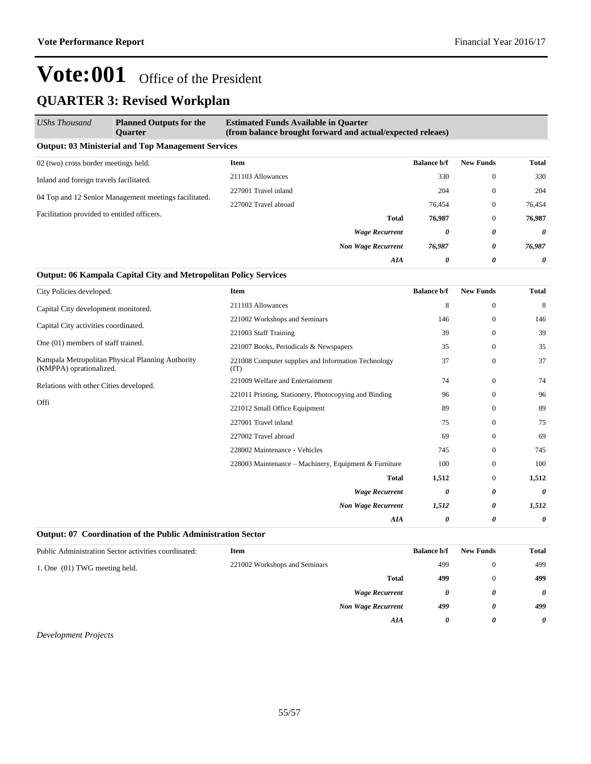| <b>UShs Thousand</b>                                  | <b>Planned Outputs for the</b><br><b>Ouarter</b>          | <b>Estimated Funds Available in Quarter</b><br>(from balance brought forward and actual/expected releaes) |                    |                  |              |  |  |  |  |
|-------------------------------------------------------|-----------------------------------------------------------|-----------------------------------------------------------------------------------------------------------|--------------------|------------------|--------------|--|--|--|--|
|                                                       | <b>Output: 03 Ministerial and Top Management Services</b> |                                                                                                           |                    |                  |              |  |  |  |  |
| 02 (two) cross border meetings held.                  |                                                           | <b>Item</b>                                                                                               | <b>Balance b/f</b> | <b>New Funds</b> | <b>Total</b> |  |  |  |  |
| Inland and foreign travels facilitated.               |                                                           | 211103 Allowances                                                                                         | 330                | $\theta$         | 330          |  |  |  |  |
| 04 Top and 12 Senior Management meetings facilitated. |                                                           | 227001 Travel inland                                                                                      | 204                | $\mathbf{0}$     | 204          |  |  |  |  |
|                                                       |                                                           | 227002 Travel abroad                                                                                      | 76,454             | $\mathbf{0}$     | 76,454       |  |  |  |  |
| Facilitation provided to entitled officers.           |                                                           | <b>Total</b>                                                                                              | 76,987             | $\mathbf{0}$     | 76,987       |  |  |  |  |
|                                                       |                                                           | <b>Wage Recurrent</b>                                                                                     | 0                  | 0                | $\theta$     |  |  |  |  |
|                                                       |                                                           | <b>Non Wage Recurrent</b>                                                                                 | 76,987             | 0                | 76,987       |  |  |  |  |
|                                                       |                                                           | AIA                                                                                                       | 0                  | 0                | $\theta$     |  |  |  |  |

#### **Output: 06 Kampala Capital City and Metropolitan Policy Services**

| City Policies developed.                                                    | Item                                                        | <b>Balance b/f</b> | <b>New Funds</b> | <b>Total</b> |
|-----------------------------------------------------------------------------|-------------------------------------------------------------|--------------------|------------------|--------------|
| Capital City development monitored.                                         | 211103 Allowances                                           | 8                  | $\mathbf{0}$     | 8            |
|                                                                             | 221002 Workshops and Seminars                               | 146                | $\mathbf{0}$     | 146          |
| Capital City activities coordinated.                                        | 221003 Staff Training                                       | 39                 | $\mathbf{0}$     | 39           |
| One (01) members of staff trained.                                          | 221007 Books, Periodicals & Newspapers                      | 35                 | $\mathbf{0}$     | 35           |
| Kampala Metropolitan Physical Planning Authority<br>(KMPPA) oprationalized. | 221008 Computer supplies and Information Technology<br>(TT) | 37                 | $\mathbf{0}$     | 37           |
| Relations with other Cities developed.                                      | 221009 Welfare and Entertainment                            | 74                 | $\boldsymbol{0}$ | 74           |
|                                                                             | 221011 Printing, Stationery, Photocopying and Binding       | 96                 | $\mathbf{0}$     | 96           |
| Offi                                                                        | 221012 Small Office Equipment                               | 89                 | $\mathbf{0}$     | 89           |
|                                                                             | 227001 Travel inland                                        | 75                 | $\mathbf{0}$     | 75           |
|                                                                             | 227002 Travel abroad                                        | 69                 | $\mathbf{0}$     | 69           |
|                                                                             | 228002 Maintenance - Vehicles                               | 745                | $\mathbf{0}$     | 745          |
|                                                                             | 228003 Maintenance – Machinery, Equipment & Furniture       | 100                | $\mathbf{0}$     | 100          |
|                                                                             | <b>Total</b>                                                | 1,512              | $\boldsymbol{0}$ | 1,512        |
|                                                                             | <b>Wage Recurrent</b>                                       | 0                  | 0                | 0            |
|                                                                             | <b>Non Wage Recurrent</b>                                   | 1,512              | 0                | 1,512        |
|                                                                             | <b>AIA</b>                                                  | 0                  | 0                | 0            |

#### **Output: 07 Coordination of the Public Administration Sector**

| Public Administration Sector activities coordinated: | Item                          |                           | <b>Balance b/f</b> | <b>New Funds</b> | <b>Total</b>          |
|------------------------------------------------------|-------------------------------|---------------------------|--------------------|------------------|-----------------------|
| 1. One (01) TWG meeting held.                        | 221002 Workshops and Seminars |                           | 499                | $\mathbf{0}$     | 499                   |
|                                                      |                               | <b>Total</b>              | 499                | 0                | 499                   |
|                                                      |                               | <b>Wage Recurrent</b>     | 0                  | 0                | $\boldsymbol{\theta}$ |
|                                                      |                               | <b>Non Wage Recurrent</b> | 499                | 0                | 499                   |
|                                                      |                               | AIA                       | 0                  | 0                | $\theta$              |

#### *Development Projects*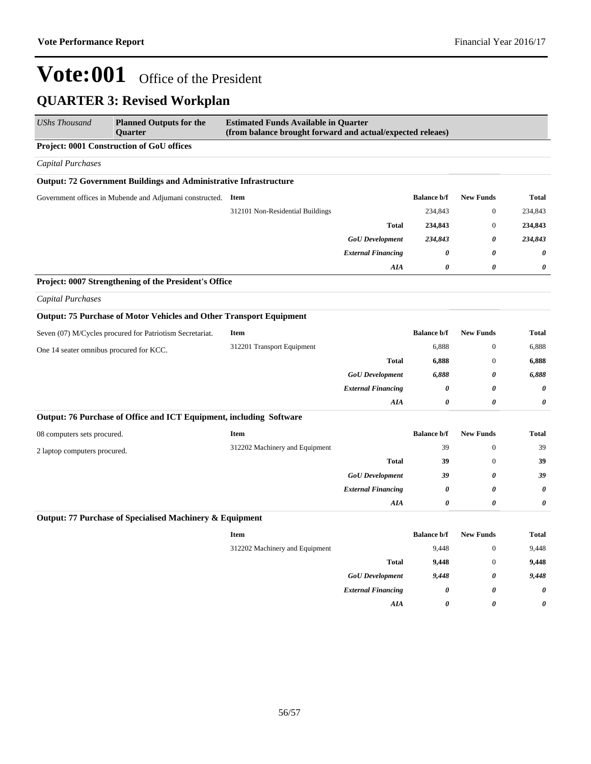| <b>UShs Thousand</b>                    | <b>Planned Outputs for the</b><br><b>Ouarter</b>                         | <b>Estimated Funds Available in Quarter</b><br>(from balance brought forward and actual/expected releaes) |                           |                       |                  |                       |  |
|-----------------------------------------|--------------------------------------------------------------------------|-----------------------------------------------------------------------------------------------------------|---------------------------|-----------------------|------------------|-----------------------|--|
|                                         | <b>Project: 0001 Construction of GoU offices</b>                         |                                                                                                           |                           |                       |                  |                       |  |
| <b>Capital Purchases</b>                |                                                                          |                                                                                                           |                           |                       |                  |                       |  |
|                                         | <b>Output: 72 Government Buildings and Administrative Infrastructure</b> |                                                                                                           |                           |                       |                  |                       |  |
|                                         | Government offices in Mubende and Adjumani constructed. Item             |                                                                                                           |                           | <b>Balance b/f</b>    | <b>New Funds</b> | <b>Total</b>          |  |
|                                         |                                                                          | 312101 Non-Residential Buildings                                                                          |                           | 234,843               | $\boldsymbol{0}$ | 234,843               |  |
|                                         |                                                                          |                                                                                                           | <b>Total</b>              | 234,843               | $\boldsymbol{0}$ | 234,843               |  |
|                                         |                                                                          |                                                                                                           | <b>GoU</b> Development    | 234,843               | 0                | 234,843               |  |
|                                         |                                                                          |                                                                                                           | <b>External Financing</b> | 0                     | $\theta$         | $\boldsymbol{\theta}$ |  |
|                                         |                                                                          |                                                                                                           | AIA                       | $\boldsymbol{\theta}$ | $\theta$         | 0                     |  |
|                                         | Project: 0007 Strengthening of the President's Office                    |                                                                                                           |                           |                       |                  |                       |  |
| Capital Purchases                       |                                                                          |                                                                                                           |                           |                       |                  |                       |  |
|                                         | Output: 75 Purchase of Motor Vehicles and Other Transport Equipment      |                                                                                                           |                           |                       |                  |                       |  |
|                                         | Seven (07) M/Cycles procured for Patriotism Secretariat.                 | <b>Item</b>                                                                                               |                           | <b>Balance b/f</b>    | <b>New Funds</b> | <b>Total</b>          |  |
| One 14 seater omnibus procured for KCC. | 312201 Transport Equipment                                               |                                                                                                           | 6,888                     | $\boldsymbol{0}$      | 6,888            |                       |  |
|                                         |                                                                          | <b>Total</b>                                                                                              | 6,888                     | $\boldsymbol{0}$      | 6,888            |                       |  |
|                                         |                                                                          |                                                                                                           | <b>GoU</b> Development    | 6,888                 | 0                | 6,888                 |  |
|                                         |                                                                          |                                                                                                           | <b>External Financing</b> | 0                     | 0                | 0                     |  |
|                                         |                                                                          |                                                                                                           | AIA                       | $\boldsymbol{\theta}$ | 0                | 0                     |  |
|                                         | Output: 76 Purchase of Office and ICT Equipment, including Software      |                                                                                                           |                           |                       |                  |                       |  |
| 08 computers sets procured.             |                                                                          | <b>Item</b>                                                                                               |                           | <b>Balance b/f</b>    | <b>New Funds</b> | <b>Total</b>          |  |
| 2 laptop computers procured.            |                                                                          | 312202 Machinery and Equipment                                                                            |                           | 39                    | $\mathbf{0}$     | 39                    |  |
|                                         |                                                                          |                                                                                                           | <b>Total</b>              | 39                    | $\boldsymbol{0}$ | 39                    |  |
|                                         |                                                                          |                                                                                                           | <b>GoU</b> Development    | 39                    | 0                | 39                    |  |
|                                         |                                                                          |                                                                                                           | <b>External Financing</b> | $\boldsymbol{\theta}$ | 0                | $\boldsymbol{\theta}$ |  |
|                                         |                                                                          |                                                                                                           | AIA                       | $\boldsymbol{\theta}$ | 0                | $\boldsymbol{\theta}$ |  |
|                                         | Output: 77 Purchase of Specialised Machinery & Equipment                 |                                                                                                           |                           |                       |                  |                       |  |
|                                         |                                                                          | Item                                                                                                      |                           | <b>Balance b/f</b>    | <b>New Funds</b> | <b>Total</b>          |  |
|                                         |                                                                          | 312202 Machinery and Equipment                                                                            |                           | 9,448                 | $\boldsymbol{0}$ | 9,448                 |  |
|                                         |                                                                          |                                                                                                           | <b>Total</b>              | 9,448                 | $\mathbf{0}$     | 9,448                 |  |
|                                         |                                                                          |                                                                                                           | <b>GoU</b> Development    | 9,448                 | 0                | 9,448                 |  |
|                                         |                                                                          |                                                                                                           | <b>External Financing</b> | 0                     | 0                | 0                     |  |
|                                         |                                                                          |                                                                                                           | AIA                       | 0                     | 0                | 0                     |  |